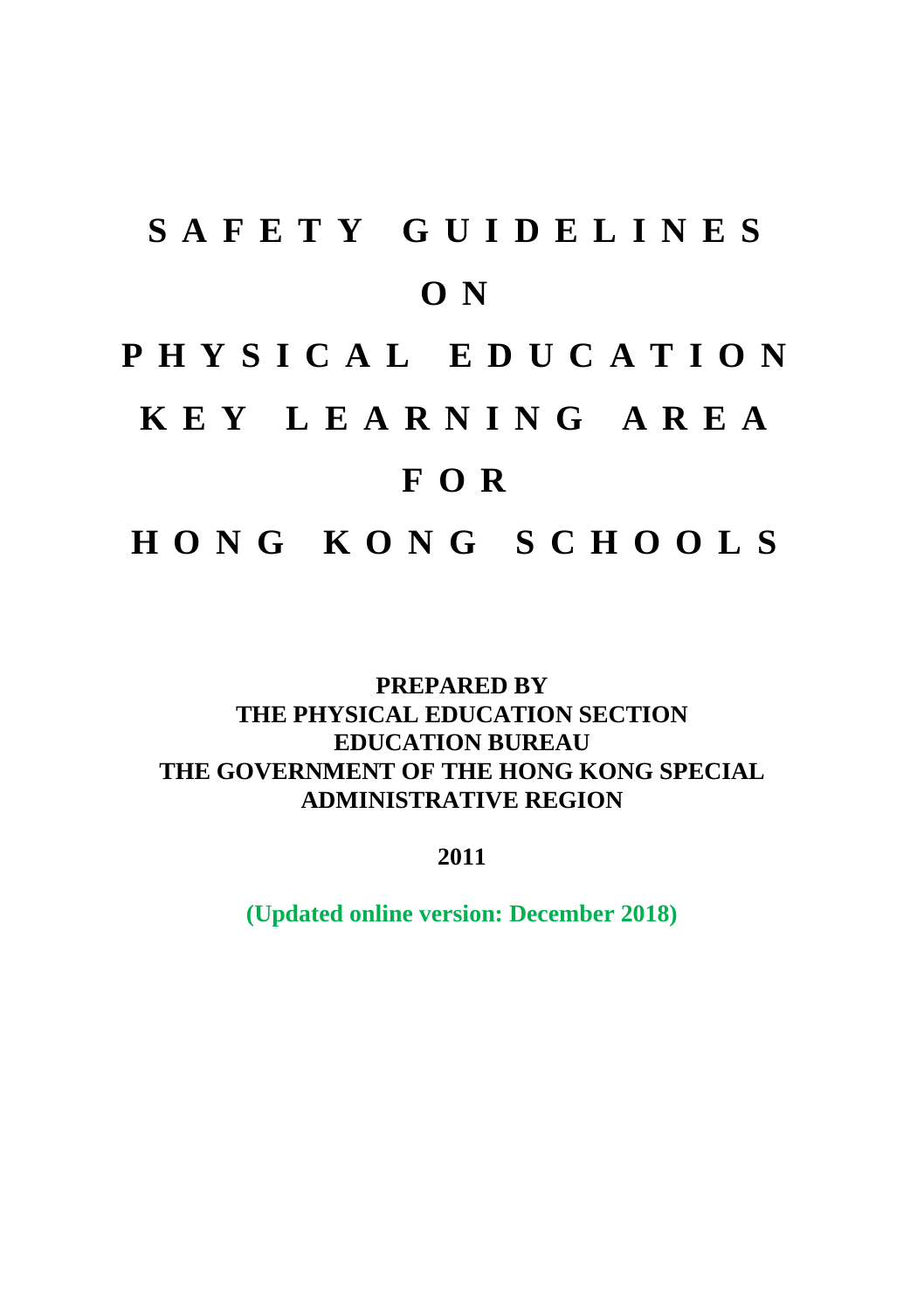# **S A F E T Y G U I D E L I N E S O N**

# **P H Y S I C A L E D U C A T I O N**

# **K E Y L E A R N I N G A R E A**

# **F O R**

**H O N G K O N G S C H O O L S**

#### **PREPARED BY THE PHYSICAL EDUCATION SECTION EDUCATION BUREAU THE GOVERNMENT OF THE HONG KONG SPECIAL ADMINISTRATIVE REGION**

**2011**

**(Updated online version: December 2018)**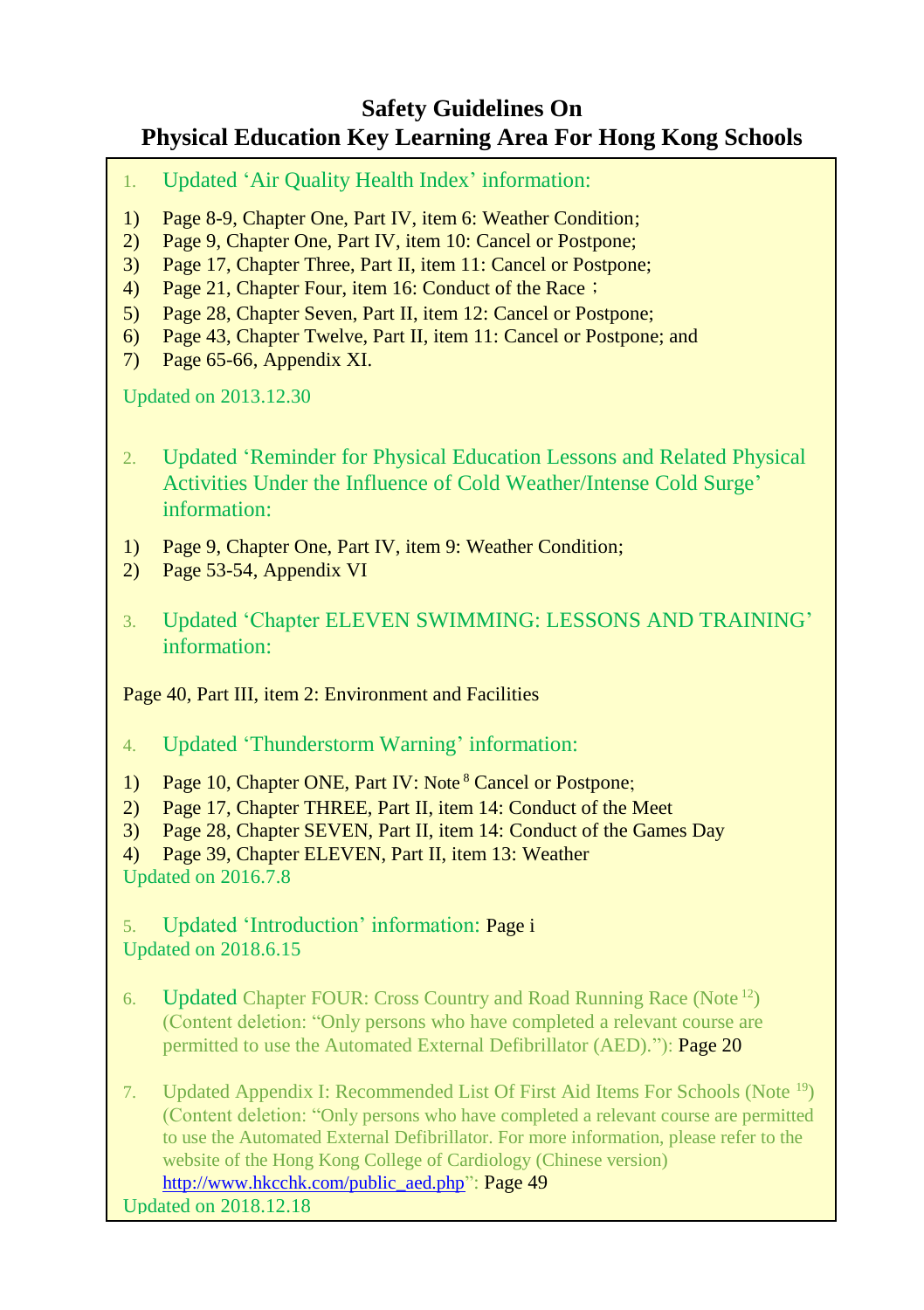#### **Safety Guidelines On Physical Education Key Learning Area For Hong Kong Schools**

- 1. Updated 'Air Quality Health Index' information:
- 1) Page 8-9, Chapter One, Part IV, item 6: Weather Condition;
- 2) Page 9, Chapter One, Part IV, item 10: Cancel or Postpone;
- 3) Page 17, Chapter Three, Part II, item 11: Cancel or Postpone;
- 4) Page 21, Chapter Four, item 16: Conduct of the Race;
- 5) Page 28, Chapter Seven, Part II, item 12: Cancel or Postpone;
- 6) Page 43, Chapter Twelve, Part II, item 11: Cancel or Postpone; and
- 7) Page 65-66, Appendix XI.

Updated on 2013.12.30

- 2. Updated 'Reminder for Physical Education Lessons and Related Physical Activities Under the Influence of Cold Weather/Intense Cold Surge' information:
- 1) Page 9, Chapter One, Part IV, item 9: Weather Condition;
- 2) Page 53-54, Appendix VI
- 3. Updated 'Chapter ELEVEN SWIMMING: LESSONS AND TRAINING' information:

Page 40, Part III, item 2: Environment and Facilities

- 4. Updated 'Thunderstorm Warning' information:
- 1) Page 10, Chapter ONE, Part IV: Note <sup>8</sup> Cancel or Postpone;
- 2) Page 17, Chapter THREE, Part II, item 14: Conduct of the Meet
- 3) Page 28, Chapter SEVEN, Part II, item 14: Conduct of the Games Day
- 4) Page 39, Chapter ELEVEN, Part II, item 13: Weather Updated on 2016.7.8

5. Updated 'Introduction' information: Page i

- Updated on 2018.6.15
- 6. Updated Chapter FOUR: Cross Country and Road Running Race (Note <sup>12</sup>) (Content deletion: "Only persons who have completed a relevant course are permitted to use the Automated External Defibrillator (AED)."): **Page 20**
- 7. Updated Appendix I: Recommended List Of First Aid Items For Schools (Note <sup>19</sup>) (Content deletion: "Only persons who have completed a relevant course are permitted to use the Automated External Defibrillator. For more information, please refer to the website of the Hong Kong College of Cardiology (Chinese version) [http://www.hkcchk.com/public\\_aed.php"](http://www.hkcchk.com/public_aed.php): Page 49

Updated on 2018.12.18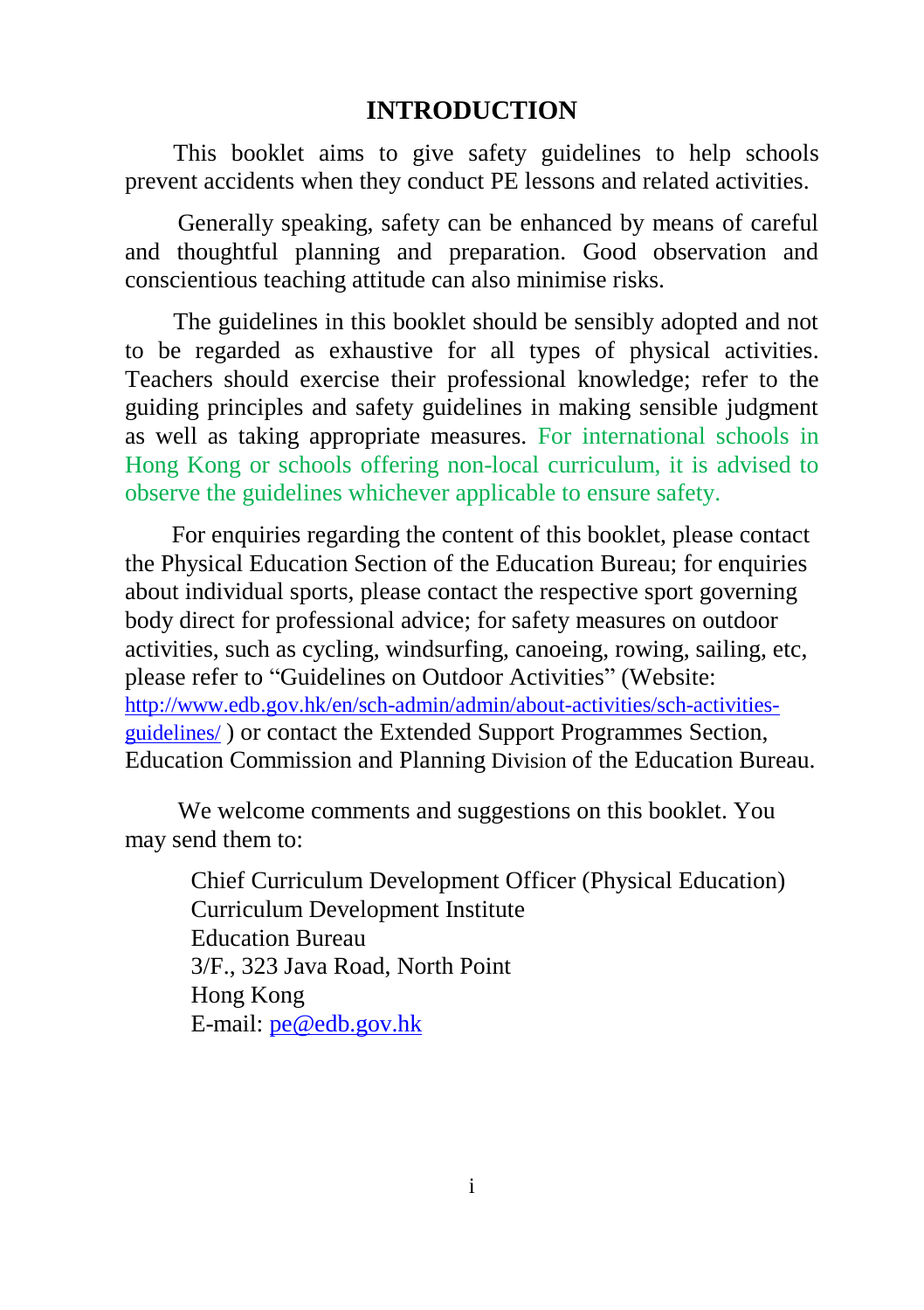#### **INTRODUCTION**

This booklet aims to give safety guidelines to help schools prevent accidents when they conduct PE lessons and related activities.

Generally speaking, safety can be enhanced by means of careful and thoughtful planning and preparation. Good observation and conscientious teaching attitude can also minimise risks.

The guidelines in this booklet should be sensibly adopted and not to be regarded as exhaustive for all types of physical activities. Teachers should exercise their professional knowledge; refer to the guiding principles and safety guidelines in making sensible judgment as well as taking appropriate measures. For international schools in Hong Kong or schools offering non-local curriculum, it is advised to observe the guidelines whichever applicable to ensure safety.

For enquiries regarding the content of this booklet, please contact the Physical Education Section of the Education Bureau; for enquiries about individual sports, please contact the respective sport governing body direct for professional advice; for safety measures on outdoor activities, such as cycling, windsurfing, canoeing, rowing, sailing, etc, please refer to "Guidelines on Outdoor Activities" (Website: [http://www.edb.gov.hk/en/sch-admin/admin/about-activities/sch-activities](http://www.edb.gov.hk/en/sch-admin/admin/about-activities/sch-activities-guidelines/)[guidelines/](http://www.edb.gov.hk/en/sch-admin/admin/about-activities/sch-activities-guidelines/) ) or contact the Extended Support Programmes Section, Education Commission and Planning Division of the Education Bureau.

We welcome comments and suggestions on this booklet. You may send them to:

> Chief Curriculum Development Officer (Physical Education) Curriculum Development Institute Education Bureau 3/F., 323 Java Road, North Point Hong Kong E-mail: [pe@edb.gov.hk](mailto:pe@edb.gov.hk)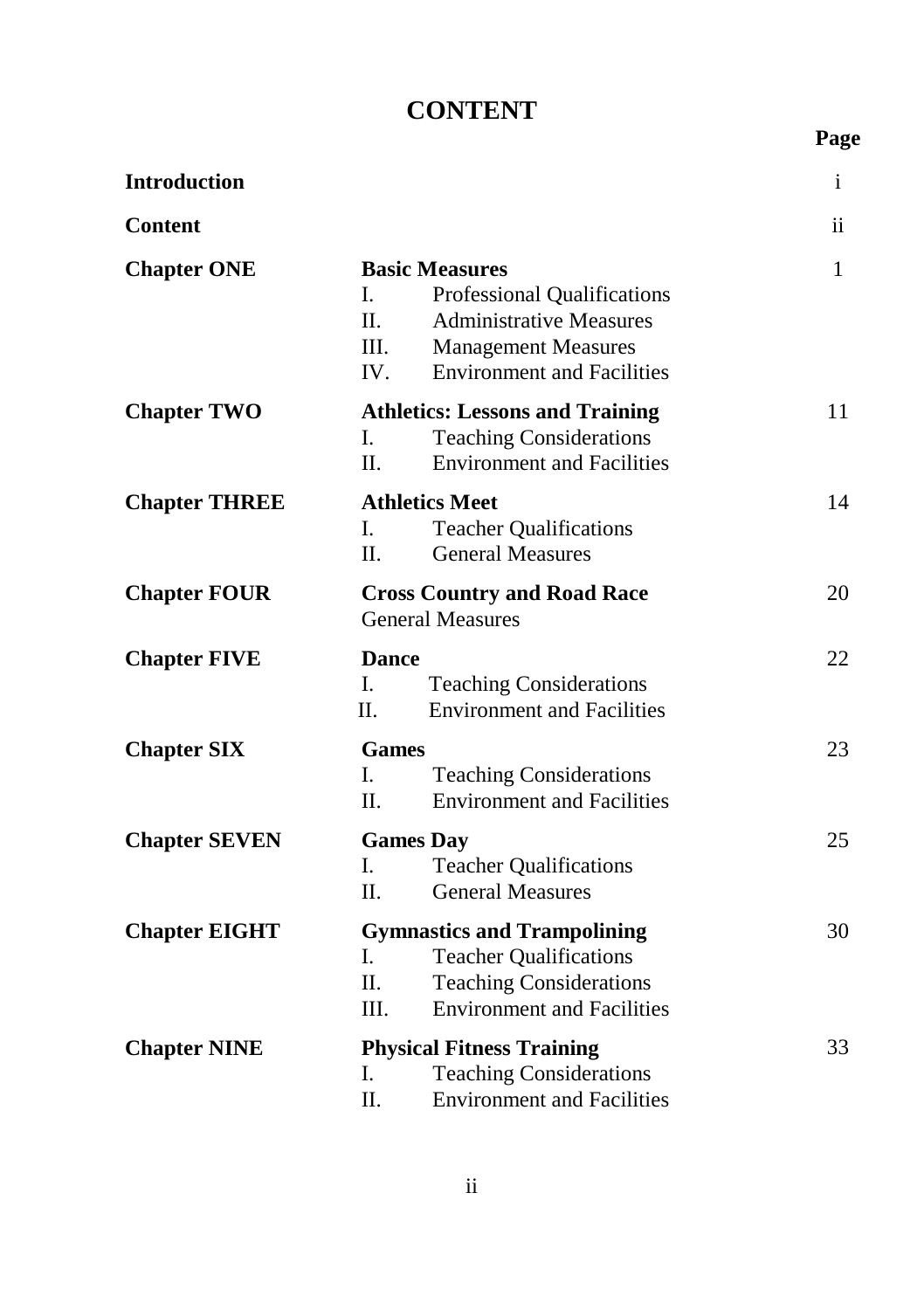# **CONTENT**

**Page**

| <b>Introduction</b>  |                                                                                                                                                                                               | $\mathbf{i}$ |
|----------------------|-----------------------------------------------------------------------------------------------------------------------------------------------------------------------------------------------|--------------|
| <b>Content</b>       |                                                                                                                                                                                               | ii.          |
| <b>Chapter ONE</b>   | <b>Basic Measures</b><br>L<br>Professional Qualifications<br>$\Pi$ .<br><b>Administrative Measures</b><br>III.<br><b>Management Measures</b><br><b>Environment and Facilities</b><br>$IV_{-}$ | $\mathbf{1}$ |
| <b>Chapter TWO</b>   | <b>Athletics: Lessons and Training</b><br><b>Teaching Considerations</b><br>L.<br>II.<br><b>Environment and Facilities</b>                                                                    | 11           |
| <b>Chapter THREE</b> | <b>Athletics Meet</b><br>L<br><b>Teacher Qualifications</b><br>$\Pi$ .<br><b>General Measures</b>                                                                                             | 14           |
| <b>Chapter FOUR</b>  | <b>Cross Country and Road Race</b><br><b>General Measures</b>                                                                                                                                 | 20           |
| <b>Chapter FIVE</b>  | <b>Dance</b><br>I.<br><b>Teaching Considerations</b><br><b>Environment and Facilities</b><br>$\Pi$ .                                                                                          | 22           |
| <b>Chapter SIX</b>   | <b>Games</b><br>L<br><b>Teaching Considerations</b><br><b>Environment and Facilities</b><br>$\Pi$ .                                                                                           | 23           |
| <b>Chapter SEVEN</b> | <b>Games Day</b><br>I.<br><b>Teacher Qualifications</b><br>$\Pi$ .<br><b>General Measures</b>                                                                                                 | 25           |
| <b>Chapter EIGHT</b> | <b>Gymnastics and Trampolining</b><br>L.<br><b>Teacher Qualifications</b><br>Π.<br><b>Teaching Considerations</b><br>III.<br><b>Environment and Facilities</b>                                | 30           |
| <b>Chapter NINE</b>  | <b>Physical Fitness Training</b><br><b>Teaching Considerations</b><br>I.<br>II.<br><b>Environment and Facilities</b>                                                                          | 33           |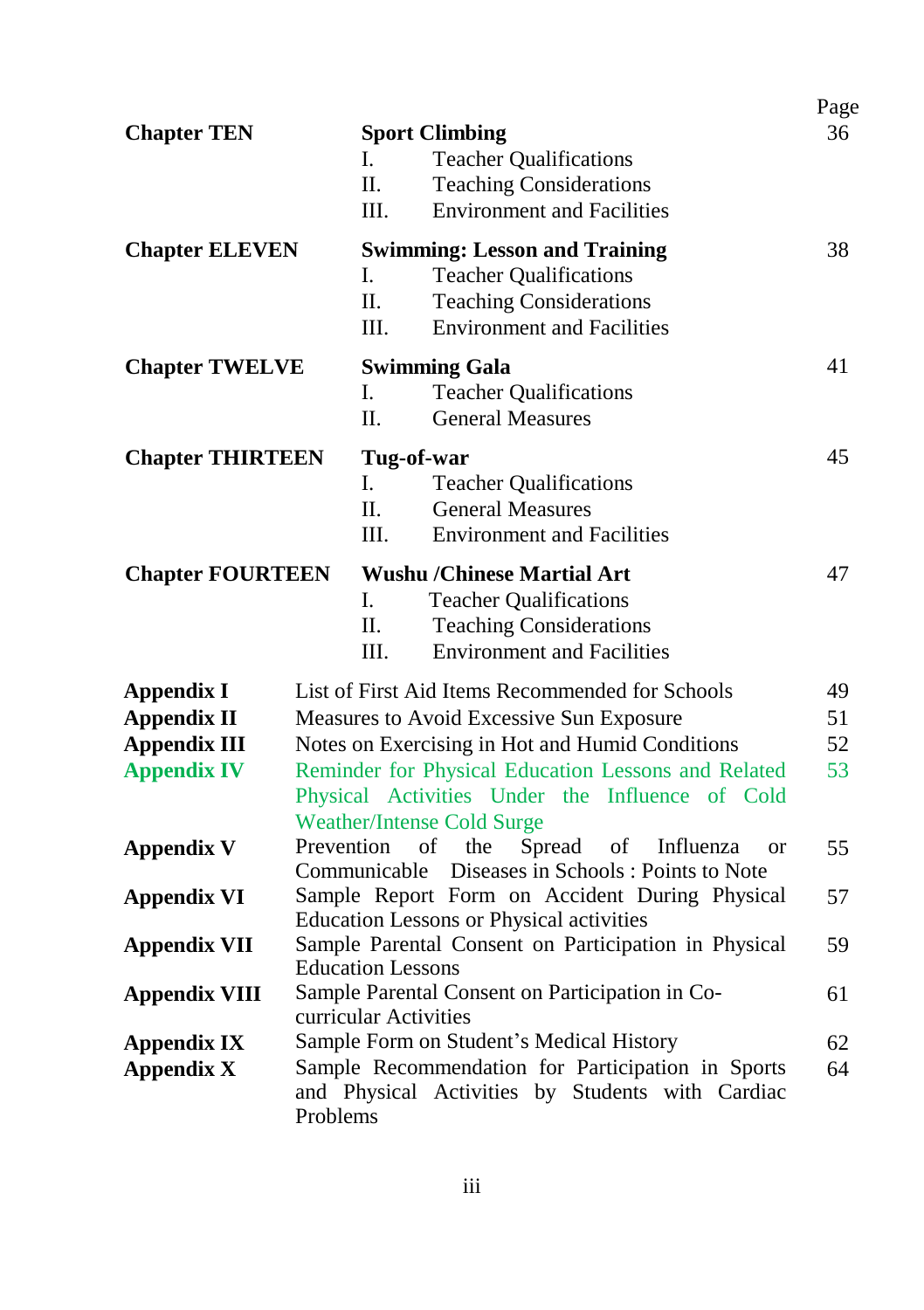| <b>Chapter TEN</b>      | <b>Sport Climbing</b><br><b>Teacher Qualifications</b><br>L.<br>II.<br><b>Teaching Considerations</b><br><b>Environment and Facilities</b><br>III.              | Page<br>36 |
|-------------------------|-----------------------------------------------------------------------------------------------------------------------------------------------------------------|------------|
| <b>Chapter ELEVEN</b>   | <b>Swimming: Lesson and Training</b><br>L<br><b>Teacher Qualifications</b><br>Π.<br><b>Teaching Considerations</b><br><b>Environment and Facilities</b><br>III. | 38         |
| <b>Chapter TWELVE</b>   | <b>Swimming Gala</b><br>L.<br><b>Teacher Qualifications</b><br>Π.<br><b>General Measures</b>                                                                    | 41         |
| <b>Chapter THIRTEEN</b> | Tug-of-war<br>L.<br><b>Teacher Qualifications</b><br>$\Pi$ .<br><b>General Measures</b><br>III.<br><b>Environment and Facilities</b>                            | 45         |
| <b>Chapter FOURTEEN</b> | <b>Wushu /Chinese Martial Art</b><br>L.<br><b>Teacher Qualifications</b><br>II.<br><b>Teaching Considerations</b><br><b>Environment and Facilities</b><br>III.  | 47         |
| <b>Appendix I</b>       | List of First Aid Items Recommended for Schools                                                                                                                 | 49         |
| <b>Appendix II</b>      | Measures to Avoid Excessive Sun Exposure                                                                                                                        | 51         |
| <b>Appendix III</b>     | Notes on Exercising in Hot and Humid Conditions                                                                                                                 | 52         |
| <b>Appendix IV</b>      | Reminder for Physical Education Lessons and Related<br>53<br>Physical Activities Under the Influence of Cold<br><b>Weather/Intense Cold Surge</b>               |            |
| <b>Appendix V</b>       | Prevention<br>of<br>the<br>Spread<br>of<br>Influenza<br><sub>or</sub><br>Diseases in Schools: Points to Note<br>Communicable                                    | 55         |
| <b>Appendix VI</b>      | Sample Report Form on Accident During Physical<br>57<br><b>Education Lessons or Physical activities</b>                                                         |            |
| <b>Appendix VII</b>     | Sample Parental Consent on Participation in Physical<br><b>Education Lessons</b>                                                                                | 59         |
| <b>Appendix VIII</b>    | Sample Parental Consent on Participation in Co-<br>curricular Activities                                                                                        | 61         |
| <b>Appendix IX</b>      | Sample Form on Student's Medical History                                                                                                                        | 62         |
| <b>Appendix X</b>       | Sample Recommendation for Participation in Sports<br>and Physical Activities by Students with Cardiac<br>Problems                                               | 64         |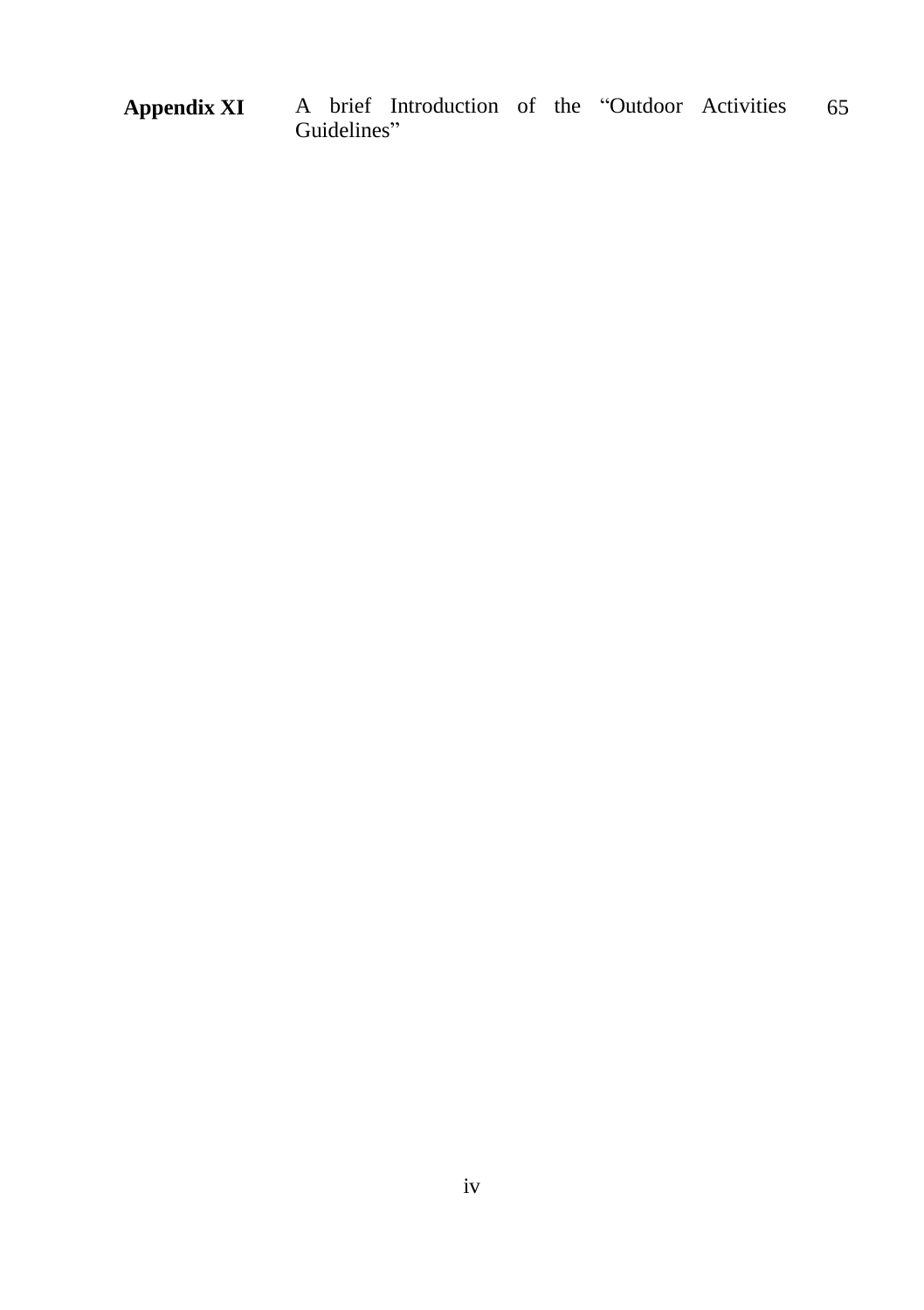**Appendix XI** A brief Introduction of the "Outdoor Activities Guidelines" 65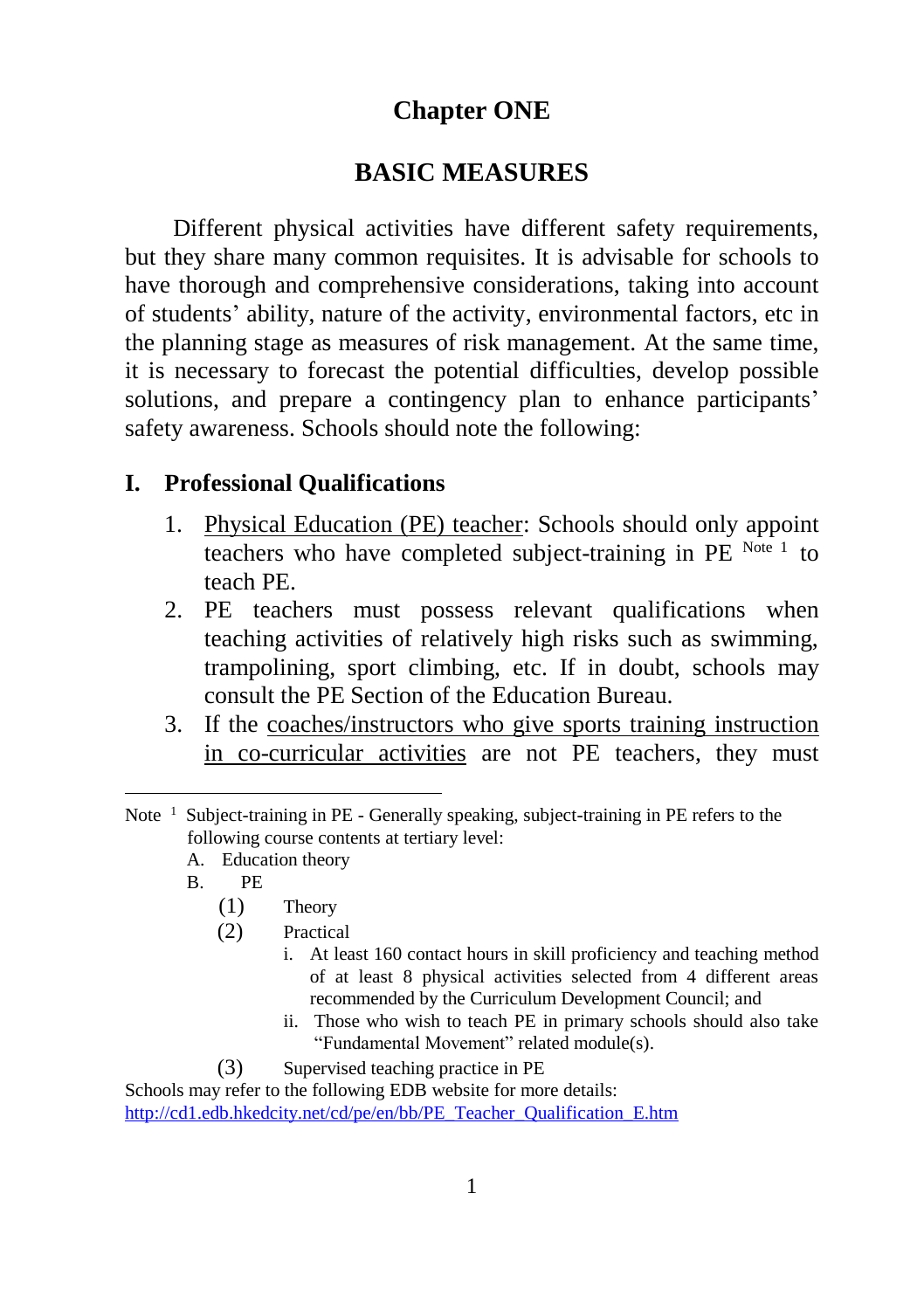### **Chapter ONE**

#### **BASIC MEASURES**

Different physical activities have different safety requirements, but they share many common requisites. It is advisable for schools to have thorough and comprehensive considerations, taking into account of students' ability, nature of the activity, environmental factors, etc in the planning stage as measures of risk management. At the same time, it is necessary to forecast the potential difficulties, develop possible solutions, and prepare a contingency plan to enhance participants' safety awareness. Schools should note the following:

#### **I. Professional Qualifications**

- 1. Physical Education (PE) teacher: Schools should only appoint teachers who have completed subject-training in PE Note 1 to teach PE.
- 2. PE teachers must possess relevant qualifications when teaching activities of relatively high risks such as swimming, trampolining, sport climbing, etc. If in doubt, schools may consult the PE Section of the Education Bureau.
- 3. If the coaches/instructors who give sports training instruction in co-curricular activities are not PE teachers, they must

- A. Education theory
- B. PE

-

- (1) Theory
- (2) Practical
	- i. At least 160 contact hours in skill proficiency and teaching method of at least 8 physical activities selected from 4 different areas recommended by the Curriculum Development Council; and
	- ii. Those who wish to teach PE in primary schools should also take "Fundamental Movement" related module(s).
- (3) Supervised teaching practice in PE

Schools may refer to the following EDB website for more details: [http://cd1.edb.hkedcity.net/cd/pe/en/bb/PE\\_Teacher\\_Qualification\\_E.htm](http://cd1.edb.hkedcity.net/cd/pe/en/bb/PE_Teacher_Qualification_E.htm)

Note<sup>1</sup> Subject-training in PE - Generally speaking, subject-training in PE refers to the following course contents at tertiary level: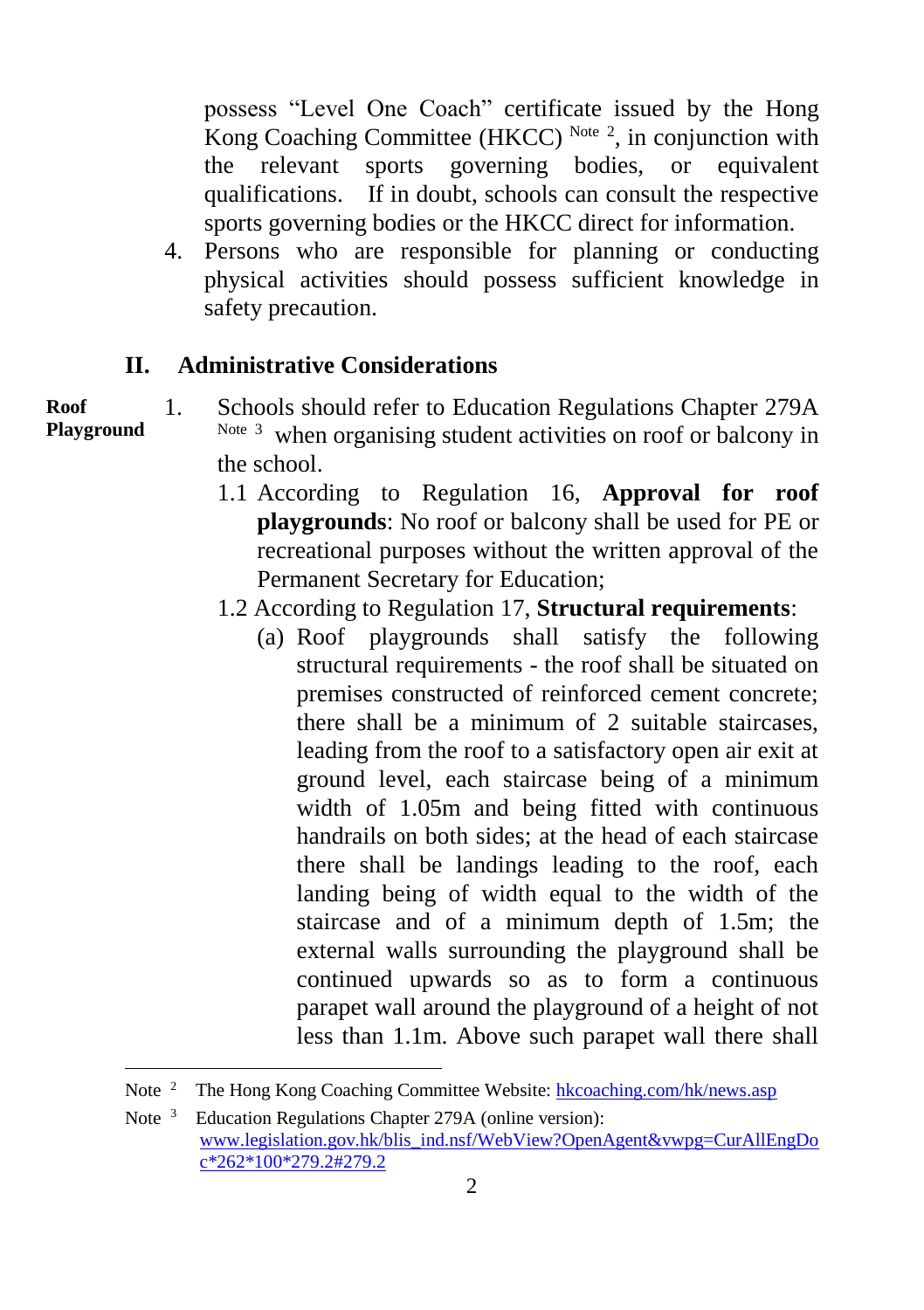possess "Level One Coach" certificate issued by the Hong Kong Coaching Committee (HKCC) Note  $2$ , in conjunction with the relevant sports governing bodies, or equivalent qualifications. If in doubt, schools can consult the respective sports governing bodies or the HKCC direct for information.

4. Persons who are responsible for planning or conducting physical activities should possess sufficient knowledge in safety precaution.

#### **II. Administrative Considerations**

**Roof Playground**

l

- 1. Schools should refer to Education Regulations Chapter 279A Note 3 when organising student activities on roof or balcony in the school.
	- 1.1 According to Regulation 16, **Approval for roof playgrounds**: No roof or balcony shall be used for PE or recreational purposes without the written approval of the Permanent Secretary for Education;
	- 1.2 According to Regulation 17, **Structural requirements**:
		- (a) Roof playgrounds shall satisfy the following structural requirements - the roof shall be situated on premises constructed of reinforced cement concrete; there shall be a minimum of 2 suitable staircases, leading from the roof to a satisfactory open air exit at ground level, each staircase being of a minimum width of 1.05m and being fitted with continuous handrails on both sides; at the head of each staircase there shall be landings leading to the roof, each landing being of width equal to the width of the staircase and of a minimum depth of 1.5m; the external walls surrounding the playground shall be continued upwards so as to form a continuous parapet wall around the playground of a height of not less than 1.1m. Above such parapet wall there shall

Note<sup>2</sup> The Hong Kong Coaching Committee Website[: hkcoaching.com/hk/news.asp](http://hkcoaching.com/hk/news.asp)

Note<sup>3</sup> Education Regulations Chapter 279A (online version): [www.legislation.gov.hk/blis\\_ind.nsf/WebView?OpenAgent&vwpg=CurAllEngDo](http://www.legislation.gov.hk/blis_ind.nsf/WebView?OpenAgent&vwpg=CurAllEngDoc*262*100*279.2#279.2) [c\\*262\\*100\\*279.2#279.2](http://www.legislation.gov.hk/blis_ind.nsf/WebView?OpenAgent&vwpg=CurAllEngDoc*262*100*279.2#279.2)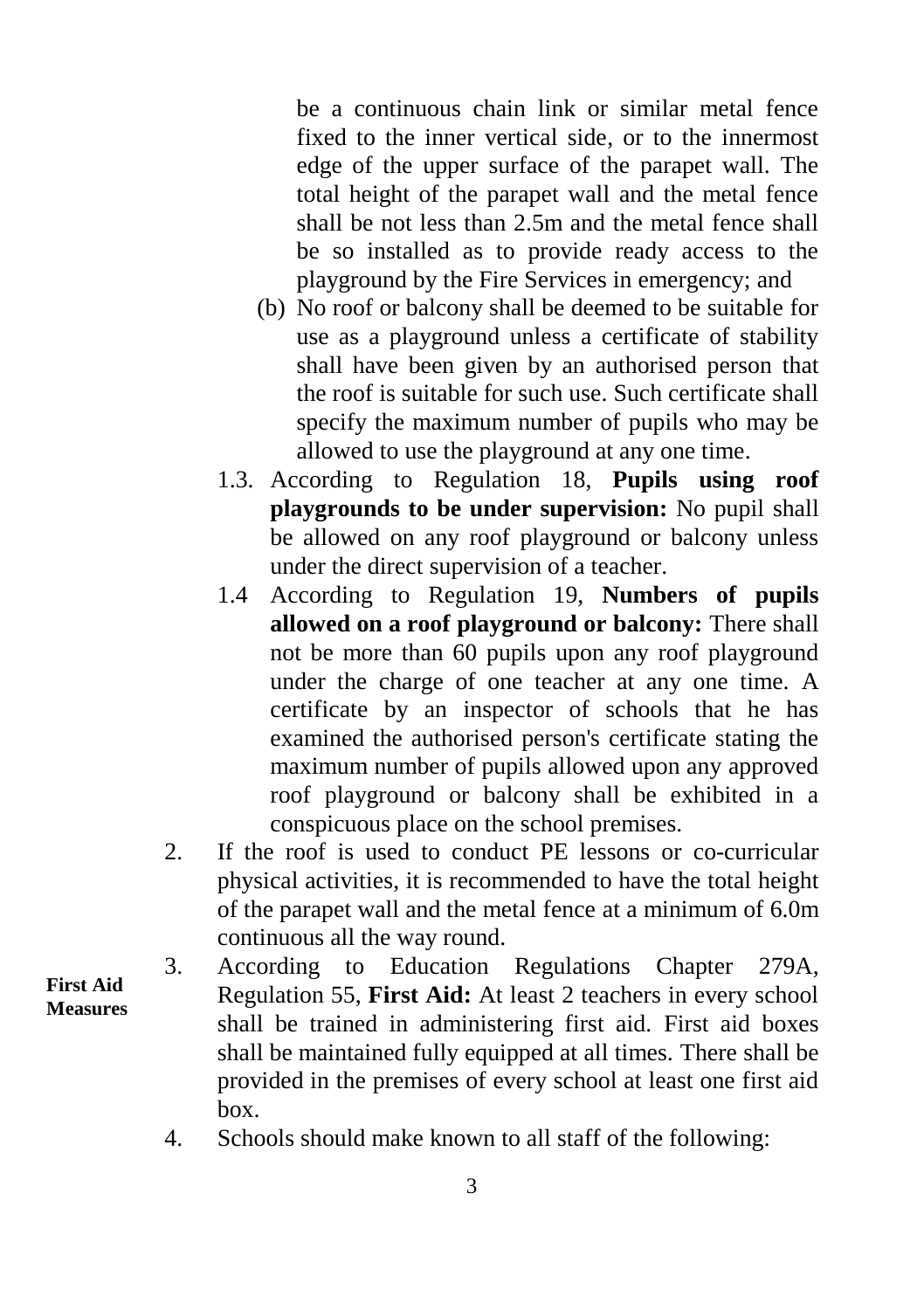be a continuous chain link or similar metal fence fixed to the inner vertical side, or to the innermost edge of the upper surface of the parapet wall. The total height of the parapet wall and the metal fence shall be not less than 2.5m and the metal fence shall be so installed as to provide ready access to the playground by the Fire Services in emergency; and

- (b) No roof or balcony shall be deemed to be suitable for use as a playground unless a certificate of stability shall have been given by an authorised person that the roof is suitable for such use. Such certificate shall specify the maximum number of pupils who may be allowed to use the playground at any one time.
- 1.3. According to Regulation 18, **Pupils using roof playgrounds to be under supervision:** No pupil shall be allowed on any roof playground or balcony unless under the direct supervision of a teacher.
- 1.4 According to Regulation 19, **Numbers of pupils allowed on a roof playground or balcony:** There shall not be more than 60 pupils upon any roof playground under the charge of one teacher at any one time. A certificate by an inspector of schools that he has examined the authorised person's certificate stating the maximum number of pupils allowed upon any approved roof playground or balcony shall be exhibited in a conspicuous place on the school premises.
- 2. If the roof is used to conduct PE lessons or co-curricular physical activities, it is recommended to have the total height of the parapet wall and the metal fence at a minimum of 6.0m continuous all the way round.
- 3. According to Education Regulations Chapter 279A, Regulation 55, **First Aid:** At least 2 teachers in every school shall be trained in administering first aid. First aid boxes shall be maintained fully equipped at all times. There shall be provided in the premises of every school at least one first aid box.
	- 4. Schools should make known to all staff of the following:

**First Aid Measures**

#### 3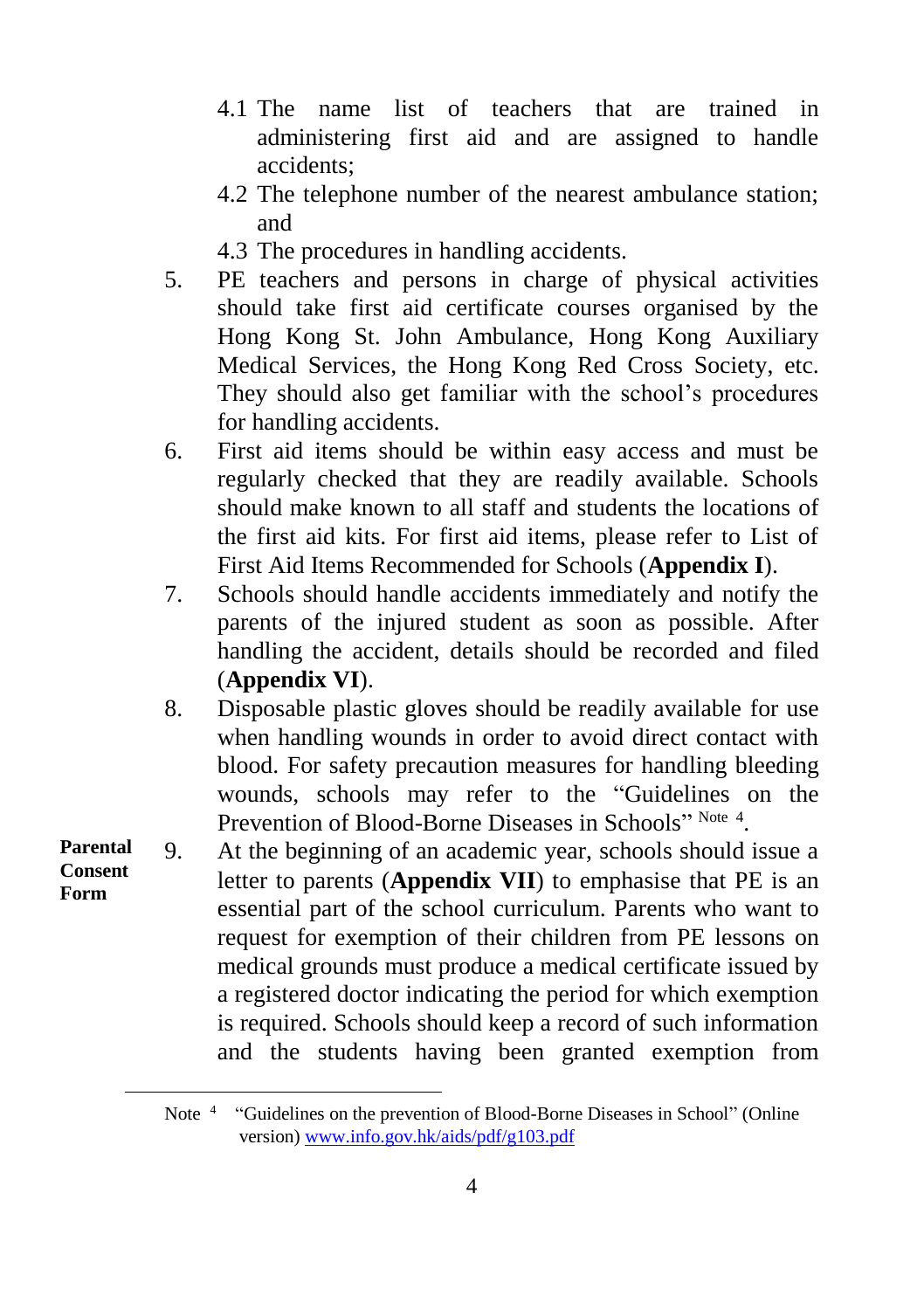- 4.1 The name list of teachers that are trained in administering first aid and are assigned to handle accidents;
- 4.2 The telephone number of the nearest ambulance station; and
- 4.3 The procedures in handling accidents.
- 5. PE teachers and persons in charge of physical activities should take first aid certificate courses organised by the Hong Kong St. John Ambulance, Hong Kong Auxiliary Medical Services, the Hong Kong Red Cross Society, etc. They should also get familiar with the school's procedures for handling accidents.
- 6. First aid items should be within easy access and must be regularly checked that they are readily available. Schools should make known to all staff and students the locations of the first aid kits. For first aid items, please refer to List of First Aid Items Recommended for Schools (**Appendix I**).
- 7. Schools should handle accidents immediately and notify the parents of the injured student as soon as possible. After handling the accident, details should be recorded and filed (**Appendix VI**).
- 8. Disposable plastic gloves should be readily available for use when handling wounds in order to avoid direct contact with blood. For safety precaution measures for handling bleeding wounds, schools may refer to the "Guidelines on the Prevention of Blood-Borne Diseases in Schools" Note 4.
- 9. At the beginning of an academic year, schools should issue a letter to parents (**Appendix VII**) to emphasise that PE is an essential part of the school curriculum. Parents who want to request for exemption of their children from PE lessons on medical grounds must produce a medical certificate issued by a registered doctor indicating the period for which exemption is required. Schools should keep a record of such information and the students having been granted exemption from **Parental Consent Form**

4

l

Note<sup>4</sup> "Guidelines on the prevention of Blood-Borne Diseases in School" (Online version[\) www.info.gov.hk/aids/pdf/g103.pdf](http://www.info.gov.hk/aids/pdf/g103.pdf)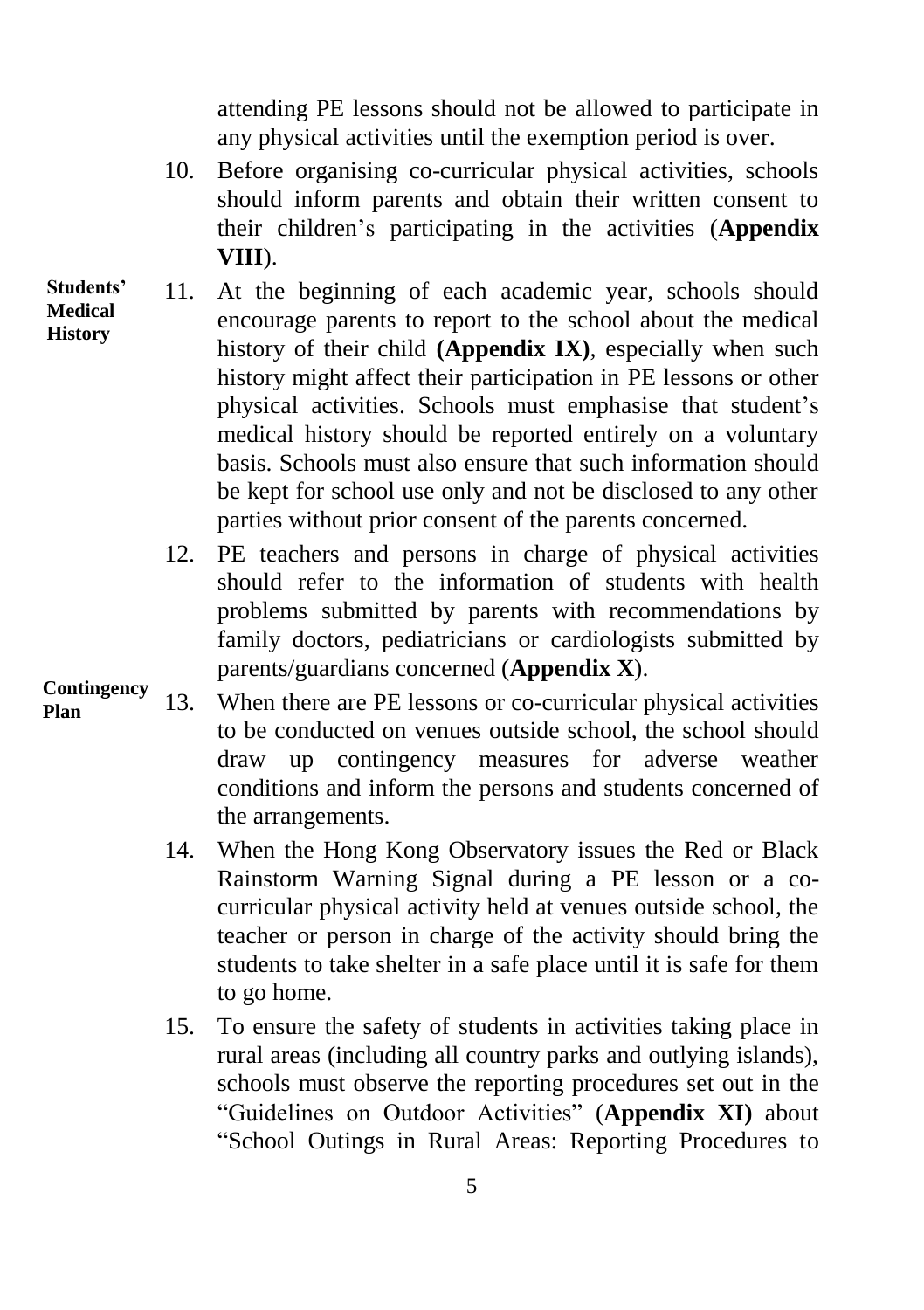attending PE lessons should not be allowed to participate in any physical activities until the exemption period is over.

- 10. Before organising co-curricular physical activities, schools should inform parents and obtain their written consent to their children's participating in the activities (**Appendix VIII**).
- 11. At the beginning of each academic year, schools should encourage parents to report to the school about the medical history of their child **(Appendix IX)**, especially when such history might affect their participation in PE lessons or other physical activities. Schools must emphasise that student's medical history should be reported entirely on a voluntary basis. Schools must also ensure that such information should be kept for school use only and not be disclosed to any other parties without prior consent of the parents concerned.
	- 12. PE teachers and persons in charge of physical activities should refer to the information of students with health problems submitted by parents with recommendations by family doctors, pediatricians or cardiologists submitted by parents/guardians concerned (**Appendix X**).
- 13. When there are PE lessons or co-curricular physical activities to be conducted on venues outside school, the school should draw up contingency measures for adverse weather conditions and inform the persons and students concerned of the arrangements. **Plan**
	- 14. When the Hong Kong Observatory issues the Red or Black Rainstorm Warning Signal during a PE lesson or a cocurricular physical activity held at venues outside school, the teacher or person in charge of the activity should bring the students to take shelter in a safe place until it is safe for them to go home.
	- 15. To ensure the safety of students in activities taking place in rural areas (including all country parks and outlying islands), schools must observe the reporting procedures set out in the "Guidelines on Outdoor Activities" (**Appendix XI)** about "School Outings in Rural Areas: Reporting Procedures to

**Students' Medical History**

**Contingency**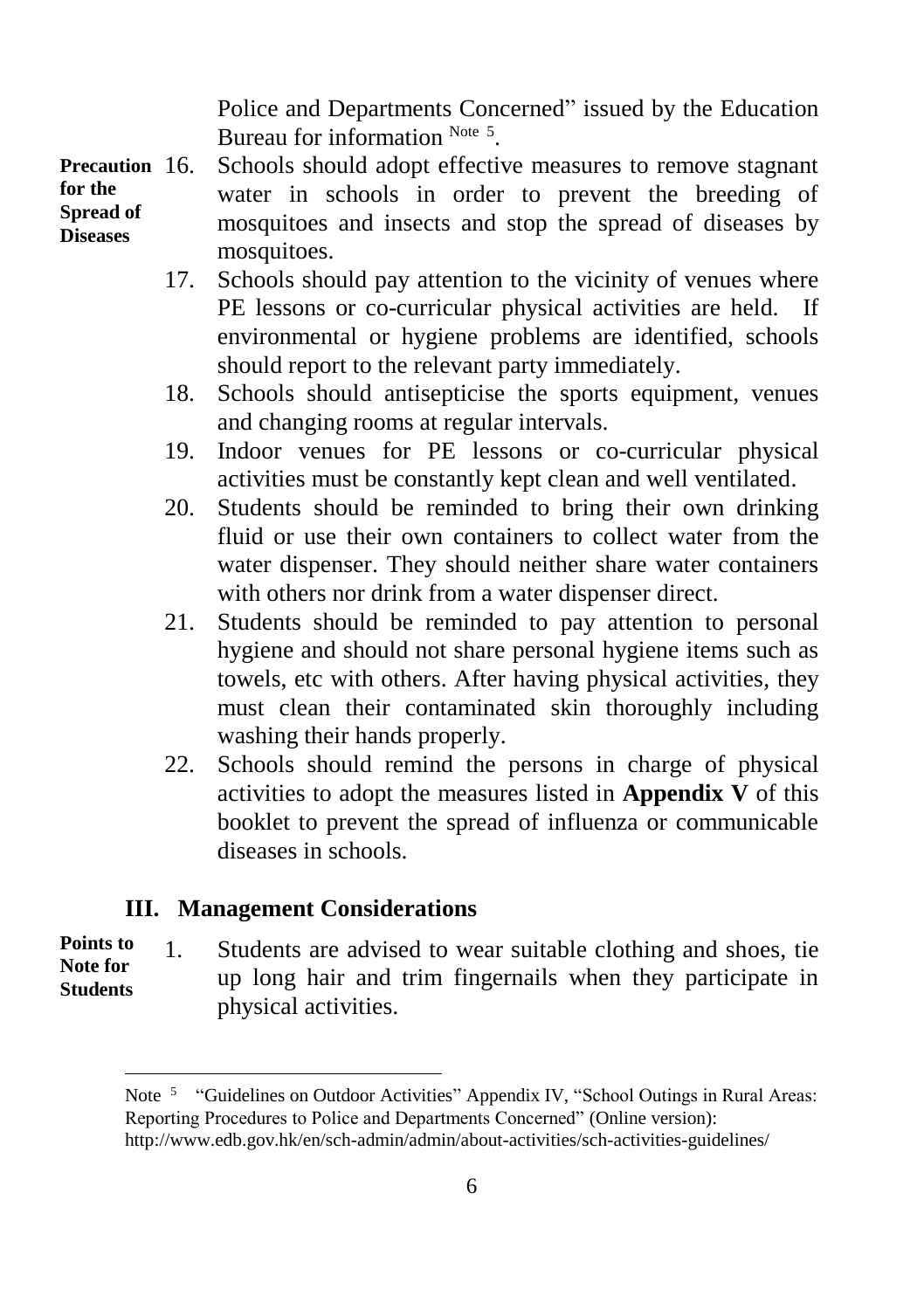Police and Departments Concerned" issued by the Education Bureau for information Note 5.

Schools should adopt effective measures to remove stagnant water in schools in order to prevent the breeding of mosquitoes and insects and stop the spread of diseases by mosquitoes. **Precaution for the Spread of Diseases**

- 17. Schools should pay attention to the vicinity of venues where PE lessons or co-curricular physical activities are held. If environmental or hygiene problems are identified, schools should report to the relevant party immediately.
- 18. Schools should antisepticise the sports equipment, venues and changing rooms at regular intervals.
- 19. Indoor venues for PE lessons or co-curricular physical activities must be constantly kept clean and well ventilated.
- 20. Students should be reminded to bring their own drinking fluid or use their own containers to collect water from the water dispenser. They should neither share water containers with others nor drink from a water dispenser direct.
- 21. Students should be reminded to pay attention to personal hygiene and should not share personal hygiene items such as towels, etc with others. After having physical activities, they must clean their contaminated skin thoroughly including washing their hands properly.
- 22. Schools should remind the persons in charge of physical activities to adopt the measures listed in **Appendix V** of this booklet to prevent the spread of influenza or communicable diseases in schools.

#### **III. Management Considerations**

l

#### 1. Students are advised to wear suitable clothing and shoes, tie up long hair and trim fingernails when they participate in physical activities. **Points to Note for Students**

Note<sup>5</sup> "Guidelines on Outdoor Activities" Appendix IV, "School Outings in Rural Areas: Reporting Procedures to Police and Departments Concerned" (Online version): <http://www.edb.gov.hk/en/sch-admin/admin/about-activities/sch-activities-guidelines/>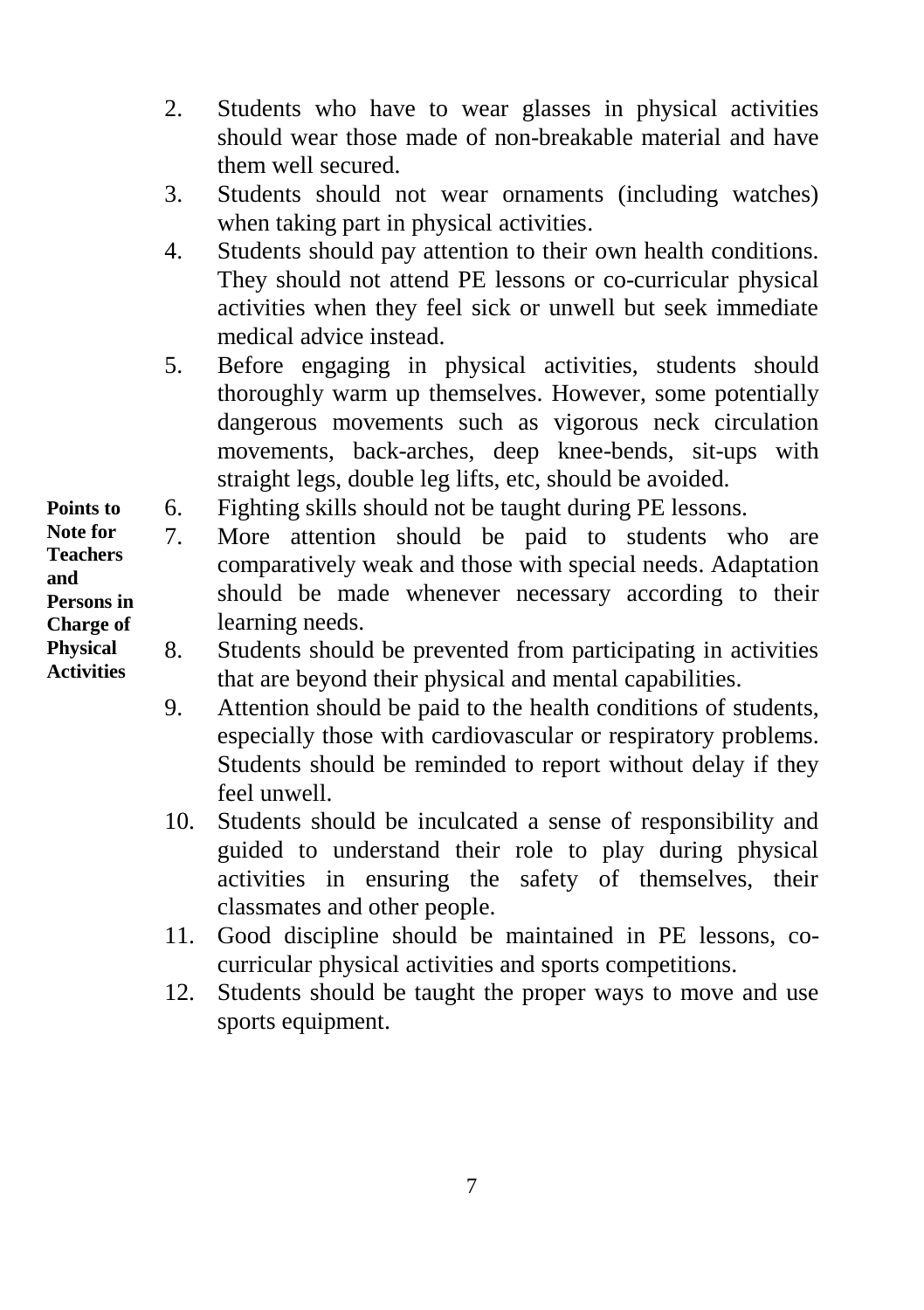- 2. Students who have to wear glasses in physical activities should wear those made of non-breakable material and have them well secured.
- 3. Students should not wear ornaments (including watches) when taking part in physical activities.
- 4. Students should pay attention to their own health conditions. They should not attend PE lessons or co-curricular physical activities when they feel sick or unwell but seek immediate medical advice instead.
- 5. Before engaging in physical activities, students should thoroughly warm up themselves. However, some potentially dangerous movements such as vigorous neck circulation movements, back-arches, deep knee-bends, sit-ups with straight legs, double leg lifts, etc, should be avoided.
- 6. Fighting skills should not be taught during PE lessons.
- 7. More attention should be paid to students who are comparatively weak and those with special needs. Adaptation should be made whenever necessary according to their learning needs.
- 8. Students should be prevented from participating in activities that are beyond their physical and mental capabilities.
	- 9. Attention should be paid to the health conditions of students, especially those with cardiovascular or respiratory problems. Students should be reminded to report without delay if they feel unwell.
	- 10. Students should be inculcated a sense of responsibility and guided to understand their role to play during physical activities in ensuring the safety of themselves, their classmates and other people.
	- 11. Good discipline should be maintained in PE lessons, cocurricular physical activities and sports competitions.
	- 12. Students should be taught the proper ways to move and use sports equipment.

**Points to Note for Teachers and Persons in Charge of Physical Activities**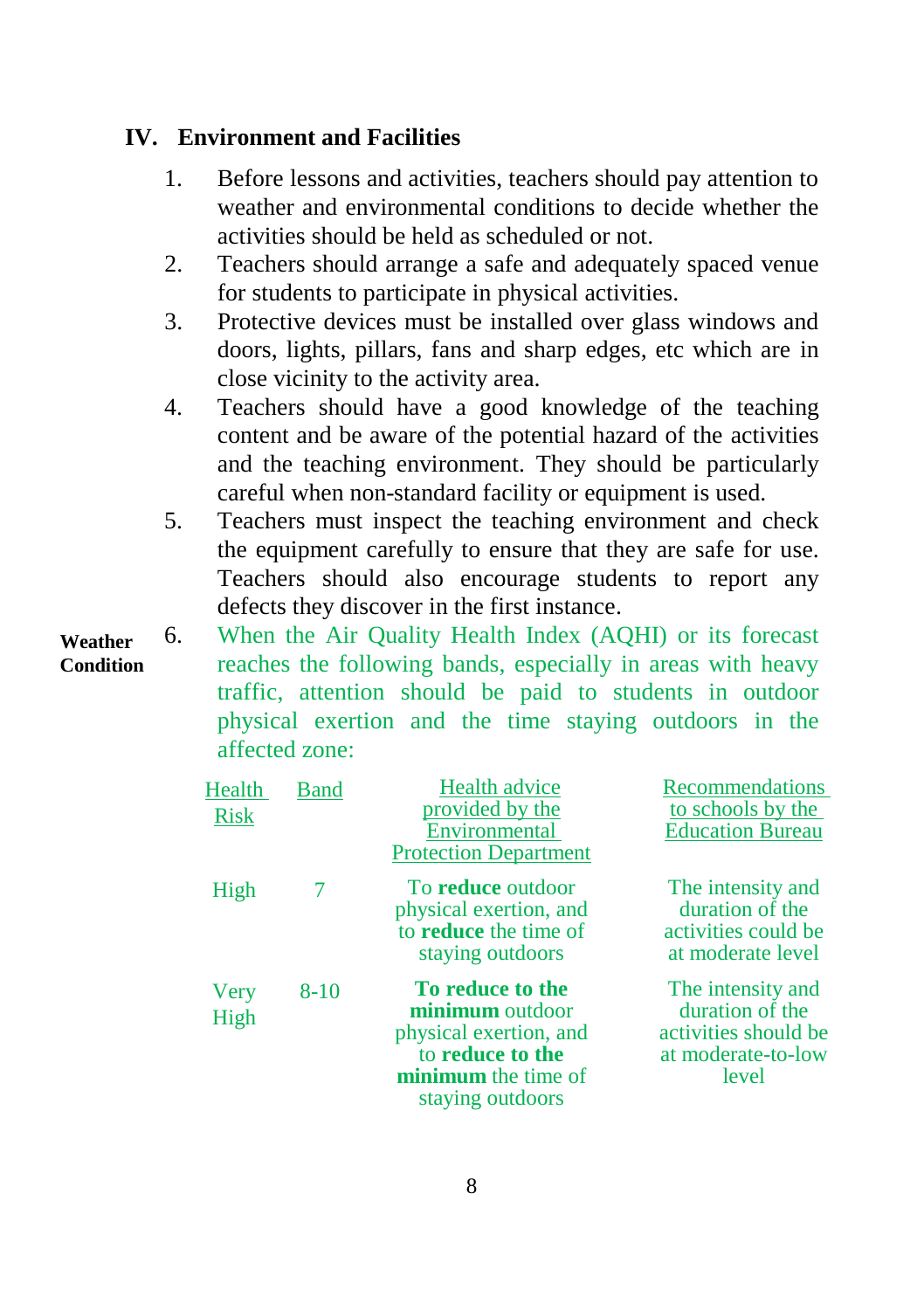#### **IV. Environment and Facilities**

- 1. Before lessons and activities, teachers should pay attention to weather and environmental conditions to decide whether the activities should be held as scheduled or not.
- 2. Teachers should arrange a safe and adequately spaced venue for students to participate in physical activities.
- 3. Protective devices must be installed over glass windows and doors, lights, pillars, fans and sharp edges, etc which are in close vicinity to the activity area.
- 4. Teachers should have a good knowledge of the teaching content and be aware of the potential hazard of the activities and the teaching environment. They should be particularly careful when non-standard facility or equipment is used.
- 5. Teachers must inspect the teaching environment and check the equipment carefully to ensure that they are safe for use. Teachers should also encourage students to report any defects they discover in the first instance.

6. When the Air Quality Health Index (AQHI) or its forecast reaches the following bands, especially in areas with heavy traffic, attention should be paid to students in outdoor physical exertion and the time staying outdoors in the affected zone: **Weather Condition**

| Health<br><b>Risk</b> | Band     | <b>Health advice</b><br>provided by the<br>Environmental<br><b>Protection Department</b>                                            | Recommendations<br>to schools by the<br><b>Education Bureau</b>                             |
|-----------------------|----------|-------------------------------------------------------------------------------------------------------------------------------------|---------------------------------------------------------------------------------------------|
| High                  |          | To reduce outdoor<br>physical exertion, and<br>to <b>reduce</b> the time of<br>staying outdoors                                     | The intensity and<br>duration of the<br>activities could be<br>at moderate level            |
| Very<br>High          | $8 - 10$ | To reduce to the<br><b>minimum</b> outdoor<br>physical exertion, and<br>to reduce to the<br>minimum the time of<br>staying outdoors | The intensity and<br>duration of the<br>activities should be<br>at moderate-to-low<br>level |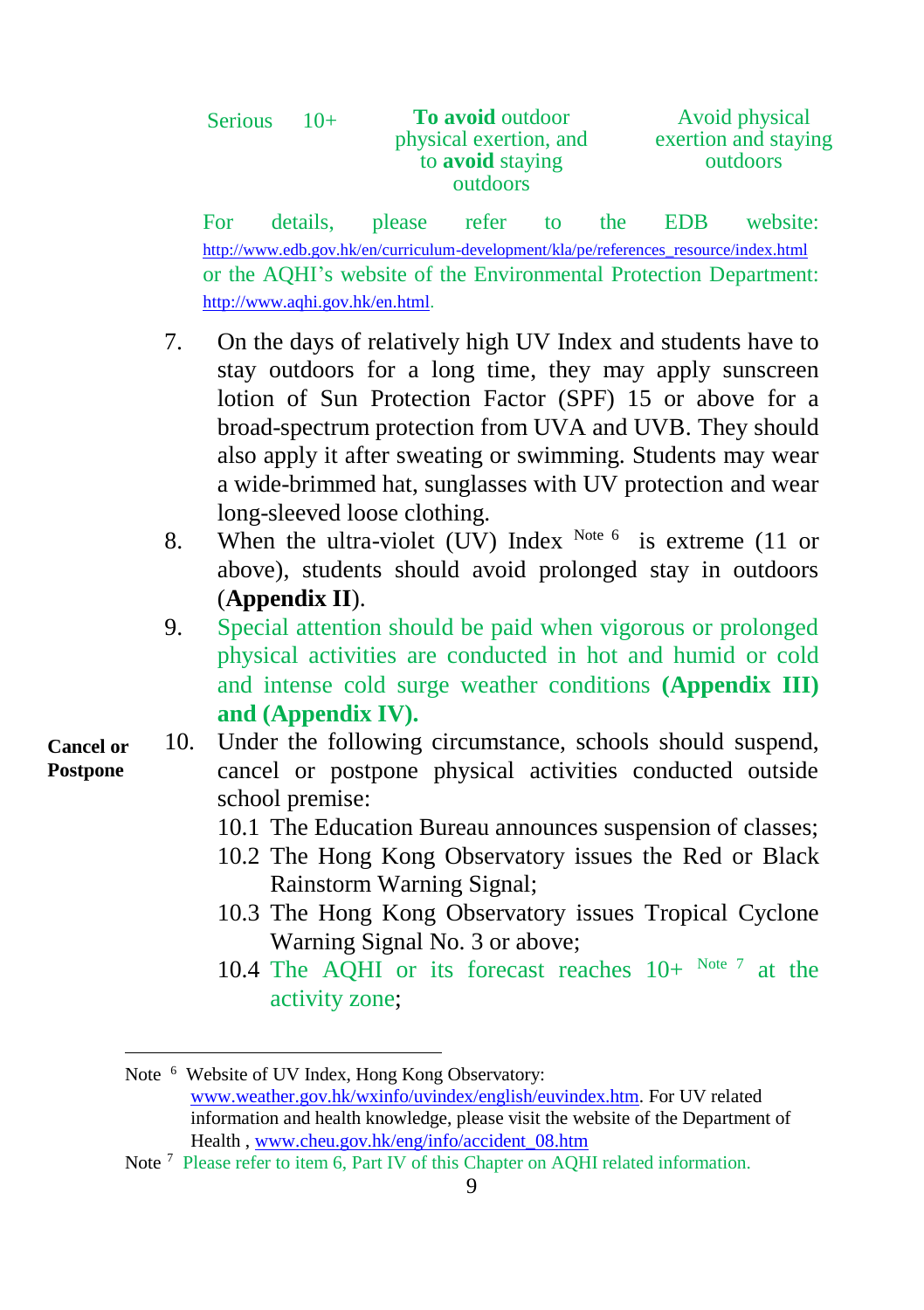| <b>Serious</b> | $10+$ | <b>To avoid outdoor</b><br>physical exertion, and<br>to <b>avoid</b> staying<br>outdoors | Avoid physical<br>exertion and staying<br>outdoors |
|----------------|-------|------------------------------------------------------------------------------------------|----------------------------------------------------|
|                |       |                                                                                          |                                                    |

For details, please refer to the EDB website: [http://www.edb.gov.hk/en/curriculum-development/kla/pe/references\\_resource/index.html](http://www.edb.gov.hk/en/curriculum-development/kla/pe/references_resource/index.html) or the AQHI's website of the Environmental Protection Department: [http://www.aqhi.gov.hk/en.html.](http://www.aqhi.gov.hk/en.html)

- 7. On the days of relatively high UV Index and students have to stay outdoors for a long time, they may apply sunscreen lotion of Sun Protection Factor (SPF) 15 or above for a broad-spectrum protection from UVA and UVB. They should also apply it after sweating or swimming. Students may wear a wide-brimmed hat, sunglasses with UV protection and wear long-sleeved loose clothing.
- 8. When the ultra-violet (UV) Index  $^{Note 6}$  is extreme (11 or above), students should avoid prolonged stay in outdoors (**Appendix II**).
- 9. Special attention should be paid when vigorous or prolonged physical activities are conducted in hot and humid or cold and intense cold surge weather conditions **(Appendix III) and (Appendix IV).**
- 10. Under the following circumstance, schools should suspend, cancel or postpone physical activities conducted outside school premise:
	- 10.1 The Education Bureau announces suspension of classes;
	- 10.2 The Hong Kong Observatory issues the Red or Black Rainstorm Warning Signal;
	- 10.3 The Hong Kong Observatory issues Tropical Cyclone Warning Signal No. 3 or above;
	- 10.4 The AQHI or its forecast reaches  $10+$  Note 7 at the activity zone;

**Cancel or Postpone** 

-

Note <sup>6</sup> Website of UV Index, Hong Kong Observatory: [www.weather.gov.hk/wxinfo/uvindex/english/euvindex.htm.](http://www.weather.gov.hk/wxinfo/uvindex/english/euvindex.htm) For UV related information and health knowledge, please visit the website of the Department of Health , [www.cheu.gov.hk/eng/info/accident\\_08.htm](http://www.cheu.gov.hk/eng/info/accident_08.htm)

Note<sup>7</sup> Please refer to item 6, Part IV of this Chapter on AOHI related information.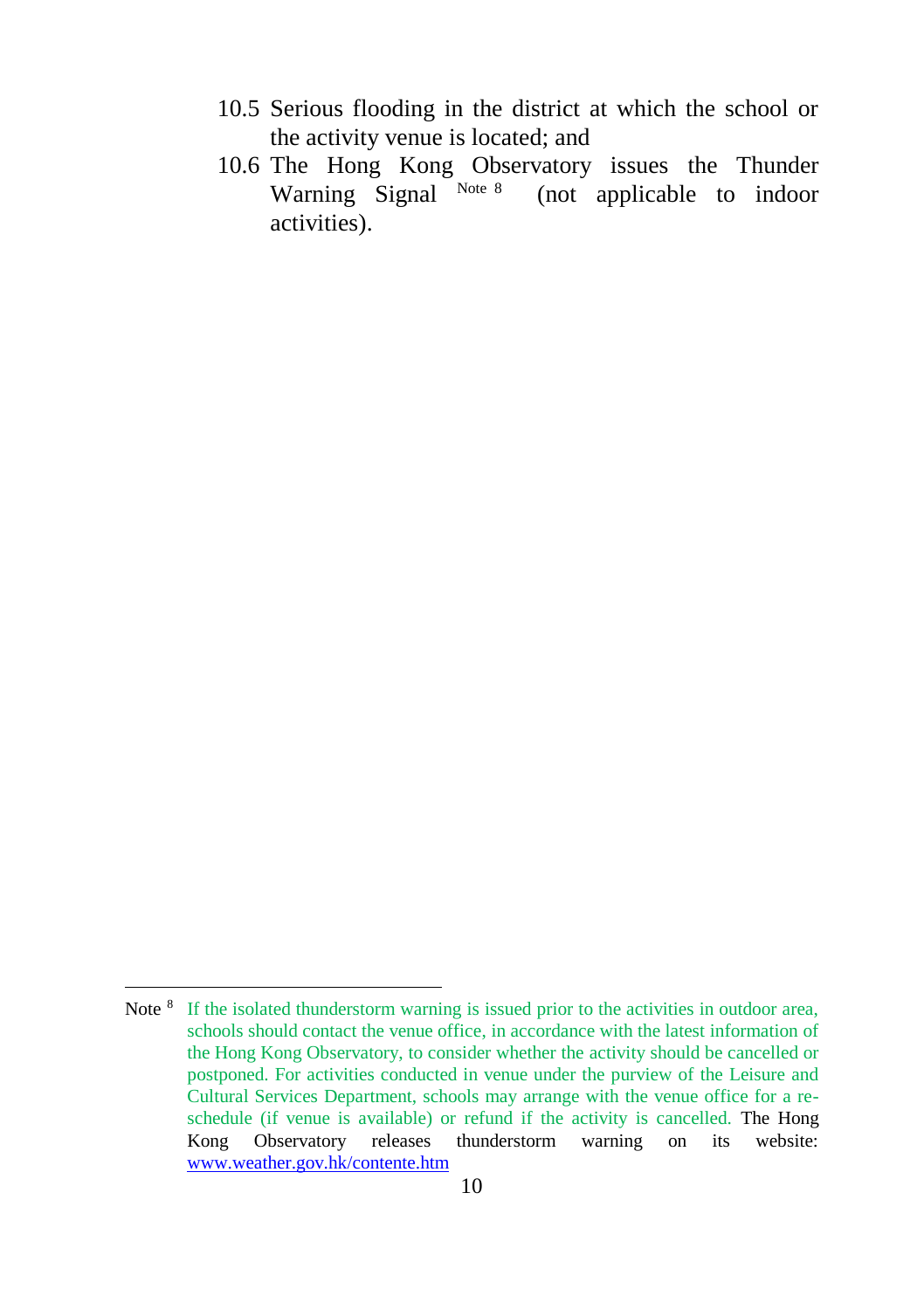- 10.5 Serious flooding in the district at which the school or the activity venue is located; and
- 10.6 The Hong Kong Observatory issues the Thunder Warning Signal Note 8 (not applicable to indoor activities).

l

Note <sup>8</sup> If the isolated thunderstorm warning is issued prior to the activities in outdoor area, schools should contact the venue office, in accordance with the latest information of the Hong Kong Observatory, to consider whether the activity should be cancelled or postponed. For activities conducted in venue under the purview of the Leisure and Cultural Services Department, schools may arrange with the venue office for a reschedule (if venue is available) or refund if the activity is cancelled. The Hong Kong Observatory releases thunderstorm warning on its website: [www.weather.gov.hk/contente.htm](http://www.weather.gov.hk/contente.htm)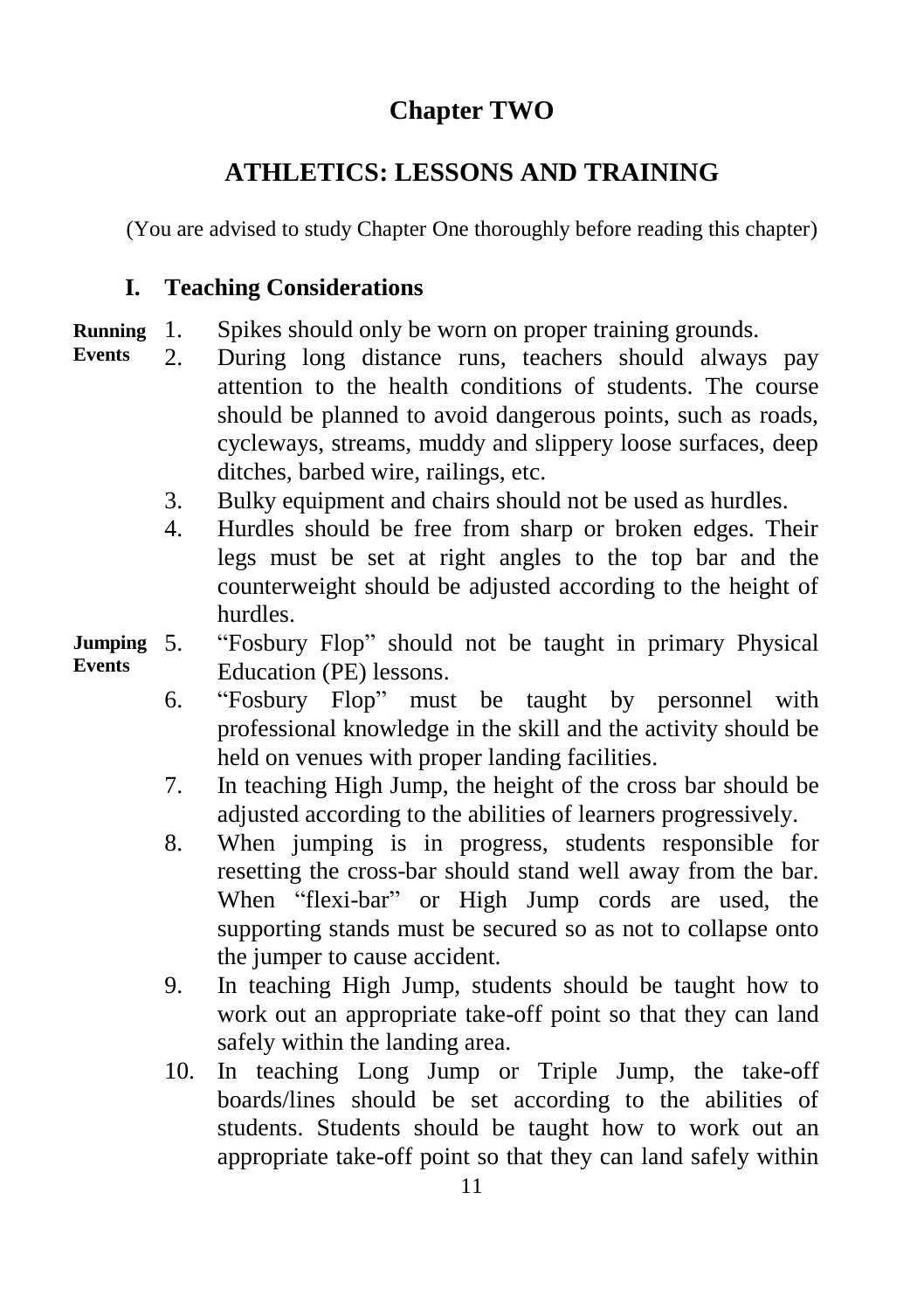# **Chapter TWO**

# **ATHLETICS: LESSONS AND TRAINING**

(You are advised to study Chapter One thoroughly before reading this chapter)

### **I. Teaching Considerations**

- 1. Spikes should only be worn on proper training grounds. **Running**
- 2. During long distance runs, teachers should always pay attention to the health conditions of students. The course should be planned to avoid dangerous points, such as roads, cycleways, streams, muddy and slippery loose surfaces, deep ditches, barbed wire, railings, etc. **Events**
	- 3. Bulky equipment and chairs should not be used as hurdles.
	- 4. Hurdles should be free from sharp or broken edges. Their legs must be set at right angles to the top bar and the counterweight should be adjusted according to the height of hurdles.
- 5. "Fosbury Flop" should not be taught in primary Physical Education (PE) lessons. **Jumping Events**
	- 6. "Fosbury Flop" must be taught by personnel with professional knowledge in the skill and the activity should be held on venues with proper landing facilities.
	- 7. In teaching High Jump, the height of the cross bar should be adjusted according to the abilities of learners progressively.
	- 8. When jumping is in progress, students responsible for resetting the cross-bar should stand well away from the bar. When "flexi-bar" or High Jump cords are used, the supporting stands must be secured so as not to collapse onto the jumper to cause accident.
	- 9. In teaching High Jump, students should be taught how to work out an appropriate take-off point so that they can land safely within the landing area.
	- 10. In teaching Long Jump or Triple Jump, the take-off boards/lines should be set according to the abilities of students. Students should be taught how to work out an appropriate take-off point so that they can land safely within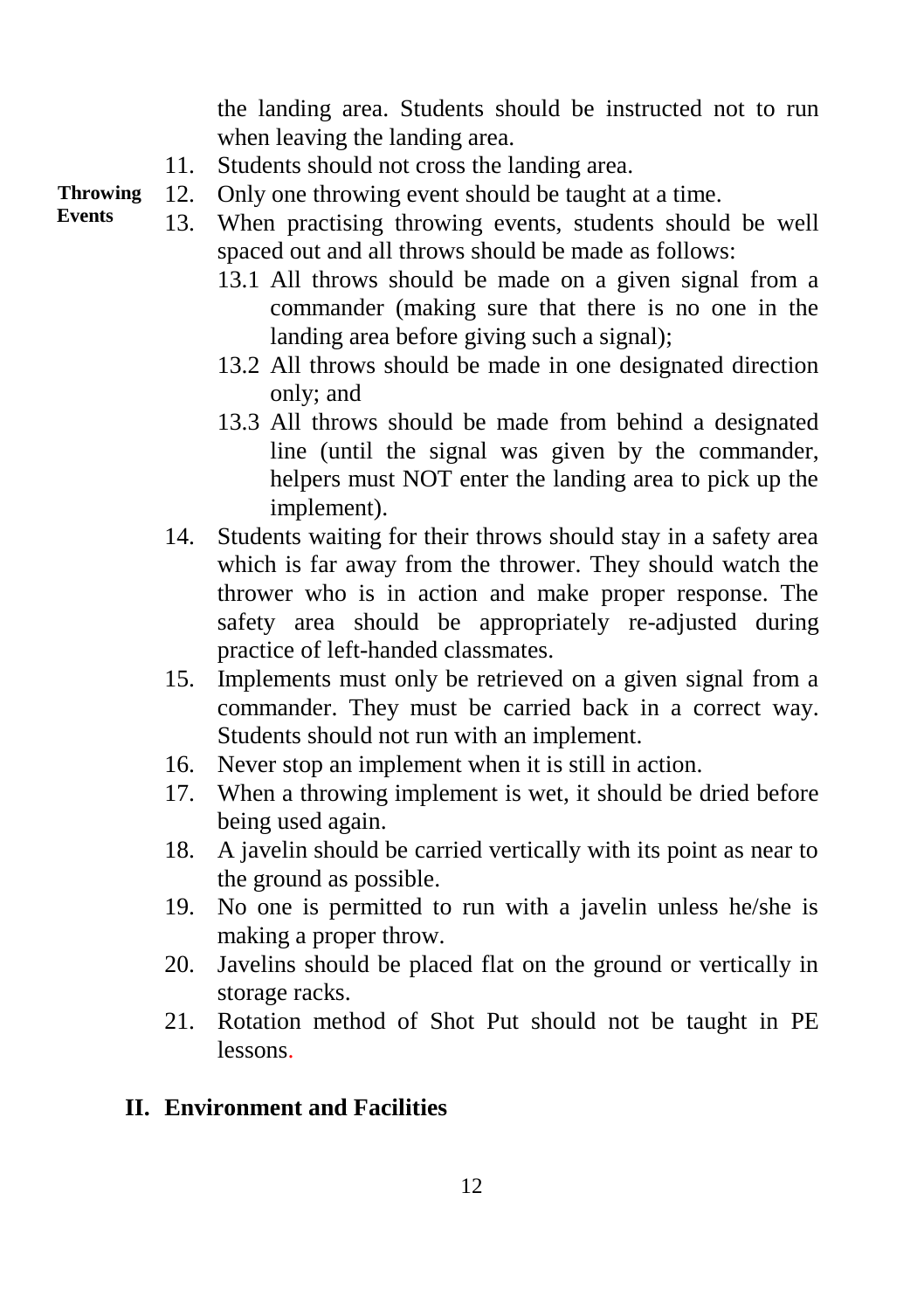the landing area. Students should be instructed not to run when leaving the landing area.

- 11. Students should not cross the landing area.
- 12. Only one throwing event should be taught at a time. **Throwing**
	- 13. When practising throwing events, students should be well spaced out and all throws should be made as follows:
		- 13.1 All throws should be made on a given signal from a commander (making sure that there is no one in the landing area before giving such a signal);
		- 13.2 All throws should be made in one designated direction only; and
		- 13.3 All throws should be made from behind a designated line (until the signal was given by the commander, helpers must NOT enter the landing area to pick up the implement).
		- 14. Students waiting for their throws should stay in a safety area which is far away from the thrower. They should watch the thrower who is in action and make proper response. The safety area should be appropriately re-adjusted during practice of left-handed classmates.
		- 15. Implements must only be retrieved on a given signal from a commander. They must be carried back in a correct way. Students should not run with an implement.
		- 16. Never stop an implement when it is still in action.
		- 17. When a throwing implement is wet, it should be dried before being used again.
		- 18. A javelin should be carried vertically with its point as near to the ground as possible.
		- 19. No one is permitted to run with a javelin unless he/she is making a proper throw.
		- 20. Javelins should be placed flat on the ground or vertically in storage racks.
		- 21. Rotation method of Shot Put should not be taught in PE lessons.

#### **II. Environment and Facilities**

**Events**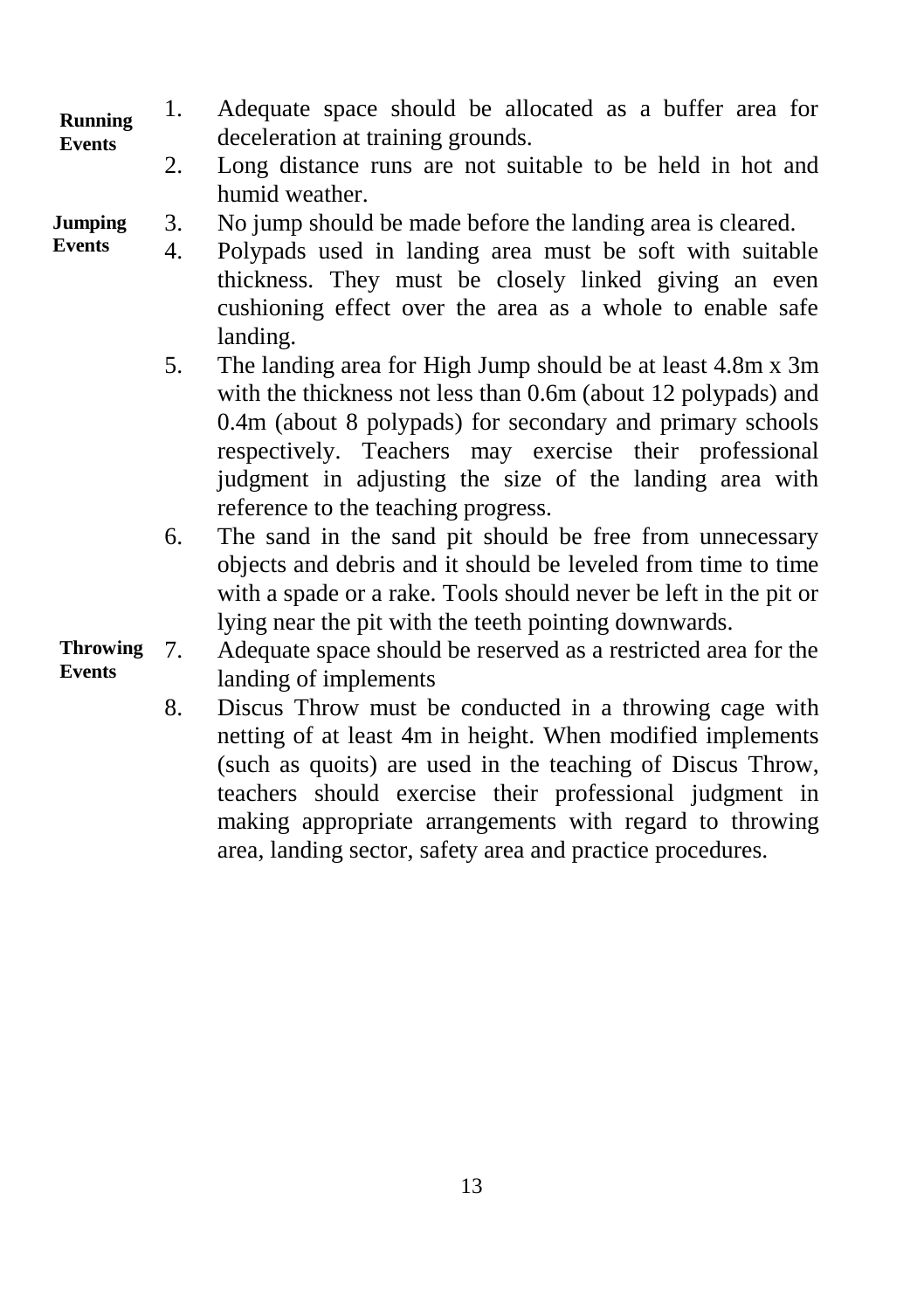- 1. Adequate space should be allocated as a buffer area for deceleration at training grounds. **Running Events**
	- 2. Long distance runs are not suitable to be held in hot and humid weather.
- 3. No jump should be made before the landing area is cleared. **Jumping**
- 4. Polypads used in landing area must be soft with suitable thickness. They must be closely linked giving an even cushioning effect over the area as a whole to enable safe landing. **Events**
	- 5. The landing area for High Jump should be at least 4.8m x 3m with the thickness not less than 0.6m (about 12 polypads) and 0.4m (about 8 polypads) for secondary and primary schools respectively. Teachers may exercise their professional judgment in adjusting the size of the landing area with reference to the teaching progress.
	- 6. The sand in the sand pit should be free from unnecessary objects and debris and it should be leveled from time to time with a spade or a rake. Tools should never be left in the pit or lying near the pit with the teeth pointing downwards.
- 7. Adequate space should be reserved as a restricted area for the landing of implements **Throwing Events**
	- 8. Discus Throw must be conducted in a throwing cage with netting of at least 4m in height. When modified implements (such as quoits) are used in the teaching of Discus Throw, teachers should exercise their professional judgment in making appropriate arrangements with regard to throwing area, landing sector, safety area and practice procedures.

13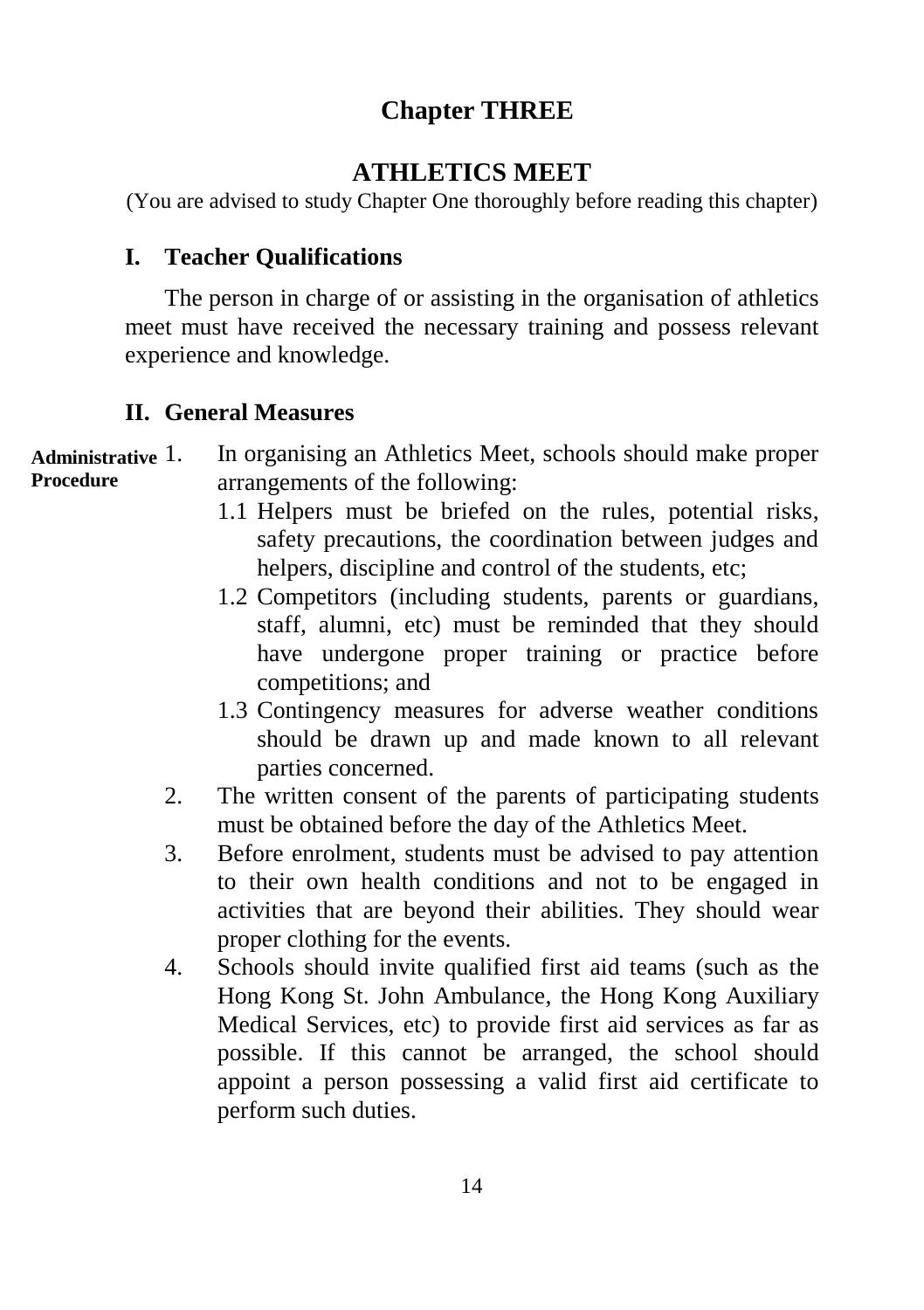# **Chapter THREE**

# **ATHLETICS MEET**

(You are advised to study Chapter One thoroughly before reading this chapter)

#### **I. Teacher Qualifications**

The person in charge of or assisting in the organisation of athletics meet must have received the necessary training and possess relevant experience and knowledge.

#### **II. General Measures**

| Administrative $1$ . | In organising an Athletics Meet, schools should make proper |
|----------------------|-------------------------------------------------------------|
| Procedure            | arrangements of the following:                              |

- 1.1 Helpers must be briefed on the rules, potential risks, safety precautions, the coordination between judges and helpers, discipline and control of the students, etc;
- 1.2 Competitors (including students, parents or guardians, staff, alumni, etc) must be reminded that they should have undergone proper training or practice before competitions; and
- 1.3 Contingency measures for adverse weather conditions should be drawn up and made known to all relevant parties concerned.
- 2. The written consent of the parents of participating students must be obtained before the day of the Athletics Meet.
- 3. Before enrolment, students must be advised to pay attention to their own health conditions and not to be engaged in activities that are beyond their abilities. They should wear proper clothing for the events.
- 4. Schools should invite qualified first aid teams (such as the Hong Kong St. John Ambulance, the Hong Kong Auxiliary Medical Services, etc) to provide first aid services as far as possible. If this cannot be arranged, the school should appoint a person possessing a valid first aid certificate to perform such duties.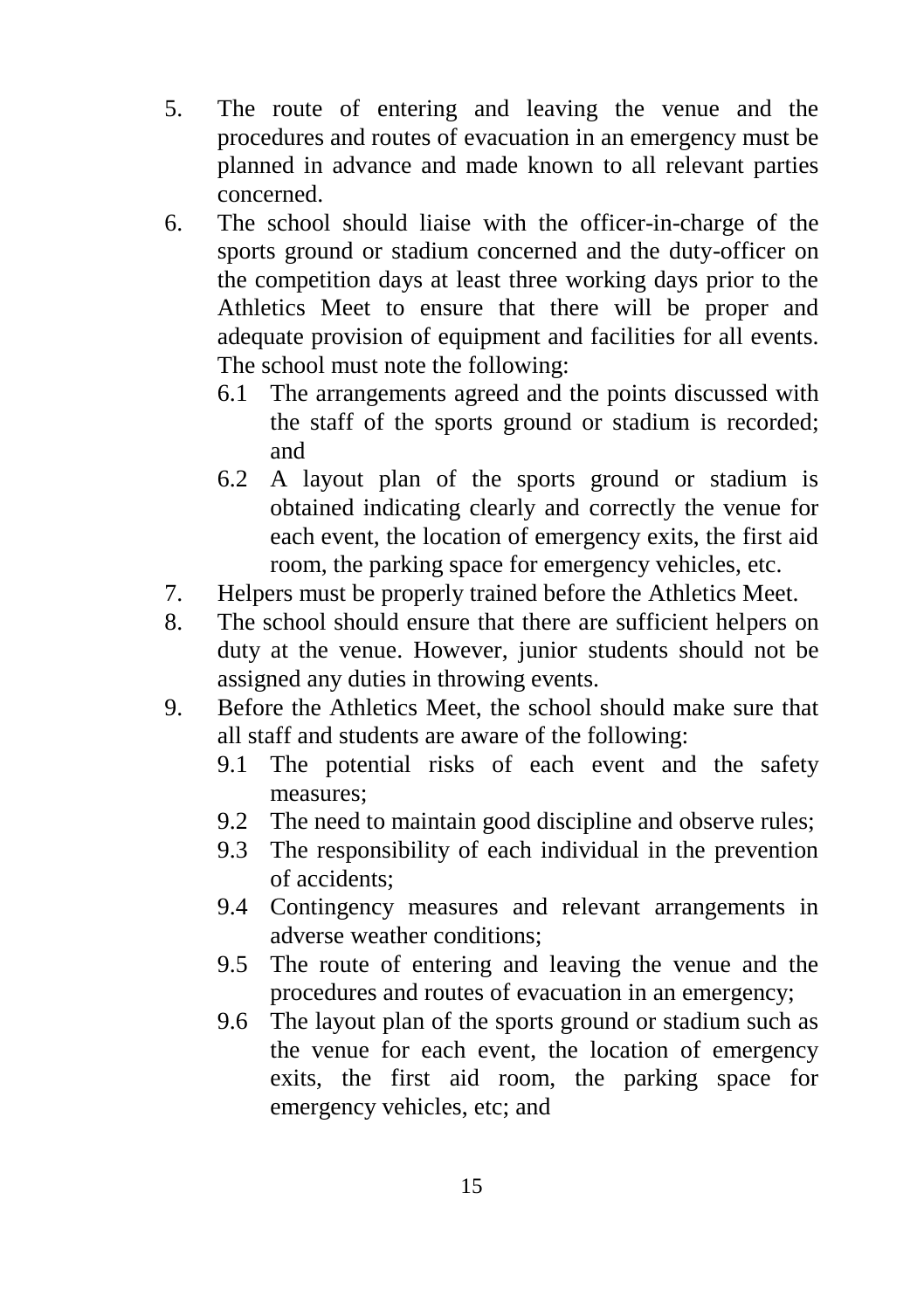- 5. The route of entering and leaving the venue and the procedures and routes of evacuation in an emergency must be planned in advance and made known to all relevant parties concerned.
- 6. The school should liaise with the officer-in-charge of the sports ground or stadium concerned and the duty-officer on the competition days at least three working days prior to the Athletics Meet to ensure that there will be proper and adequate provision of equipment and facilities for all events. The school must note the following:
	- 6.1 The arrangements agreed and the points discussed with the staff of the sports ground or stadium is recorded; and
	- 6.2 A layout plan of the sports ground or stadium is obtained indicating clearly and correctly the venue for each event, the location of emergency exits, the first aid room, the parking space for emergency vehicles, etc.
- 7. Helpers must be properly trained before the Athletics Meet.
- 8. The school should ensure that there are sufficient helpers on duty at the venue. However, junior students should not be assigned any duties in throwing events.
- 9. Before the Athletics Meet, the school should make sure that all staff and students are aware of the following:
	- 9.1 The potential risks of each event and the safety measures;
	- 9.2 The need to maintain good discipline and observe rules;
	- 9.3 The responsibility of each individual in the prevention of accidents;
	- 9.4 Contingency measures and relevant arrangements in adverse weather conditions;
	- 9.5 The route of entering and leaving the venue and the procedures and routes of evacuation in an emergency;
	- 9.6 The layout plan of the sports ground or stadium such as the venue for each event, the location of emergency exits, the first aid room, the parking space for emergency vehicles, etc; and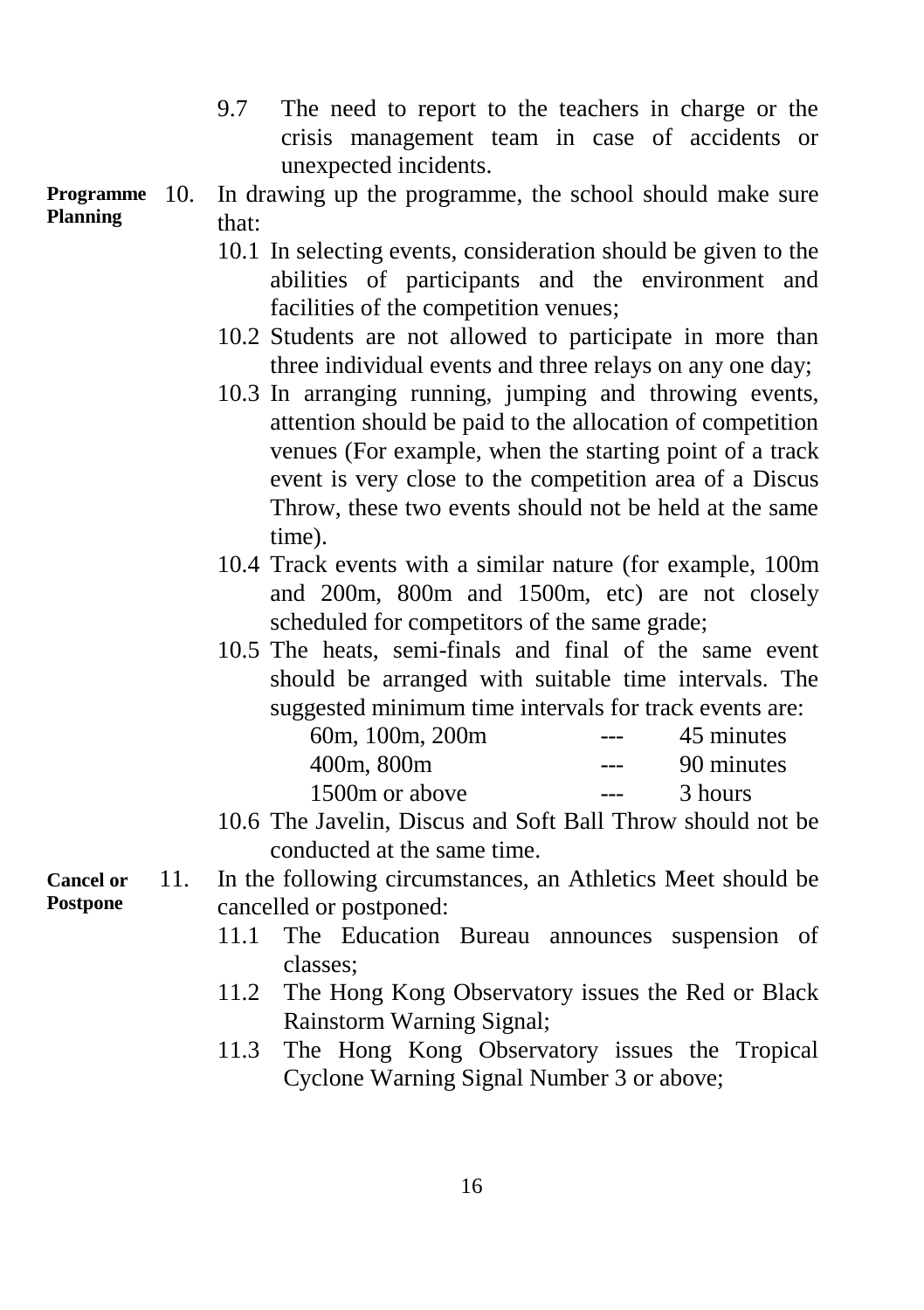9.7 The need to report to the teachers in charge or the crisis management team in case of accidents or unexpected incidents.

In drawing up the programme, the school should make sure that: **Programme Planning**

- 10.1 In selecting events, consideration should be given to the abilities of participants and the environment and facilities of the competition venues;
- 10.2 Students are not allowed to participate in more than three individual events and three relays on any one day;
- 10.3 In arranging running, jumping and throwing events, attention should be paid to the allocation of competition venues (For example, when the starting point of a track event is very close to the competition area of a Discus Throw, these two events should not be held at the same time).
- 10.4 Track events with a similar nature (for example, 100m and 200m, 800m and 1500m, etc) are not closely scheduled for competitors of the same grade;
- 10.5 The heats, semi-finals and final of the same event should be arranged with suitable time intervals. The suggested minimum time intervals for track events are:

| 60m, 100m, 200m | --- | 45 minutes |
|-----------------|-----|------------|
| 400m, 800m      | --- | 90 minutes |
| 1500m or above  |     | 3 hours    |

- 10.6 The Javelin, Discus and Soft Ball Throw should not be conducted at the same time.
- 11. In the following circumstances, an Athletics Meet should be cancelled or postponed:
	- 11.1 The Education Bureau announces suspension of classes;
	- 11.2 The Hong Kong Observatory issues the Red or Black Rainstorm Warning Signal;
	- 11.3 The Hong Kong Observatory issues the Tropical Cyclone Warning Signal Number 3 or above;

**Cancel or Postpone**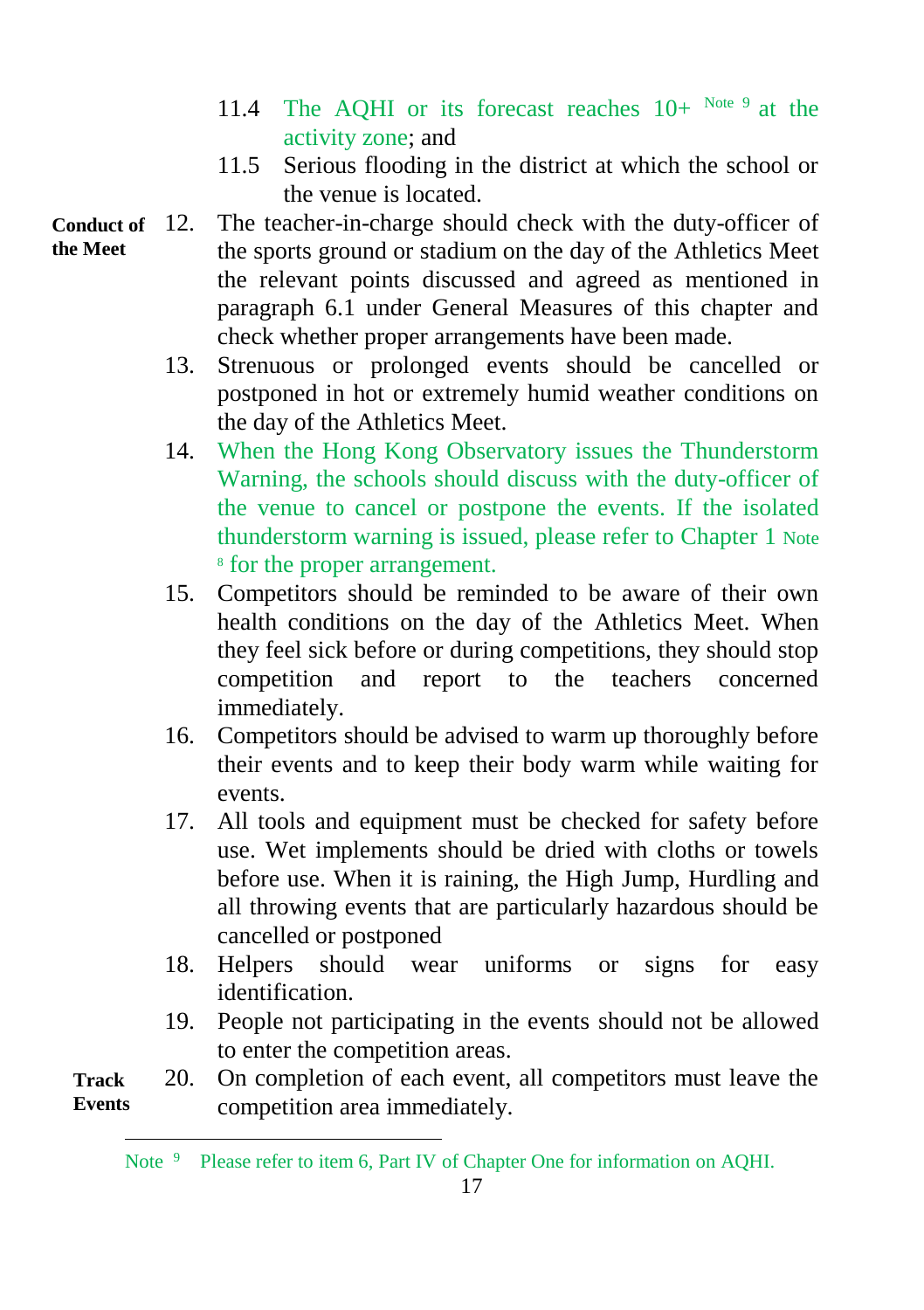- 11.4 The AQHI or its forecast reaches  $10+^{Note 9}$  at the activity zone; and
- 11.5 Serious flooding in the district at which the school or the venue is located.
- 12. The teacher-in-charge should check with the duty-officer of the sports ground or stadium on the day of the Athletics Meet the relevant points discussed and agreed as mentioned in paragraph 6.1 under General Measures of this chapter and check whether proper arrangements have been made. **Conduct of the Meet**
	- 13. Strenuous or prolonged events should be cancelled or postponed in hot or extremely humid weather conditions on the day of the Athletics Meet.
	- 14. When the Hong Kong Observatory issues the Thunderstorm Warning, the schools should discuss with the duty-officer of the venue to cancel or postpone the events. If the isolated thunderstorm warning is issued, please refer to Chapter 1 Note 8 for the proper arrangement.
	- 15. Competitors should be reminded to be aware of their own health conditions on the day of the Athletics Meet. When they feel sick before or during competitions, they should stop competition and report to the teachers concerned immediately.
	- 16. Competitors should be advised to warm up thoroughly before their events and to keep their body warm while waiting for events.
	- 17. All tools and equipment must be checked for safety before use. Wet implements should be dried with cloths or towels before use. When it is raining, the High Jump, Hurdling and all throwing events that are particularly hazardous should be cancelled or postponed
	- 18. Helpers should wear uniforms or signs for easy identification.
	- 19. People not participating in the events should not be allowed to enter the competition areas.

20. On completion of each event, all competitors must leave the competition area immediately. **Track Events**

l Note <sup>9</sup> Please refer to item 6, Part IV of Chapter One for information on AQHI.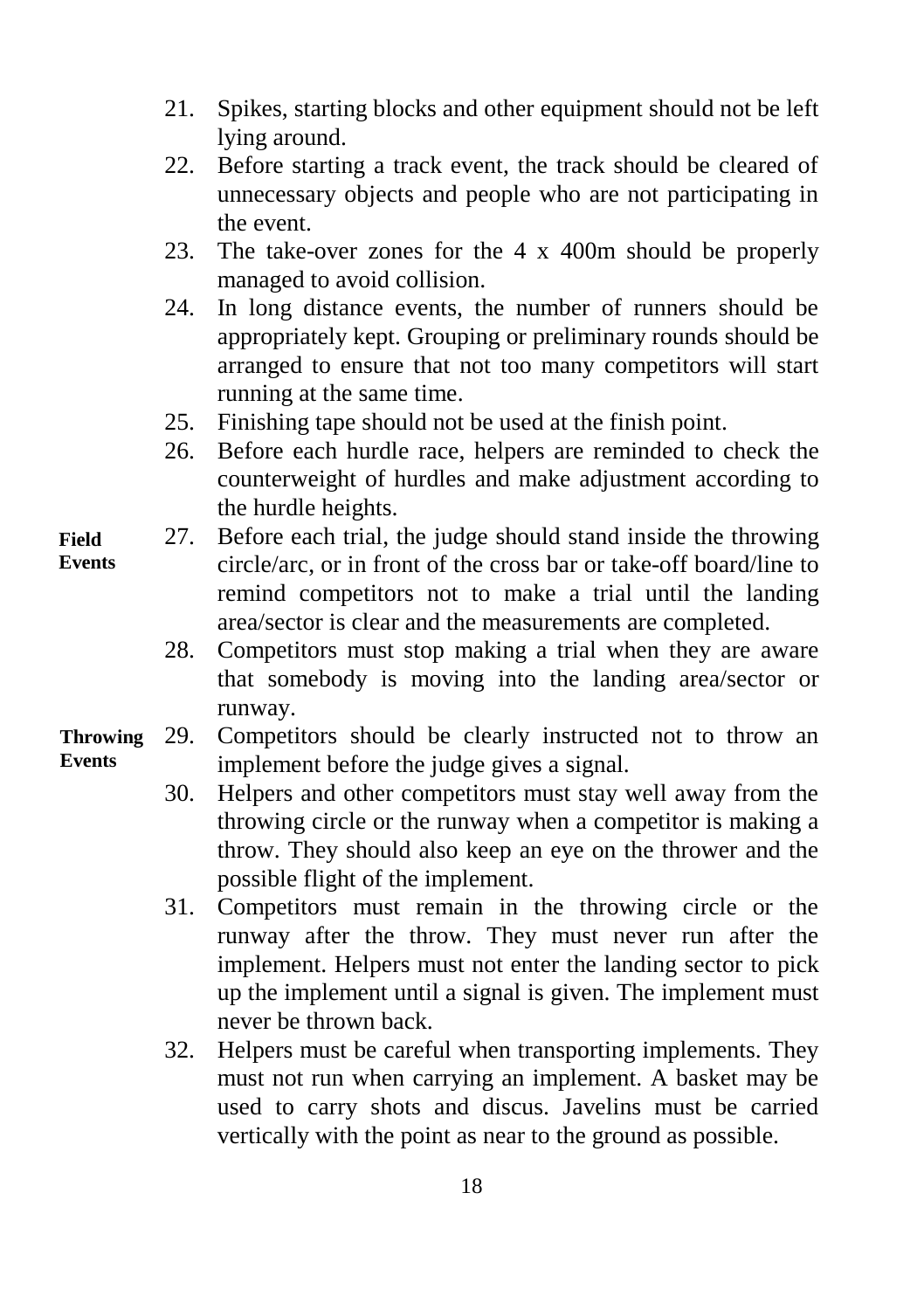- 21. Spikes, starting blocks and other equipment should not be left lying around.
- 22. Before starting a track event, the track should be cleared of unnecessary objects and people who are not participating in the event.
- 23. The take-over zones for the 4 x 400m should be properly managed to avoid collision.
- 24. In long distance events, the number of runners should be appropriately kept. Grouping or preliminary rounds should be arranged to ensure that not too many competitors will start running at the same time.
- 25. Finishing tape should not be used at the finish point.
- 26. Before each hurdle race, helpers are reminded to check the counterweight of hurdles and make adjustment according to the hurdle heights.
- 27. Before each trial, the judge should stand inside the throwing circle/arc, or in front of the cross bar or take-off board/line to remind competitors not to make a trial until the landing area/sector is clear and the measurements are completed.
	- 28. Competitors must stop making a trial when they are aware that somebody is moving into the landing area/sector or runway.

#### 29. Competitors should be clearly instructed not to throw an implement before the judge gives a signal. **Throwing Events**

- 30. Helpers and other competitors must stay well away from the throwing circle or the runway when a competitor is making a throw. They should also keep an eye on the thrower and the possible flight of the implement.
- 31. Competitors must remain in the throwing circle or the runway after the throw. They must never run after the implement. Helpers must not enter the landing sector to pick up the implement until a signal is given. The implement must never be thrown back.
- 32. Helpers must be careful when transporting implements. They must not run when carrying an implement. A basket may be used to carry shots and discus. Javelins must be carried vertically with the point as near to the ground as possible.

**Field Events**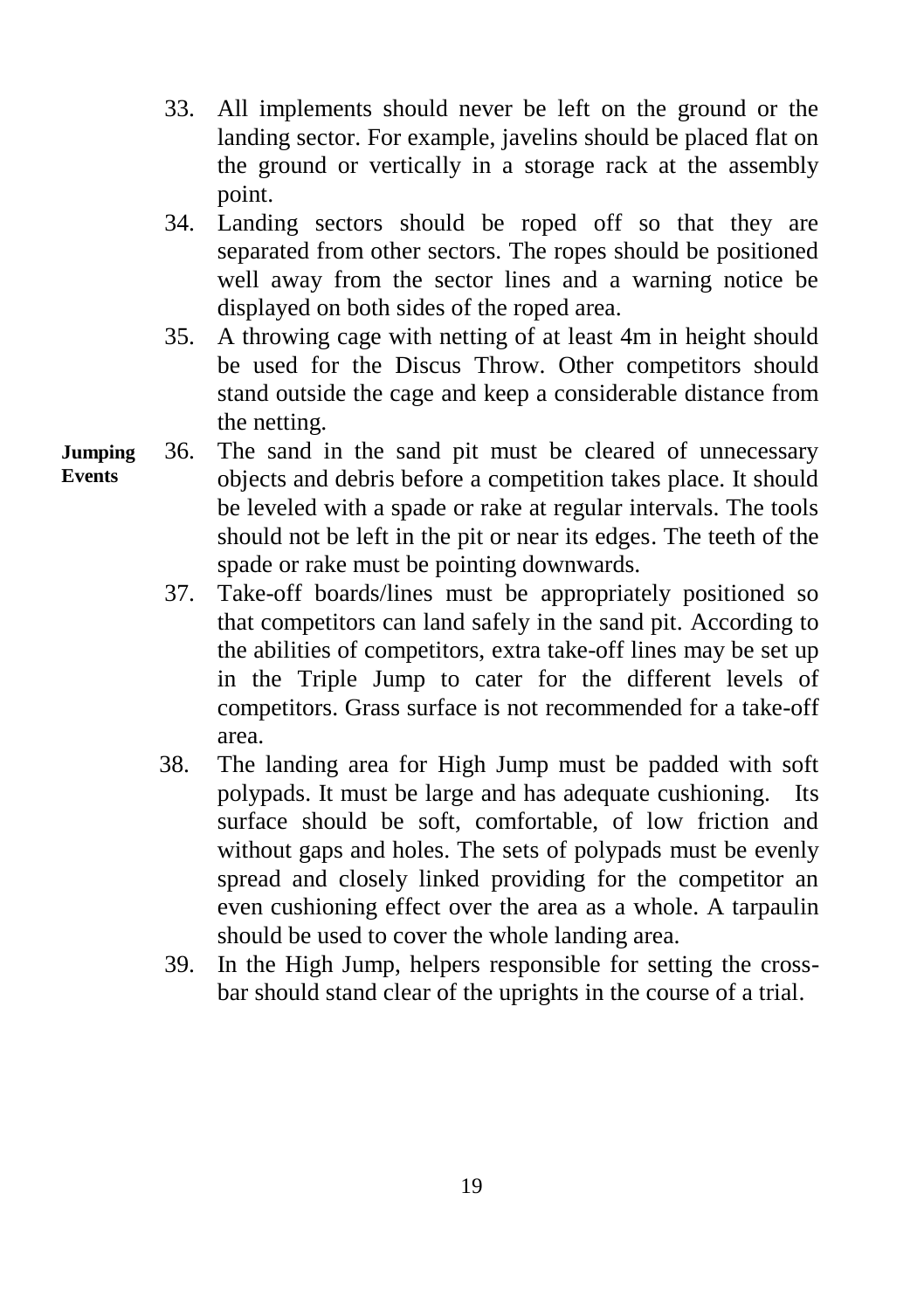- 33. All implements should never be left on the ground or the landing sector. For example, javelins should be placed flat on the ground or vertically in a storage rack at the assembly point.
- 34. Landing sectors should be roped off so that they are separated from other sectors. The ropes should be positioned well away from the sector lines and a warning notice be displayed on both sides of the roped area.
- 35. A throwing cage with netting of at least 4m in height should be used for the Discus Throw. Other competitors should stand outside the cage and keep a considerable distance from the netting.
- 36. The sand in the sand pit must be cleared of unnecessary objects and debris before a competition takes place. It should be leveled with a spade or rake at regular intervals. The tools should not be left in the pit or near its edges. The teeth of the spade or rake must be pointing downwards. **Jumping Events**
	- 37. Take-off boards/lines must be appropriately positioned so that competitors can land safely in the sand pit. According to the abilities of competitors, extra take-off lines may be set up in the Triple Jump to cater for the different levels of competitors. Grass surface is not recommended for a take-off area.
	- 38. The landing area for High Jump must be padded with soft polypads. It must be large and has adequate cushioning. Its surface should be soft, comfortable, of low friction and without gaps and holes. The sets of polypads must be evenly spread and closely linked providing for the competitor an even cushioning effect over the area as a whole. A tarpaulin should be used to cover the whole landing area.
	- 39. In the High Jump, helpers responsible for setting the crossbar should stand clear of the uprights in the course of a trial.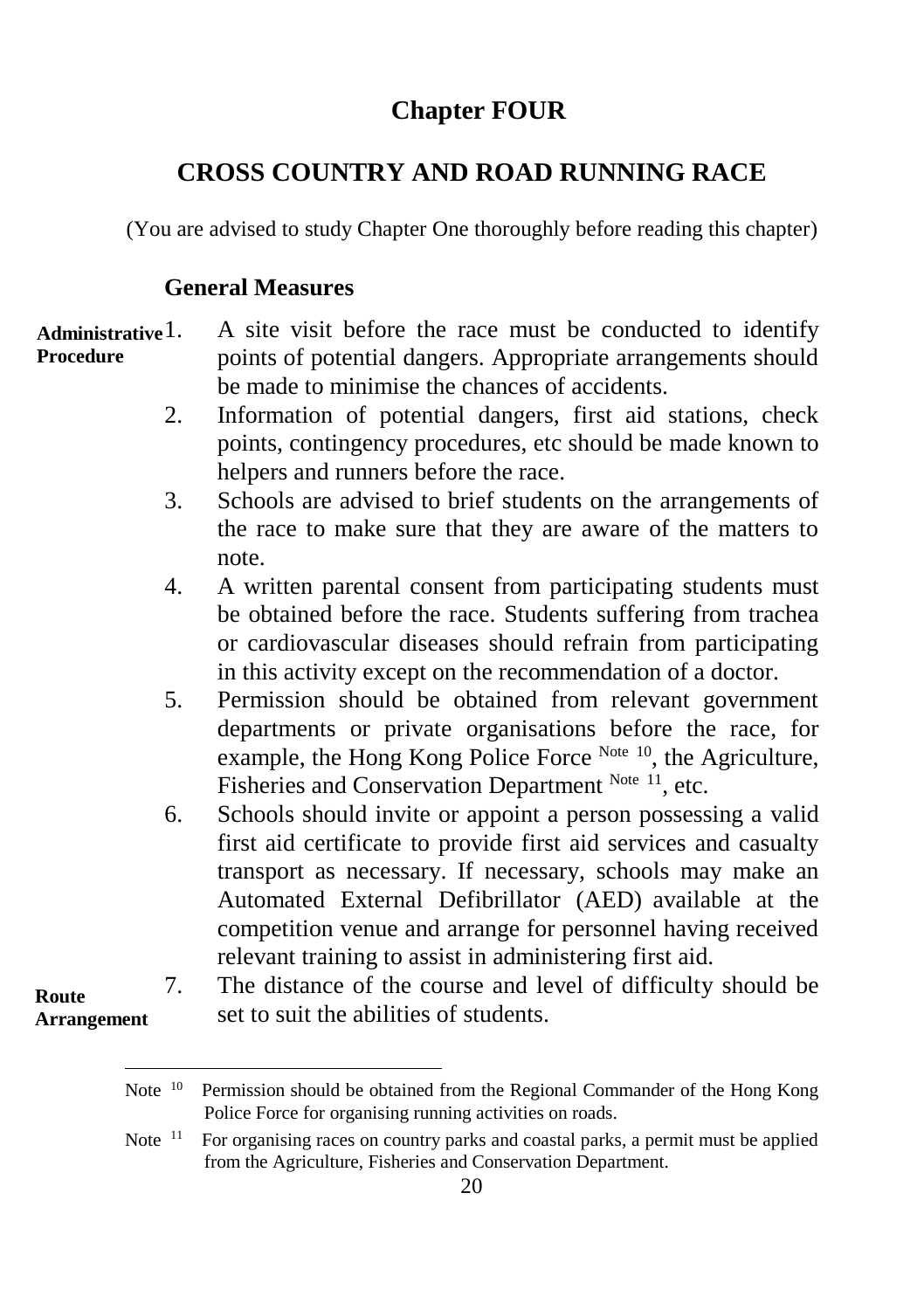# **Chapter FOUR**

# **CROSS COUNTRY AND ROAD RUNNING RACE**

(You are advised to study Chapter One thoroughly before reading this chapter)

#### **General Measures**

l

**Route** 

1. A site visit before the race must be conducted to identify points of potential dangers. Appropriate arrangements should be made to minimise the chances of accidents. **Administrative Procedure**

- 2. Information of potential dangers, first aid stations, check points, contingency procedures, etc should be made known to helpers and runners before the race.
- 3. Schools are advised to brief students on the arrangements of the race to make sure that they are aware of the matters to note.
- 4. A written parental consent from participating students must be obtained before the race. Students suffering from trachea or cardiovascular diseases should refrain from participating in this activity except on the recommendation of a doctor.
- 5. Permission should be obtained from relevant government departments or private organisations before the race, for example, the Hong Kong Police Force Note 10, the Agriculture, Fisheries and Conservation Department Note 11, etc.
- 6. Schools should invite or appoint a person possessing a valid first aid certificate to provide first aid services and casualty transport as necessary. If necessary, schools may make an Automated External Defibrillator (AED) available at the competition venue and arrange for personnel having received relevant training to assist in administering first aid.
- 7. The distance of the course and level of difficulty should be set to suit the abilities of students. **Arrangement**

Note <sup>10</sup> Permission should be obtained from the Regional Commander of the Hong Kong Police Force for organising running activities on roads.

Note  $11$  For organising races on country parks and coastal parks, a permit must be applied from the Agriculture, Fisheries and Conservation Department.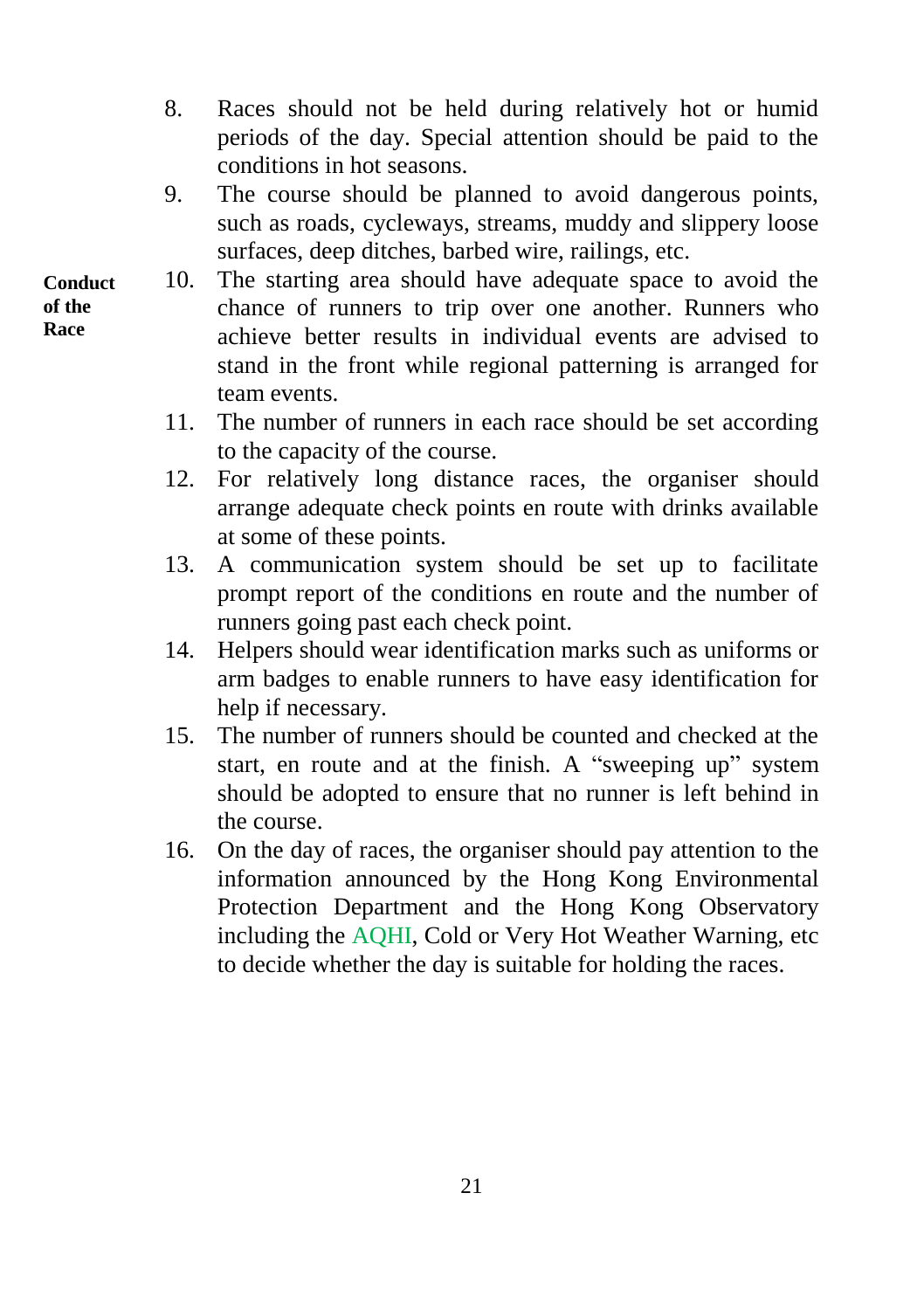- 8. Races should not be held during relatively hot or humid periods of the day. Special attention should be paid to the conditions in hot seasons.
- 9. The course should be planned to avoid dangerous points, such as roads, cycleways, streams, muddy and slippery loose surfaces, deep ditches, barbed wire, railings, etc.
- 10. The starting area should have adequate space to avoid the chance of runners to trip over one another. Runners who achieve better results in individual events are advised to stand in the front while regional patterning is arranged for team events.
	- 11. The number of runners in each race should be set according to the capacity of the course.
	- 12. For relatively long distance races, the organiser should arrange adequate check points en route with drinks available at some of these points.
	- 13. A communication system should be set up to facilitate prompt report of the conditions en route and the number of runners going past each check point.
	- 14. Helpers should wear identification marks such as uniforms or arm badges to enable runners to have easy identification for help if necessary.
	- 15. The number of runners should be counted and checked at the start, en route and at the finish. A "sweeping up" system should be adopted to ensure that no runner is left behind in the course.
	- 16. On the day of races, the organiser should pay attention to the information announced by the Hong Kong Environmental Protection Department and the Hong Kong Observatory including the AQHI, Cold or Very Hot Weather Warning, etc to decide whether the day is suitable for holding the races.

**Conduct of the Race**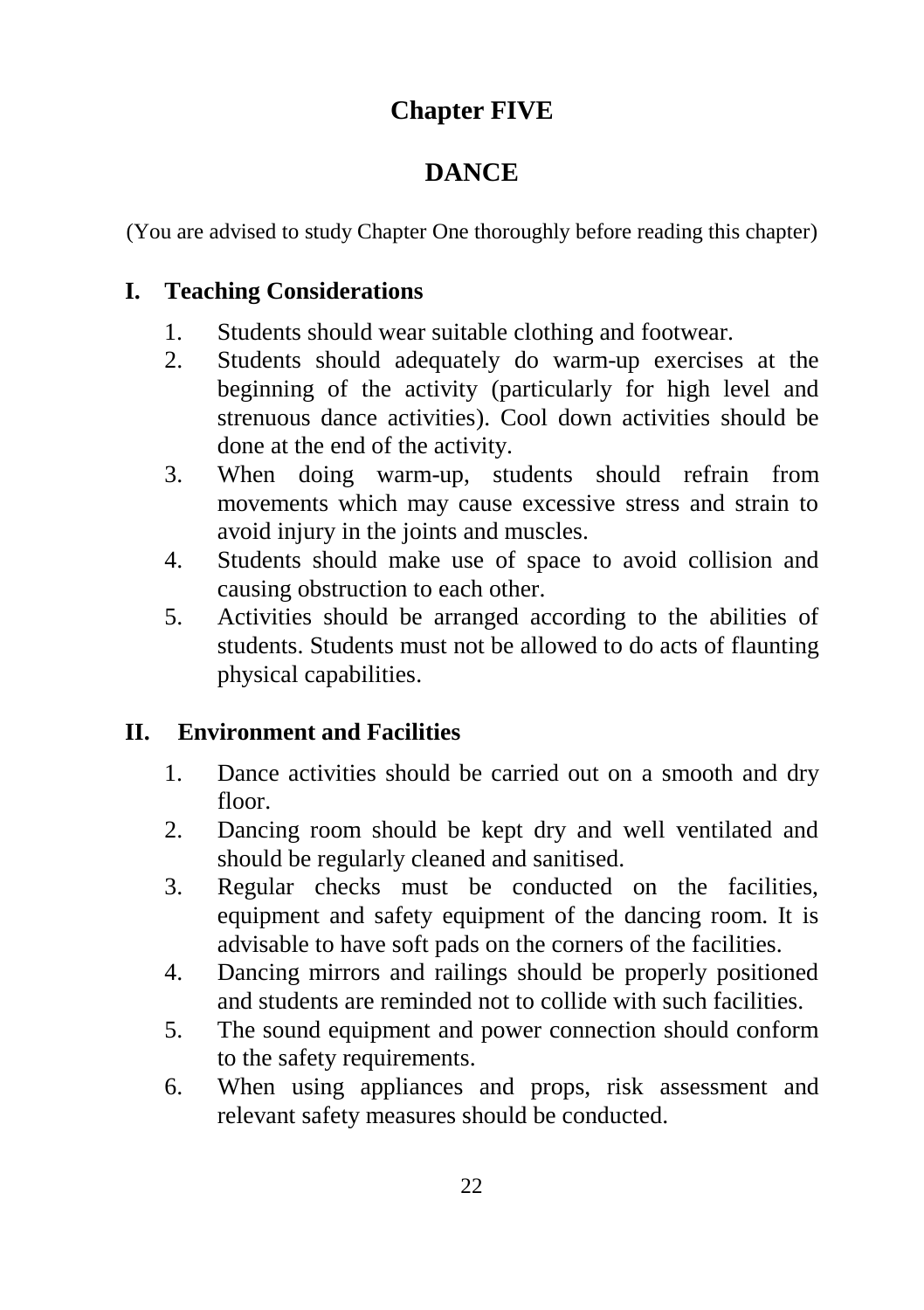# **Chapter FIVE**

# **DANCE**

(You are advised to study Chapter One thoroughly before reading this chapter)

## **I. Teaching Considerations**

- 1. Students should wear suitable clothing and footwear.
- 2. Students should adequately do warm-up exercises at the beginning of the activity (particularly for high level and strenuous dance activities). Cool down activities should be done at the end of the activity.
- 3. When doing warm-up, students should refrain from movements which may cause excessive stress and strain to avoid injury in the joints and muscles.
- 4. Students should make use of space to avoid collision and causing obstruction to each other.
- 5. Activities should be arranged according to the abilities of students. Students must not be allowed to do acts of flaunting physical capabilities.

# **II. Environment and Facilities**

- 1. Dance activities should be carried out on a smooth and dry floor.
- 2. Dancing room should be kept dry and well ventilated and should be regularly cleaned and sanitised.
- 3. Regular checks must be conducted on the facilities, equipment and safety equipment of the dancing room. It is advisable to have soft pads on the corners of the facilities.
- 4. Dancing mirrors and railings should be properly positioned and students are reminded not to collide with such facilities.
- 5. The sound equipment and power connection should conform to the safety requirements.
- 6. When using appliances and props, risk assessment and relevant safety measures should be conducted.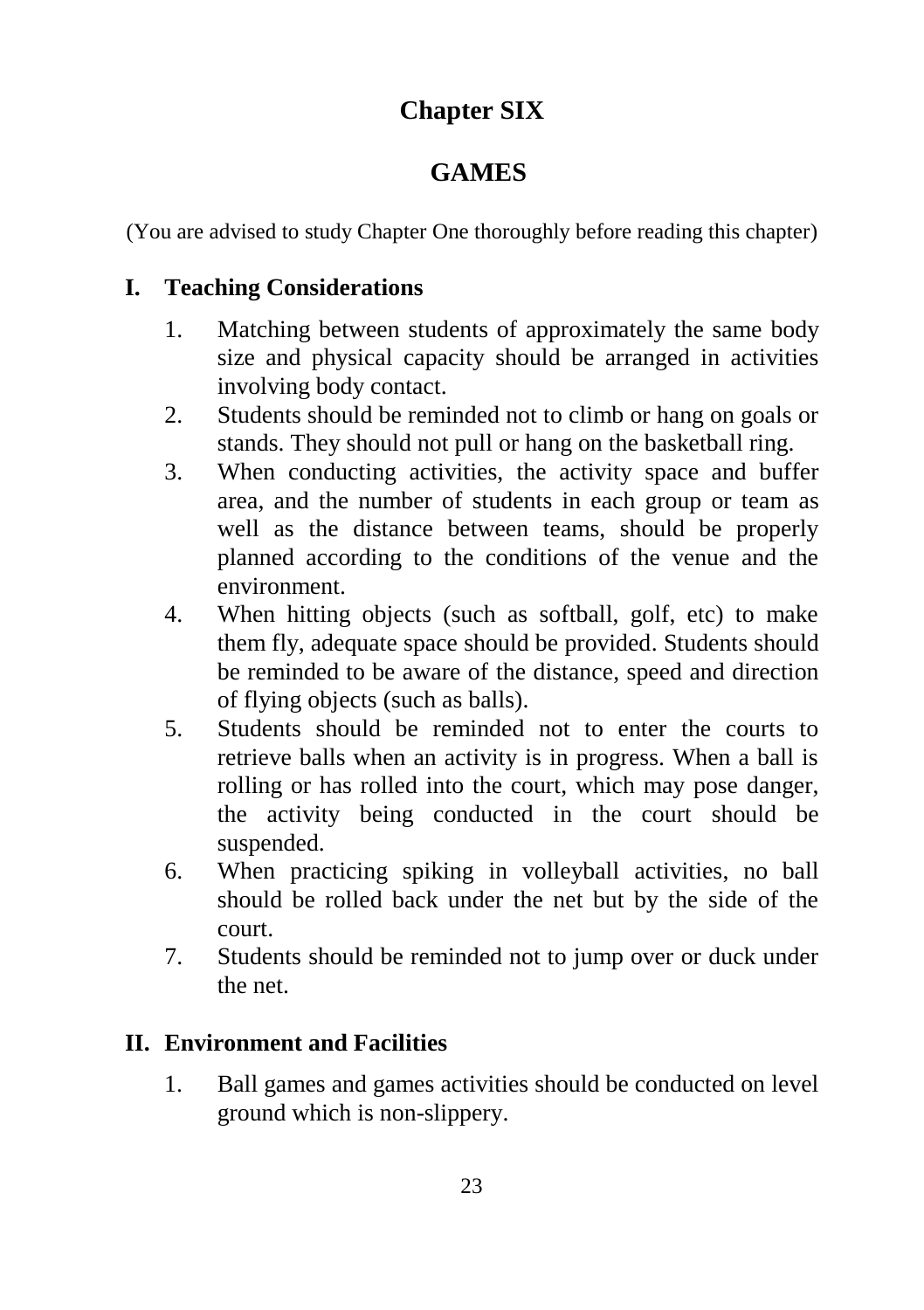# **Chapter SIX**

# **GAMES**

(You are advised to study Chapter One thoroughly before reading this chapter)

# **I. Teaching Considerations**

- 1. Matching between students of approximately the same body size and physical capacity should be arranged in activities involving body contact.
- 2. Students should be reminded not to climb or hang on goals or stands. They should not pull or hang on the basketball ring.
- 3. When conducting activities, the activity space and buffer area, and the number of students in each group or team as well as the distance between teams, should be properly planned according to the conditions of the venue and the environment.
- 4. When hitting objects (such as softball, golf, etc) to make them fly, adequate space should be provided. Students should be reminded to be aware of the distance, speed and direction of flying objects (such as balls).
- 5. Students should be reminded not to enter the courts to retrieve balls when an activity is in progress. When a ball is rolling or has rolled into the court, which may pose danger, the activity being conducted in the court should be suspended.
- 6. When practicing spiking in volleyball activities, no ball should be rolled back under the net but by the side of the court.
- 7. Students should be reminded not to jump over or duck under the net.

# **II. Environment and Facilities**

1. Ball games and games activities should be conducted on level ground which is non-slippery.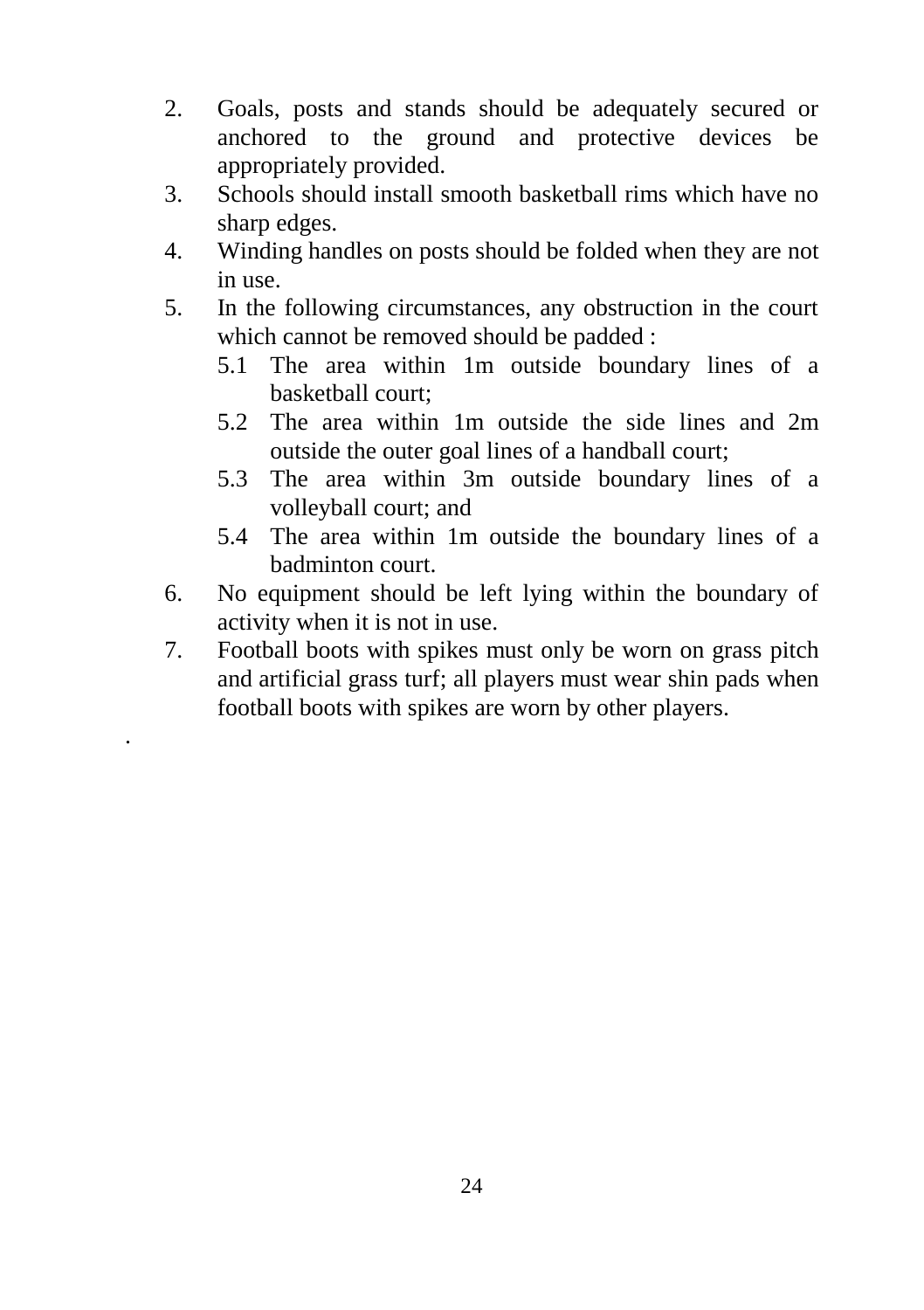- 2. Goals, posts and stands should be adequately secured or anchored to the ground and protective devices be appropriately provided.
- 3. Schools should install smooth basketball rims which have no sharp edges.
- 4. Winding handles on posts should be folded when they are not in use.
- 5. In the following circumstances, any obstruction in the court which cannot be removed should be padded :
	- 5.1 The area within 1m outside boundary lines of a basketball court;
	- 5.2 The area within 1m outside the side lines and 2m outside the outer goal lines of a handball court;
	- 5.3 The area within 3m outside boundary lines of a volleyball court; and
	- 5.4 The area within 1m outside the boundary lines of a badminton court.
- 6. No equipment should be left lying within the boundary of activity when it is not in use.
- 7. Football boots with spikes must only be worn on grass pitch and artificial grass turf; all players must wear shin pads when football boots with spikes are worn by other players.

.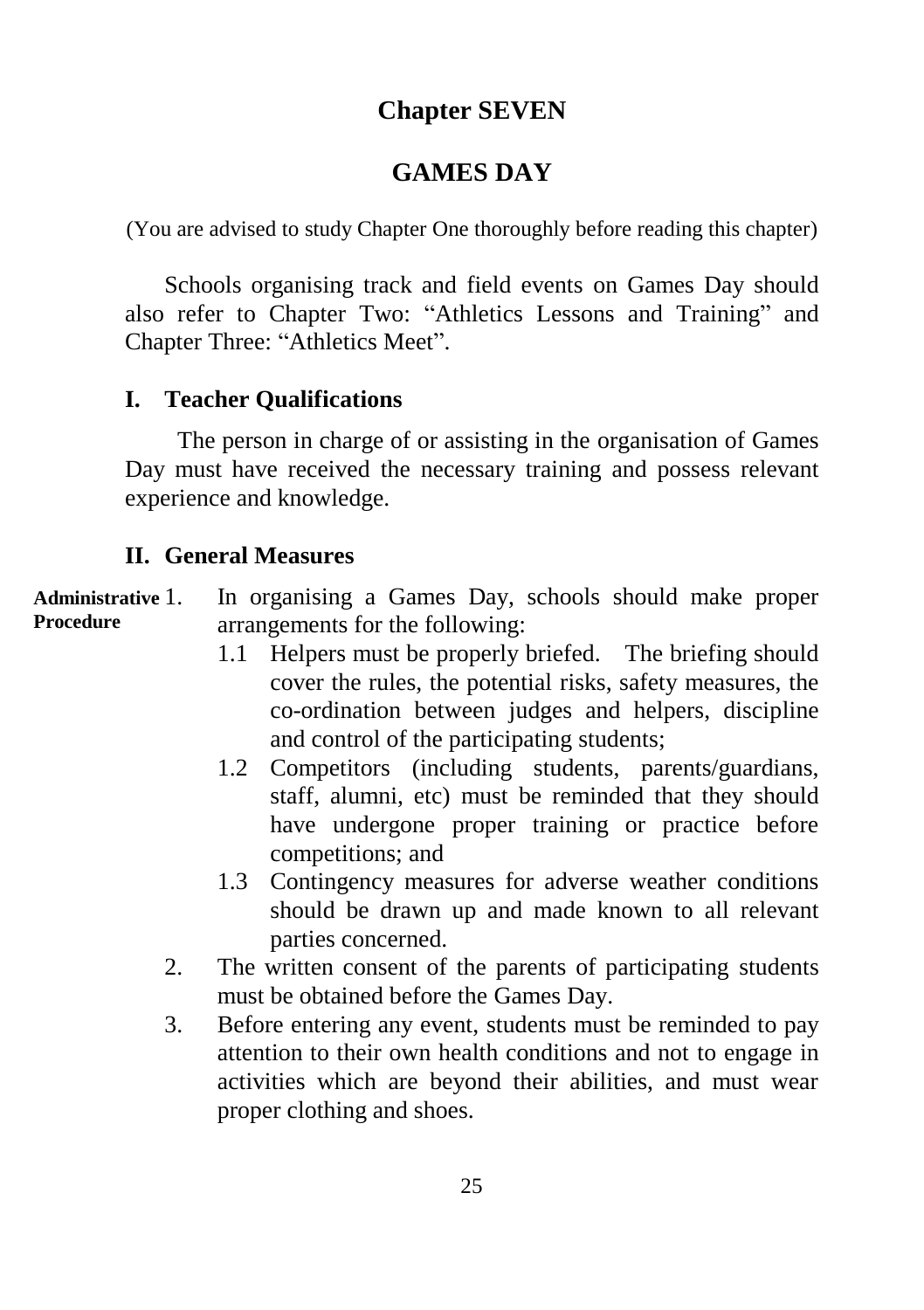# **Chapter SEVEN**

# **GAMES DAY**

(You are advised to study Chapter One thoroughly before reading this chapter)

Schools organising track and field events on Games Day should also refer to Chapter Two: "Athletics Lessons and Training" and Chapter Three: "Athletics Meet".

#### **I. Teacher Qualifications**

The person in charge of or assisting in the organisation of Games Day must have received the necessary training and possess relevant experience and knowledge.

#### **II. General Measures**

1. In organising a Games Day, schools should make proper arrangements for the following: **Administrative Procedure**

- 1.1 Helpers must be properly briefed. The briefing should cover the rules, the potential risks, safety measures, the co-ordination between judges and helpers, discipline and control of the participating students;
- 1.2 Competitors (including students, parents/guardians, staff, alumni, etc) must be reminded that they should have undergone proper training or practice before competitions; and
- 1.3 Contingency measures for adverse weather conditions should be drawn up and made known to all relevant parties concerned.
- 2. The written consent of the parents of participating students must be obtained before the Games Day.
- 3. Before entering any event, students must be reminded to pay attention to their own health conditions and not to engage in activities which are beyond their abilities, and must wear proper clothing and shoes.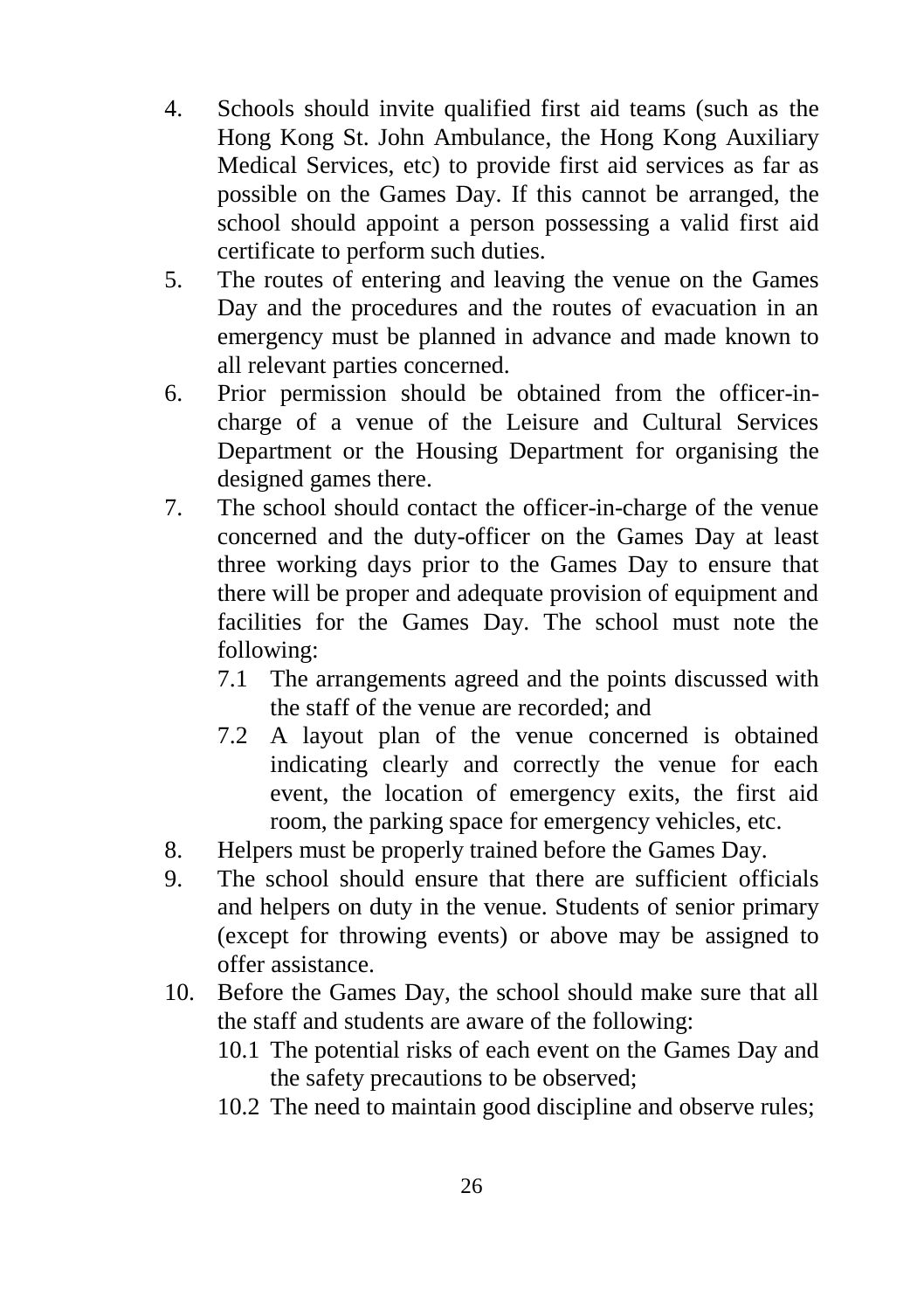- 4. Schools should invite qualified first aid teams (such as the Hong Kong St. John Ambulance, the Hong Kong Auxiliary Medical Services, etc) to provide first aid services as far as possible on the Games Day. If this cannot be arranged, the school should appoint a person possessing a valid first aid certificate to perform such duties.
- 5. The routes of entering and leaving the venue on the Games Day and the procedures and the routes of evacuation in an emergency must be planned in advance and made known to all relevant parties concerned.
- 6. Prior permission should be obtained from the officer-incharge of a venue of the Leisure and Cultural Services Department or the Housing Department for organising the designed games there.
- 7. The school should contact the officer-in-charge of the venue concerned and the duty-officer on the Games Day at least three working days prior to the Games Day to ensure that there will be proper and adequate provision of equipment and facilities for the Games Day. The school must note the following:
	- 7.1 The arrangements agreed and the points discussed with the staff of the venue are recorded; and
	- 7.2 A layout plan of the venue concerned is obtained indicating clearly and correctly the venue for each event, the location of emergency exits, the first aid room, the parking space for emergency vehicles, etc.
- 8. Helpers must be properly trained before the Games Day.
- 9. The school should ensure that there are sufficient officials and helpers on duty in the venue. Students of senior primary (except for throwing events) or above may be assigned to offer assistance.
- 10. Before the Games Day, the school should make sure that all the staff and students are aware of the following:
	- 10.1 The potential risks of each event on the Games Day and the safety precautions to be observed;
	- 10.2 The need to maintain good discipline and observe rules;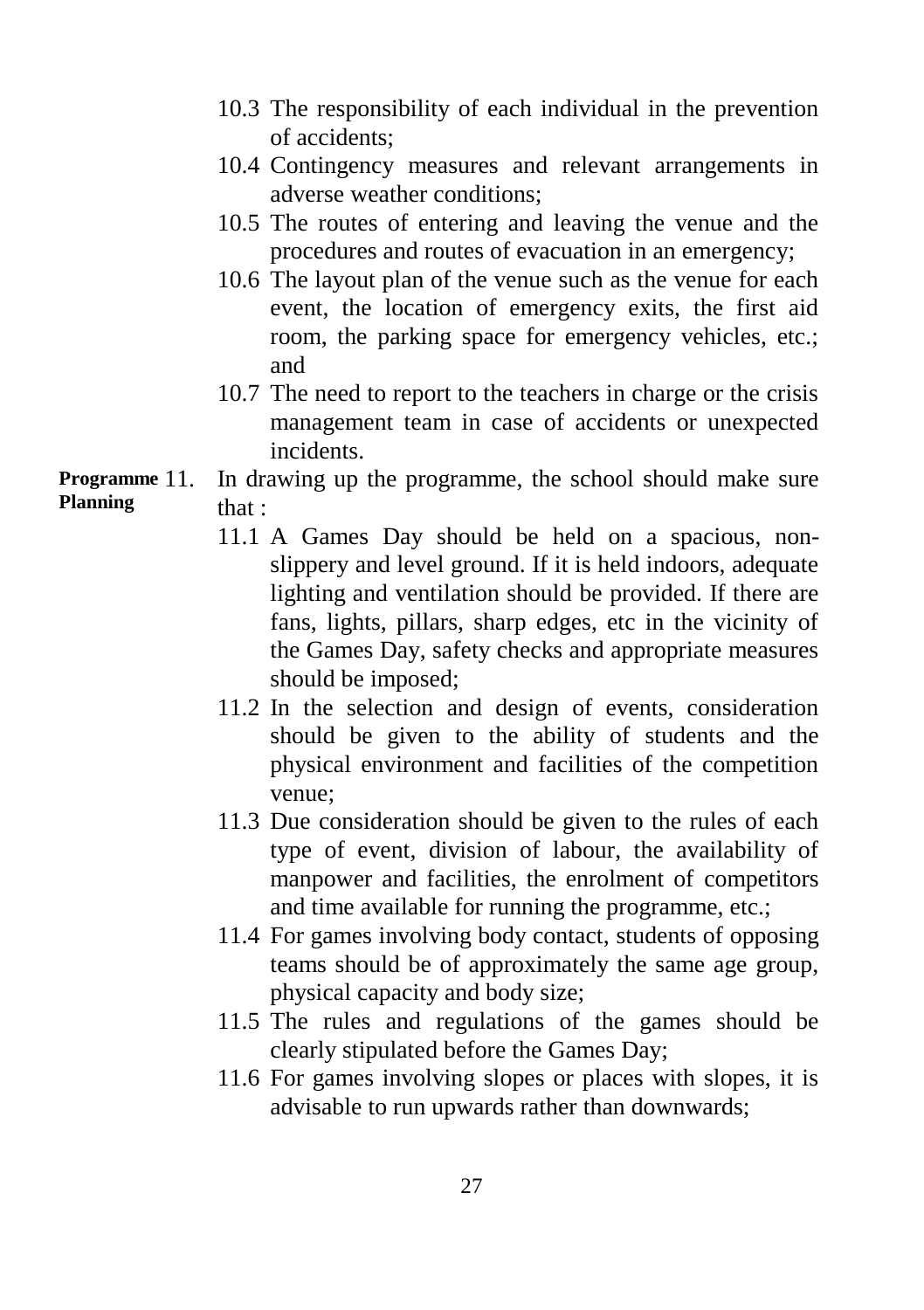- 10.3 The responsibility of each individual in the prevention of accidents;
- 10.4 Contingency measures and relevant arrangements in adverse weather conditions;
- 10.5 The routes of entering and leaving the venue and the procedures and routes of evacuation in an emergency;
- 10.6 The layout plan of the venue such as the venue for each event, the location of emergency exits, the first aid room, the parking space for emergency vehicles, etc.; and
- 10.7 The need to report to the teachers in charge or the crisis management team in case of accidents or unexpected incidents.

#### In drawing up the programme, the school should make sure that : **Programme Planning**

- 11.1 A Games Day should be held on a spacious, nonslippery and level ground. If it is held indoors, adequate lighting and ventilation should be provided. If there are fans, lights, pillars, sharp edges, etc in the vicinity of the Games Day, safety checks and appropriate measures should be imposed;
- 11.2 In the selection and design of events, consideration should be given to the ability of students and the physical environment and facilities of the competition venue;
- 11.3 Due consideration should be given to the rules of each type of event, division of labour, the availability of manpower and facilities, the enrolment of competitors and time available for running the programme, etc.;
- 11.4 For games involving body contact, students of opposing teams should be of approximately the same age group, physical capacity and body size;
- 11.5 The rules and regulations of the games should be clearly stipulated before the Games Day;
- 11.6 For games involving slopes or places with slopes, it is advisable to run upwards rather than downwards;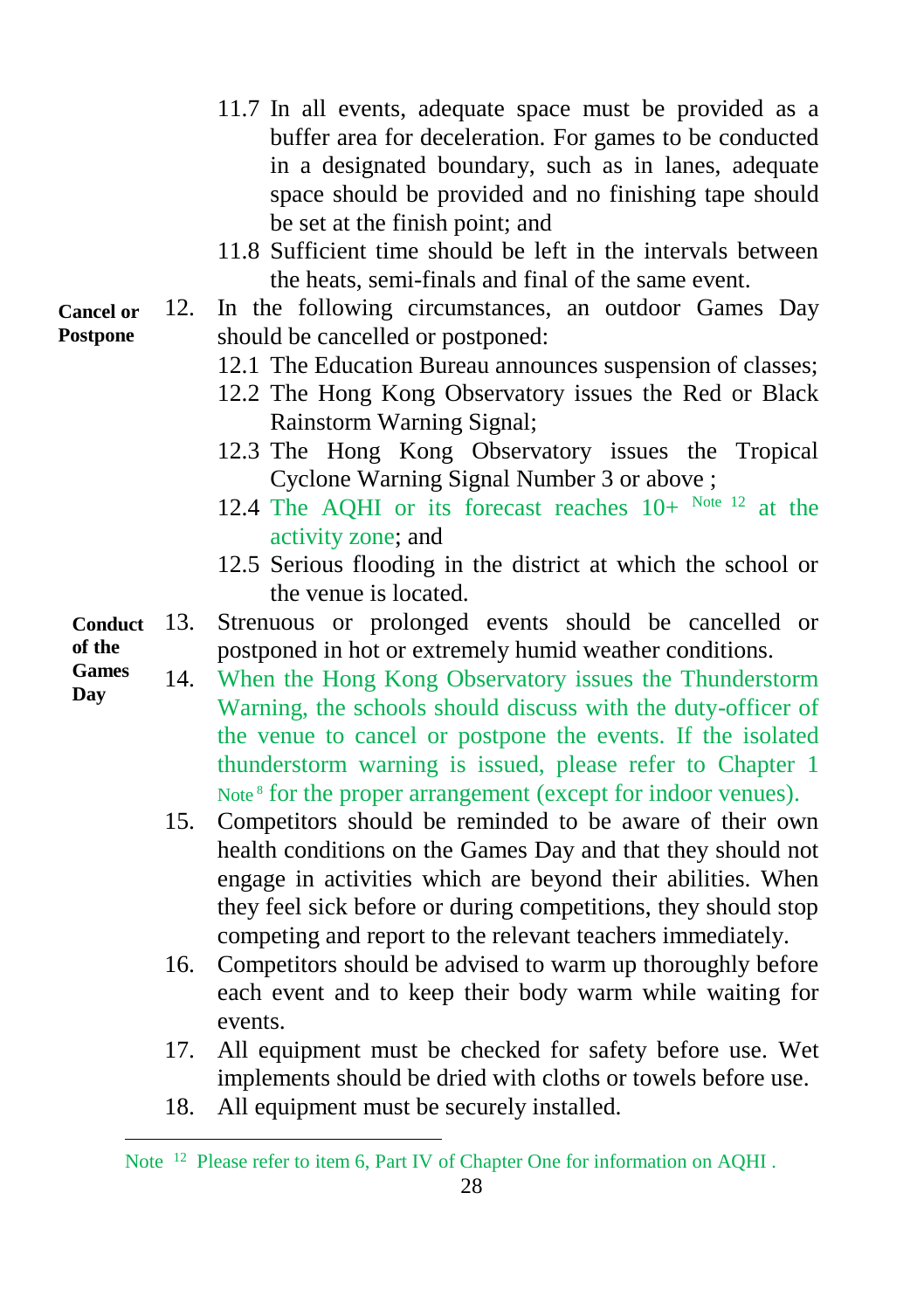- 11.7 In all events, adequate space must be provided as a buffer area for deceleration. For games to be conducted in a designated boundary, such as in lanes, adequate space should be provided and no finishing tape should be set at the finish point; and
- 11.8 Sufficient time should be left in the intervals between the heats, semi-finals and final of the same event.
- 12. In the following circumstances, an outdoor Games Day should be cancelled or postponed: **Cancel or Postpone**
	- 12.1 The Education Bureau announces suspension of classes;
	- 12.2 The Hong Kong Observatory issues the Red or Black Rainstorm Warning Signal;
	- 12.3 The Hong Kong Observatory issues the Tropical Cyclone Warning Signal Number 3 or above ;
	- 12.4 The AQHI or its forecast reaches  $10+$  Note 12 at the activity zone; and
	- 12.5 Serious flooding in the district at which the school or the venue is located.
	- 13. Strenuous or prolonged events should be cancelled or postponed in hot or extremely humid weather conditions. **Conduct of the**
	- 14. When the Hong Kong Observatory issues the Thunderstorm Warning, the schools should discuss with the duty-officer of the venue to cancel or postpone the events. If the isolated thunderstorm warning is issued, please refer to Chapter 1 Note<sup>8</sup> for the proper arrangement (except for indoor venues). **Games Day**
		- 15. Competitors should be reminded to be aware of their own health conditions on the Games Day and that they should not engage in activities which are beyond their abilities. When they feel sick before or during competitions, they should stop competing and report to the relevant teachers immediately.
		- 16. Competitors should be advised to warm up thoroughly before each event and to keep their body warm while waiting for events.
		- 17. All equipment must be checked for safety before use. Wet implements should be dried with cloths or towels before use.
		- 18. All equipment must be securely installed.

l

28

Note <sup>12</sup> Please refer to item 6, Part IV of Chapter One for information on AQHI.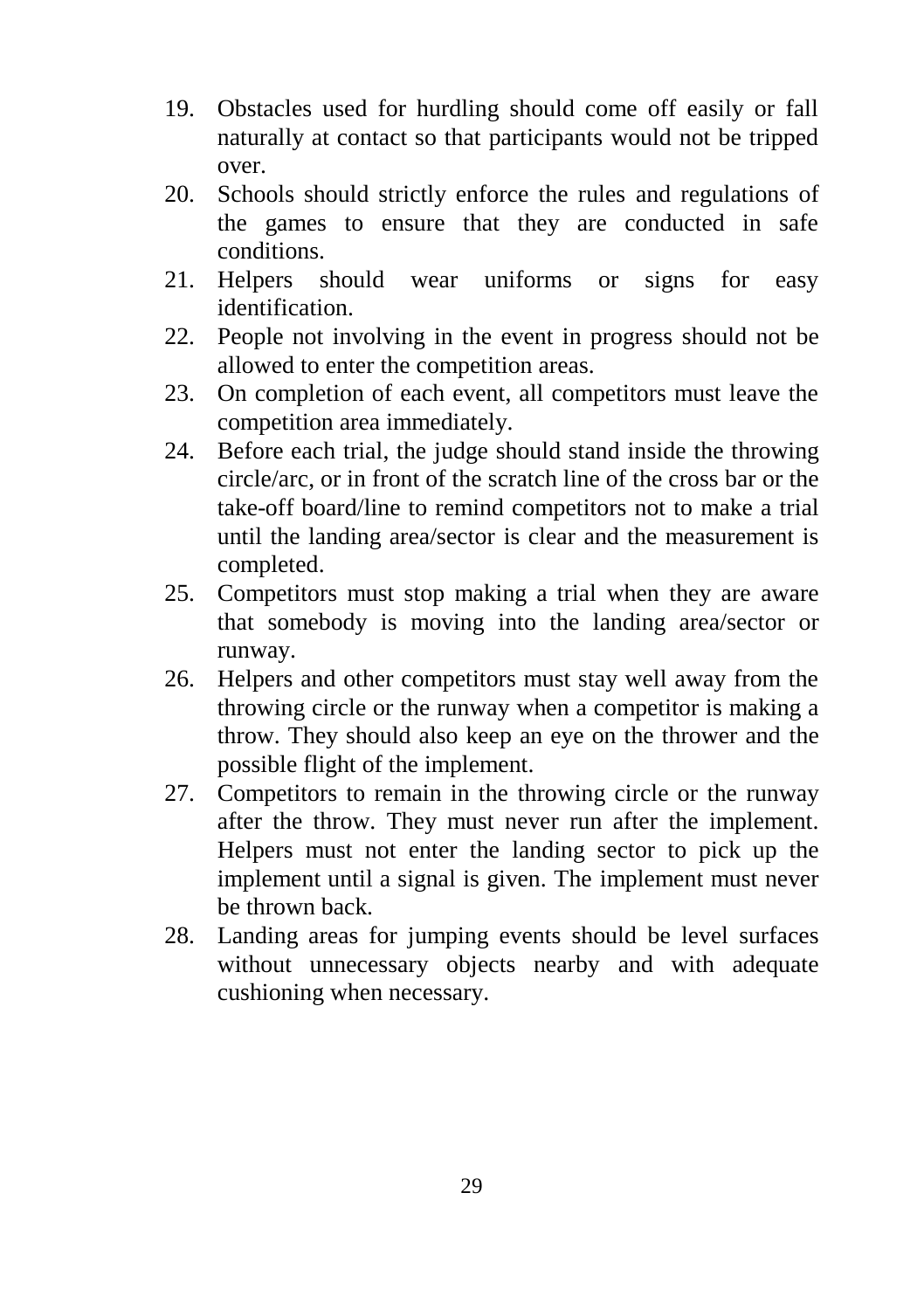- 19. Obstacles used for hurdling should come off easily or fall naturally at contact so that participants would not be tripped over.
- 20. Schools should strictly enforce the rules and regulations of the games to ensure that they are conducted in safe conditions.
- 21. Helpers should wear uniforms or signs for easy identification.
- 22. People not involving in the event in progress should not be allowed to enter the competition areas.
- 23. On completion of each event, all competitors must leave the competition area immediately.
- 24. Before each trial, the judge should stand inside the throwing circle/arc, or in front of the scratch line of the cross bar or the take-off board/line to remind competitors not to make a trial until the landing area/sector is clear and the measurement is completed.
- 25. Competitors must stop making a trial when they are aware that somebody is moving into the landing area/sector or runway.
- 26. Helpers and other competitors must stay well away from the throwing circle or the runway when a competitor is making a throw. They should also keep an eye on the thrower and the possible flight of the implement.
- 27. Competitors to remain in the throwing circle or the runway after the throw. They must never run after the implement. Helpers must not enter the landing sector to pick up the implement until a signal is given. The implement must never be thrown back.
- 28. Landing areas for jumping events should be level surfaces without unnecessary objects nearby and with adequate cushioning when necessary.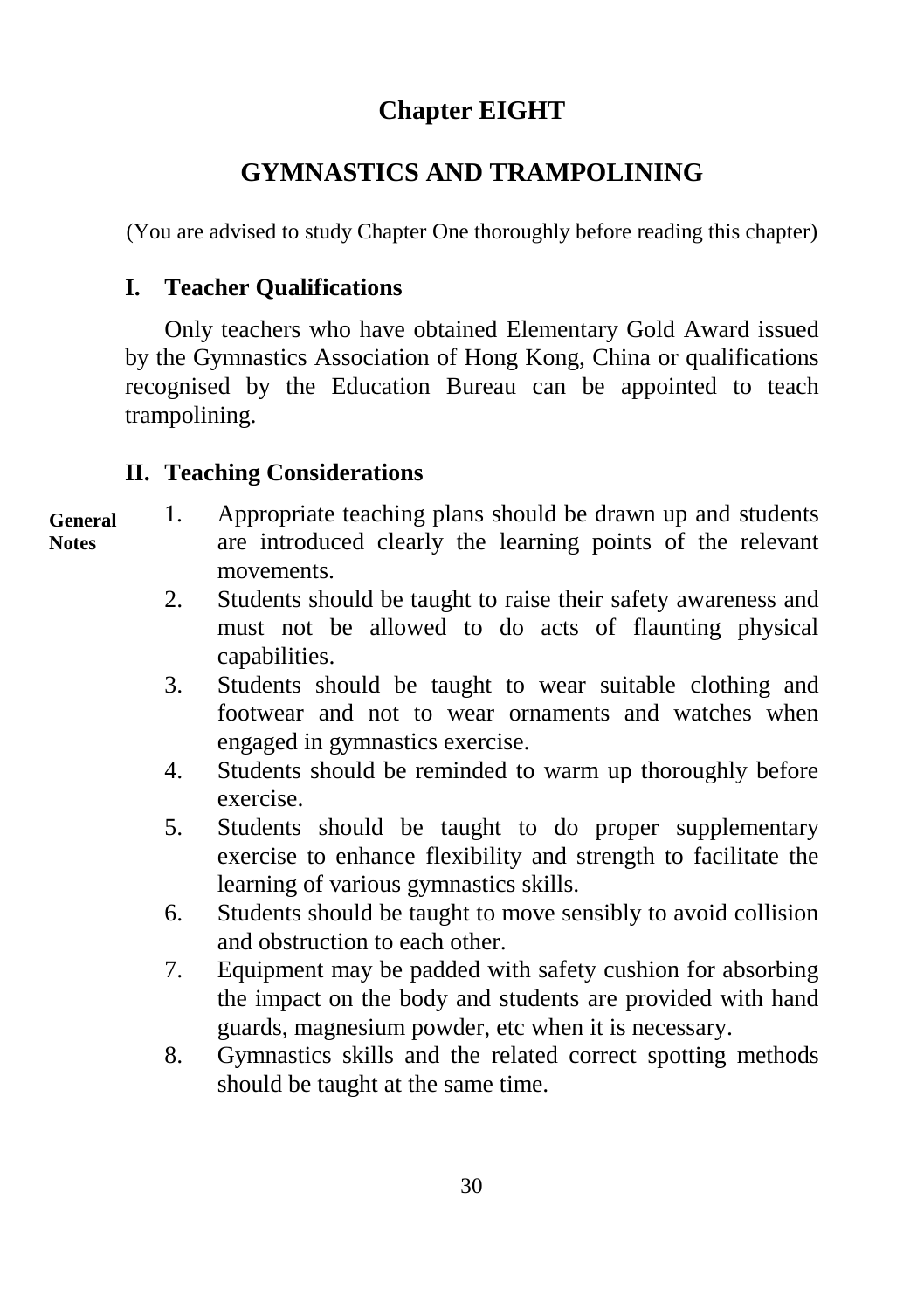# **Chapter EIGHT**

# **GYMNASTICS AND TRAMPOLINING**

(You are advised to study Chapter One thoroughly before reading this chapter)

## **I. Teacher Qualifications**

Only teachers who have obtained Elementary Gold Award issued by the Gymnastics Association of Hong Kong, China or qualifications recognised by the Education Bureau can be appointed to teach trampolining.

## **II. Teaching Considerations**

#### **General Notes**

- 1. Appropriate teaching plans should be drawn up and students are introduced clearly the learning points of the relevant movements.
	- 2. Students should be taught to raise their safety awareness and must not be allowed to do acts of flaunting physical capabilities.
	- 3. Students should be taught to wear suitable clothing and footwear and not to wear ornaments and watches when engaged in gymnastics exercise.
	- 4. Students should be reminded to warm up thoroughly before exercise.
	- 5. Students should be taught to do proper supplementary exercise to enhance flexibility and strength to facilitate the learning of various gymnastics skills.
	- 6. Students should be taught to move sensibly to avoid collision and obstruction to each other.
	- 7. Equipment may be padded with safety cushion for absorbing the impact on the body and students are provided with hand guards, magnesium powder, etc when it is necessary.
	- 8. Gymnastics skills and the related correct spotting methods should be taught at the same time.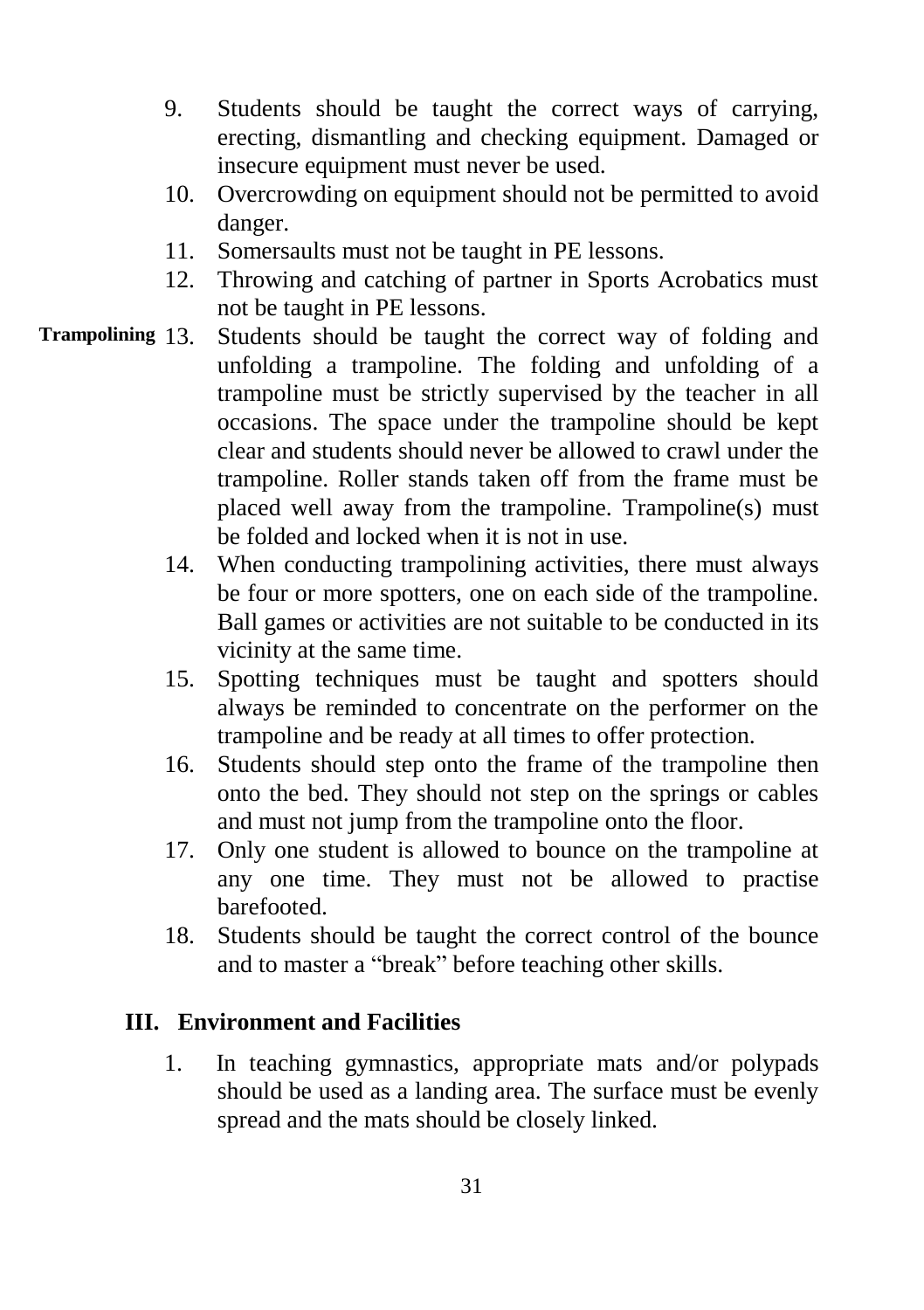- 9. Students should be taught the correct ways of carrying, erecting, dismantling and checking equipment. Damaged or insecure equipment must never be used.
- 10. Overcrowding on equipment should not be permitted to avoid danger.
- 11. Somersaults must not be taught in PE lessons.
- 12. Throwing and catching of partner in Sports Acrobatics must not be taught in PE lessons.
- Students should be taught the correct way of folding and unfolding a trampoline. The folding and unfolding of a trampoline must be strictly supervised by the teacher in all occasions. The space under the trampoline should be kept clear and students should never be allowed to crawl under the trampoline. Roller stands taken off from the frame must be placed well away from the trampoline. Trampoline(s) must be folded and locked when it is not in use. **Trampolining** 
	- 14. When conducting trampolining activities, there must always be four or more spotters, one on each side of the trampoline. Ball games or activities are not suitable to be conducted in its vicinity at the same time.
	- 15. Spotting techniques must be taught and spotters should always be reminded to concentrate on the performer on the trampoline and be ready at all times to offer protection.
	- 16. Students should step onto the frame of the trampoline then onto the bed. They should not step on the springs or cables and must not jump from the trampoline onto the floor.
	- 17. Only one student is allowed to bounce on the trampoline at any one time. They must not be allowed to practise barefooted.
	- 18. Students should be taught the correct control of the bounce and to master a "break" before teaching other skills.

### **III. Environment and Facilities**

1. In teaching gymnastics, appropriate mats and/or polypads should be used as a landing area. The surface must be evenly spread and the mats should be closely linked.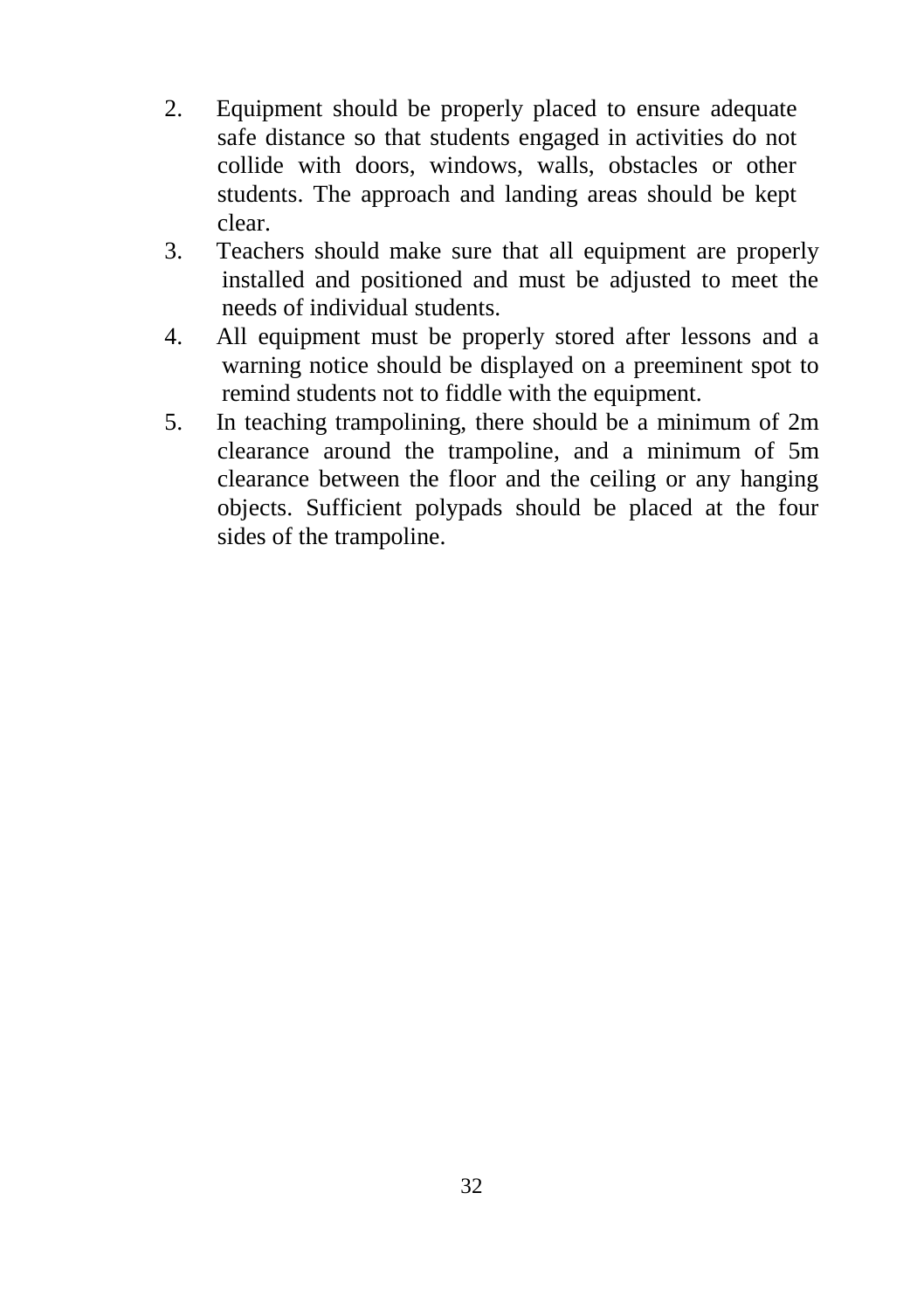- 2. Equipment should be properly placed to ensure adequate safe distance so that students engaged in activities do not collide with doors, windows, walls, obstacles or other students. The approach and landing areas should be kept clear.
- 3. Teachers should make sure that all equipment are properly installed and positioned and must be adjusted to meet the needs of individual students.
- 4. All equipment must be properly stored after lessons and a warning notice should be displayed on a preeminent spot to remind students not to fiddle with the equipment.
- 5. In teaching trampolining, there should be a minimum of 2m clearance around the trampoline, and a minimum of 5m clearance between the floor and the ceiling or any hanging objects. Sufficient polypads should be placed at the four sides of the trampoline.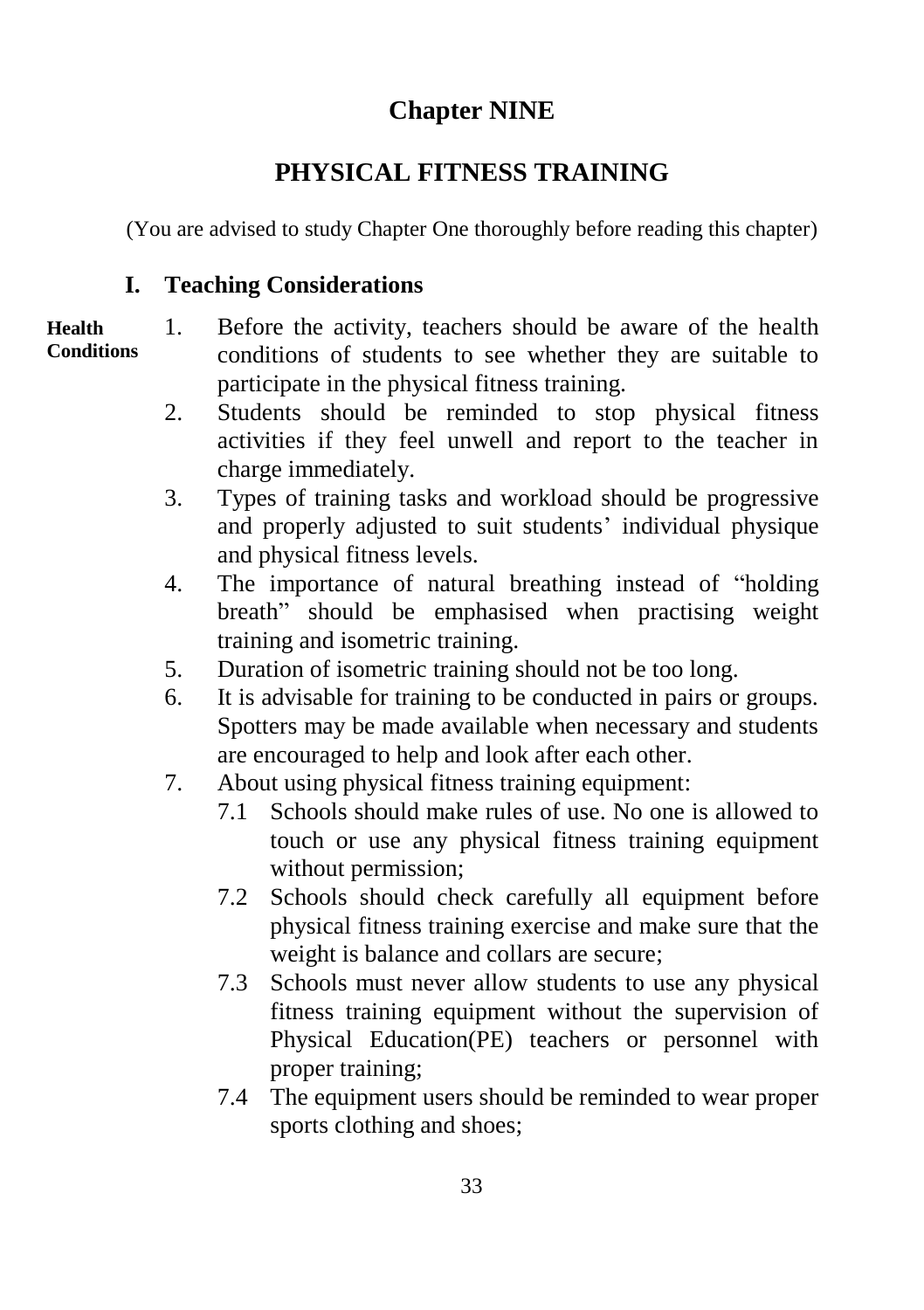## **Chapter NINE**

# **PHYSICAL FITNESS TRAINING**

(You are advised to study Chapter One thoroughly before reading this chapter)

## **I. Teaching Considerations**

#### 1. Before the activity, teachers should be aware of the health conditions of students to see whether they are suitable to participate in the physical fitness training. **Health Conditions**

- 2. Students should be reminded to stop physical fitness activities if they feel unwell and report to the teacher in charge immediately.
- 3. Types of training tasks and workload should be progressive and properly adjusted to suit students' individual physique and physical fitness levels.
- 4. The importance of natural breathing instead of "holding breath" should be emphasised when practising weight training and isometric training.
- 5. Duration of isometric training should not be too long.
- 6. It is advisable for training to be conducted in pairs or groups. Spotters may be made available when necessary and students are encouraged to help and look after each other.
- 7. About using physical fitness training equipment:
	- 7.1 Schools should make rules of use. No one is allowed to touch or use any physical fitness training equipment without permission;
	- 7.2 Schools should check carefully all equipment before physical fitness training exercise and make sure that the weight is balance and collars are secure;
	- 7.3 Schools must never allow students to use any physical fitness training equipment without the supervision of Physical Education(PE) teachers or personnel with proper training;
	- 7.4 The equipment users should be reminded to wear proper sports clothing and shoes;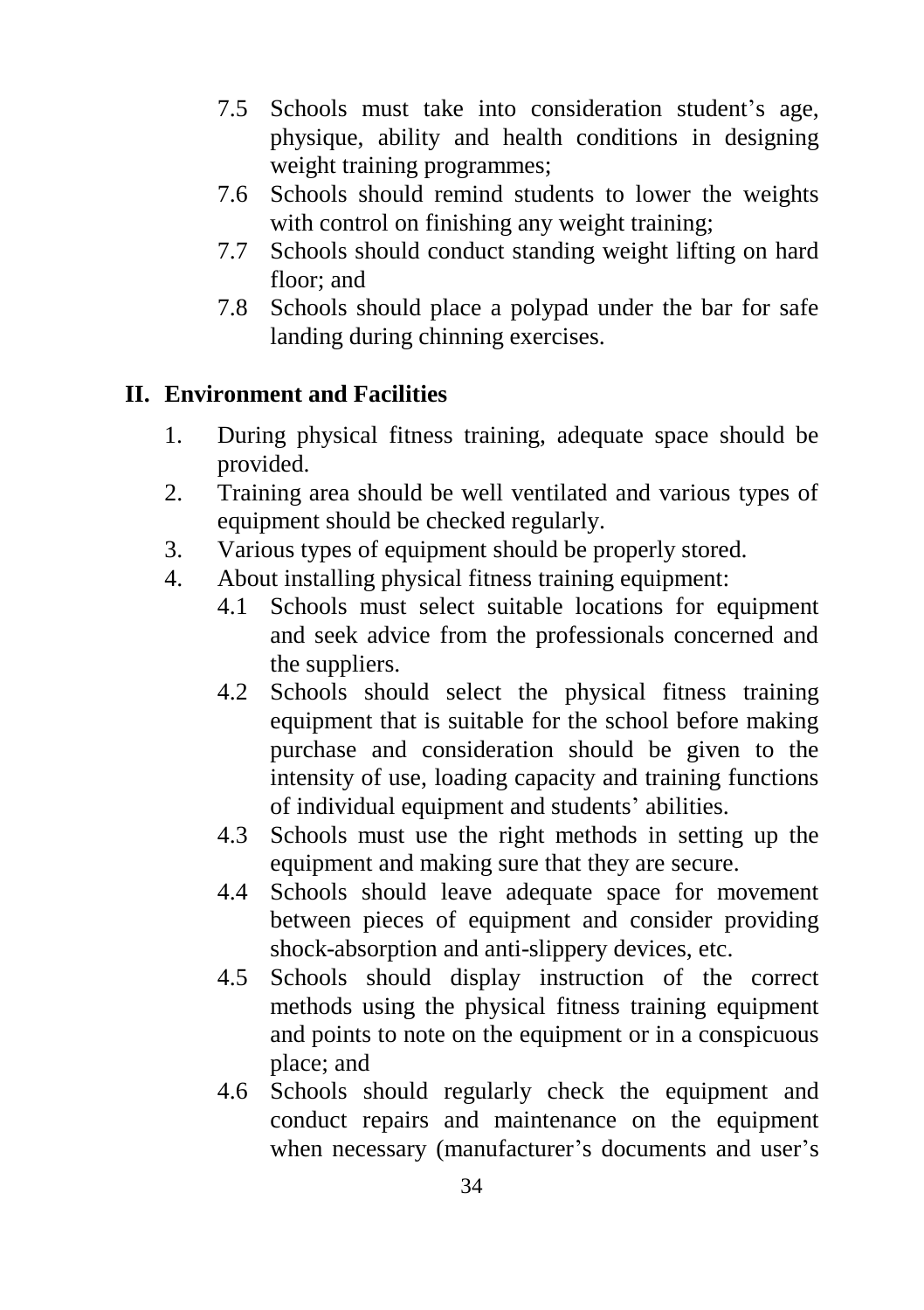- 7.5 Schools must take into consideration student's age, physique, ability and health conditions in designing weight training programmes;
- 7.6 Schools should remind students to lower the weights with control on finishing any weight training;
- 7.7 Schools should conduct standing weight lifting on hard floor; and
- 7.8 Schools should place a polypad under the bar for safe landing during chinning exercises.

### **II. Environment and Facilities**

- 1. During physical fitness training, adequate space should be provided.
- 2. Training area should be well ventilated and various types of equipment should be checked regularly.
- 3. Various types of equipment should be properly stored.
- 4. About installing physical fitness training equipment:
	- 4.1 Schools must select suitable locations for equipment and seek advice from the professionals concerned and the suppliers.
	- 4.2 Schools should select the physical fitness training equipment that is suitable for the school before making purchase and consideration should be given to the intensity of use, loading capacity and training functions of individual equipment and students' abilities.
	- 4.3 Schools must use the right methods in setting up the equipment and making sure that they are secure.
	- 4.4 Schools should leave adequate space for movement between pieces of equipment and consider providing shock-absorption and anti-slippery devices, etc.
	- 4.5 Schools should display instruction of the correct methods using the physical fitness training equipment and points to note on the equipment or in a conspicuous place; and
	- 4.6 Schools should regularly check the equipment and conduct repairs and maintenance on the equipment when necessary (manufacturer's documents and user's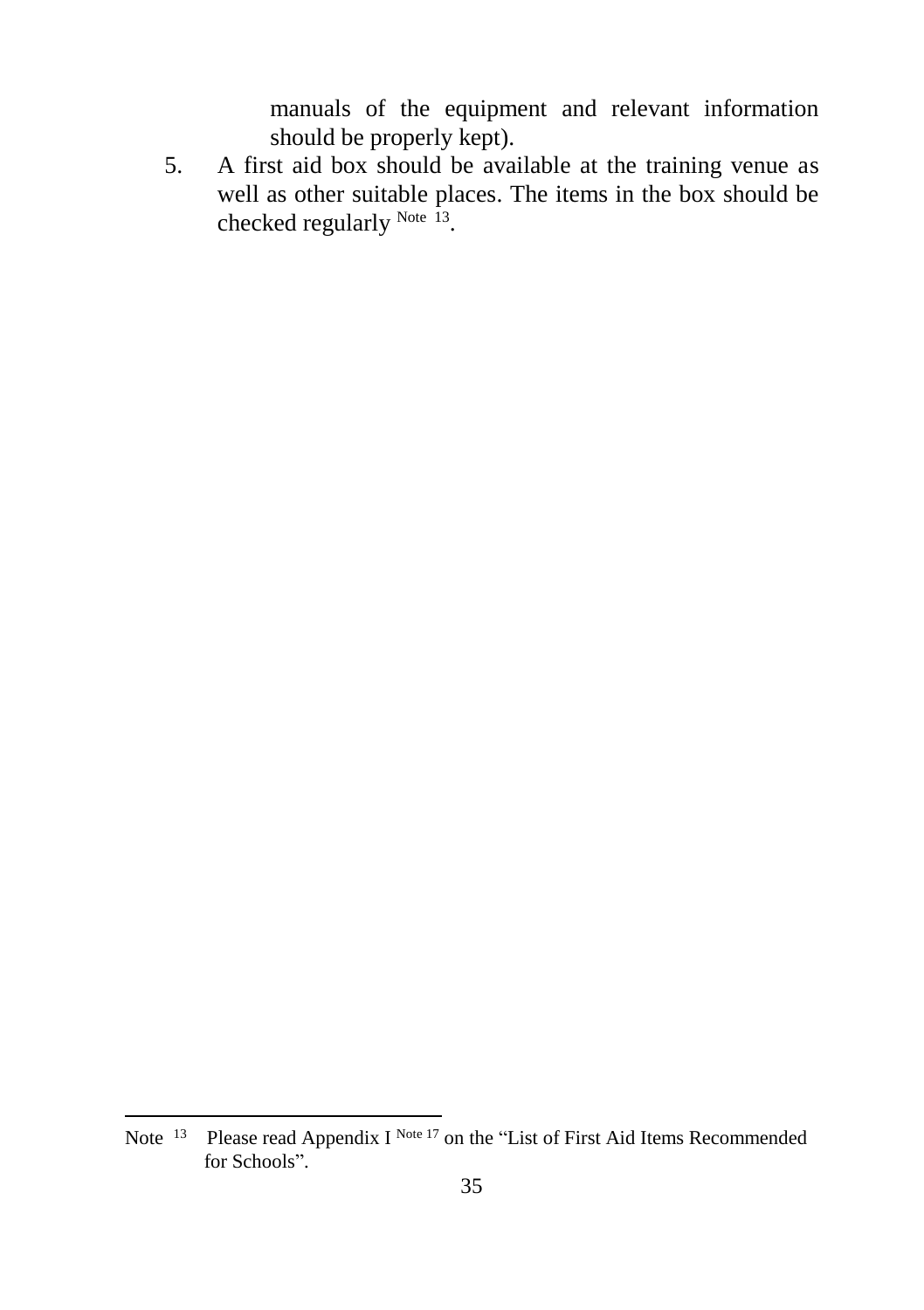manuals of the equipment and relevant information should be properly kept).

5. A first aid box should be available at the training venue as well as other suitable places. The items in the box should be checked regularly Note 13.

l

Note  $13$  Please read Appendix I Note  $17$  on the "List of First Aid Items Recommended for Schools".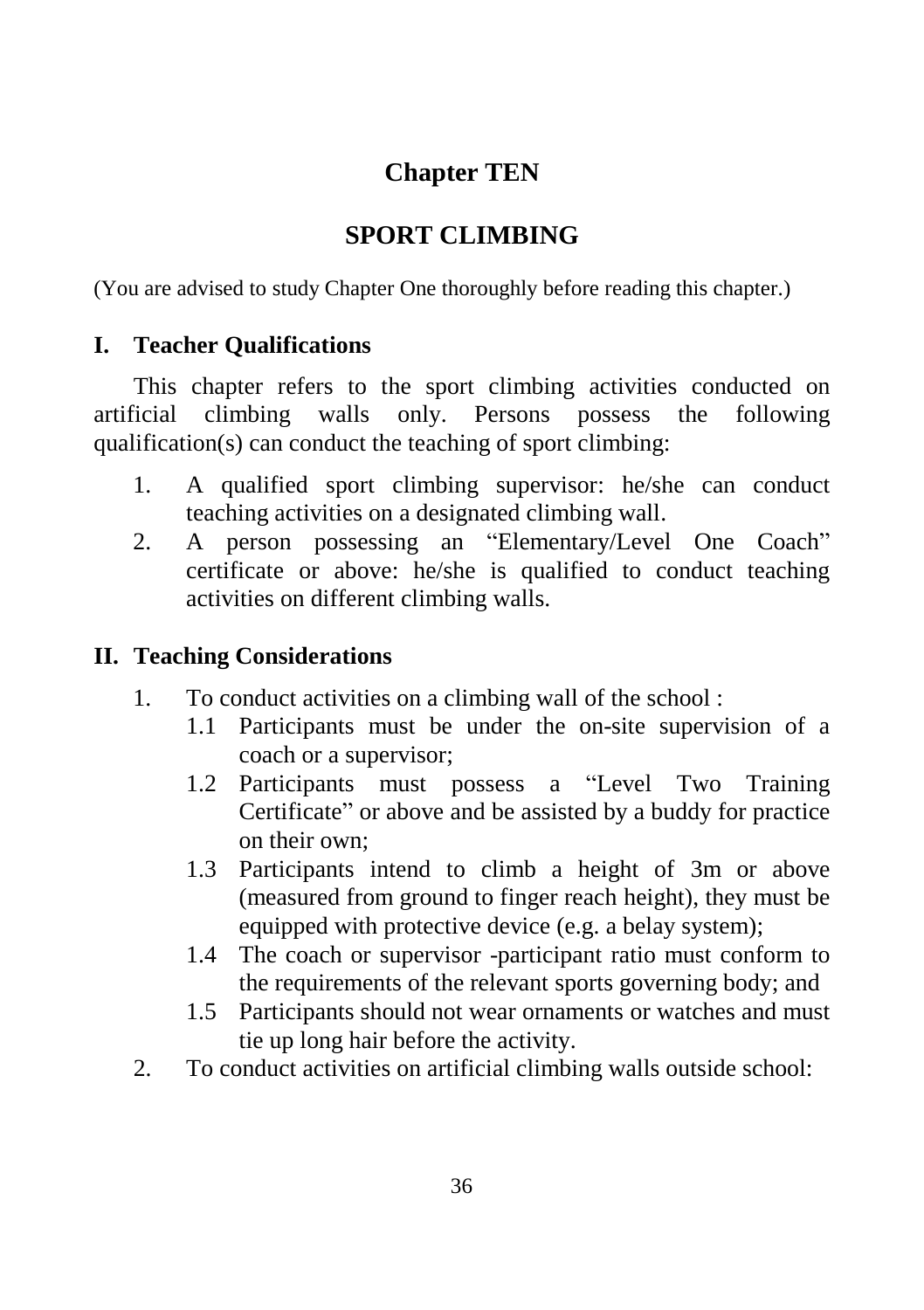## **Chapter TEN**

## **SPORT CLIMBING**

(You are advised to study Chapter One thoroughly before reading this chapter.)

### **I. Teacher Qualifications**

This chapter refers to the sport climbing activities conducted on artificial climbing walls only. Persons possess the following qualification(s) can conduct the teaching of sport climbing:

- 1. A qualified sport climbing supervisor: he/she can conduct teaching activities on a designated climbing wall.
- 2. A person possessing an "Elementary/Level One Coach" certificate or above: he/she is qualified to conduct teaching activities on different climbing walls.

## **II. Teaching Considerations**

- 1. To conduct activities on a climbing wall of the school :
	- 1.1 Participants must be under the on-site supervision of a coach or a supervisor;
	- 1.2 Participants must possess a "Level Two Training Certificate" or above and be assisted by a buddy for practice on their own;
	- 1.3 Participants intend to climb a height of 3m or above (measured from ground to finger reach height), they must be equipped with protective device (e.g. a belay system);
	- 1.4 The coach or supervisor -participant ratio must conform to the requirements of the relevant sports governing body; and
	- 1.5 Participants should not wear ornaments or watches and must tie up long hair before the activity.
- 2. To conduct activities on artificial climbing walls outside school: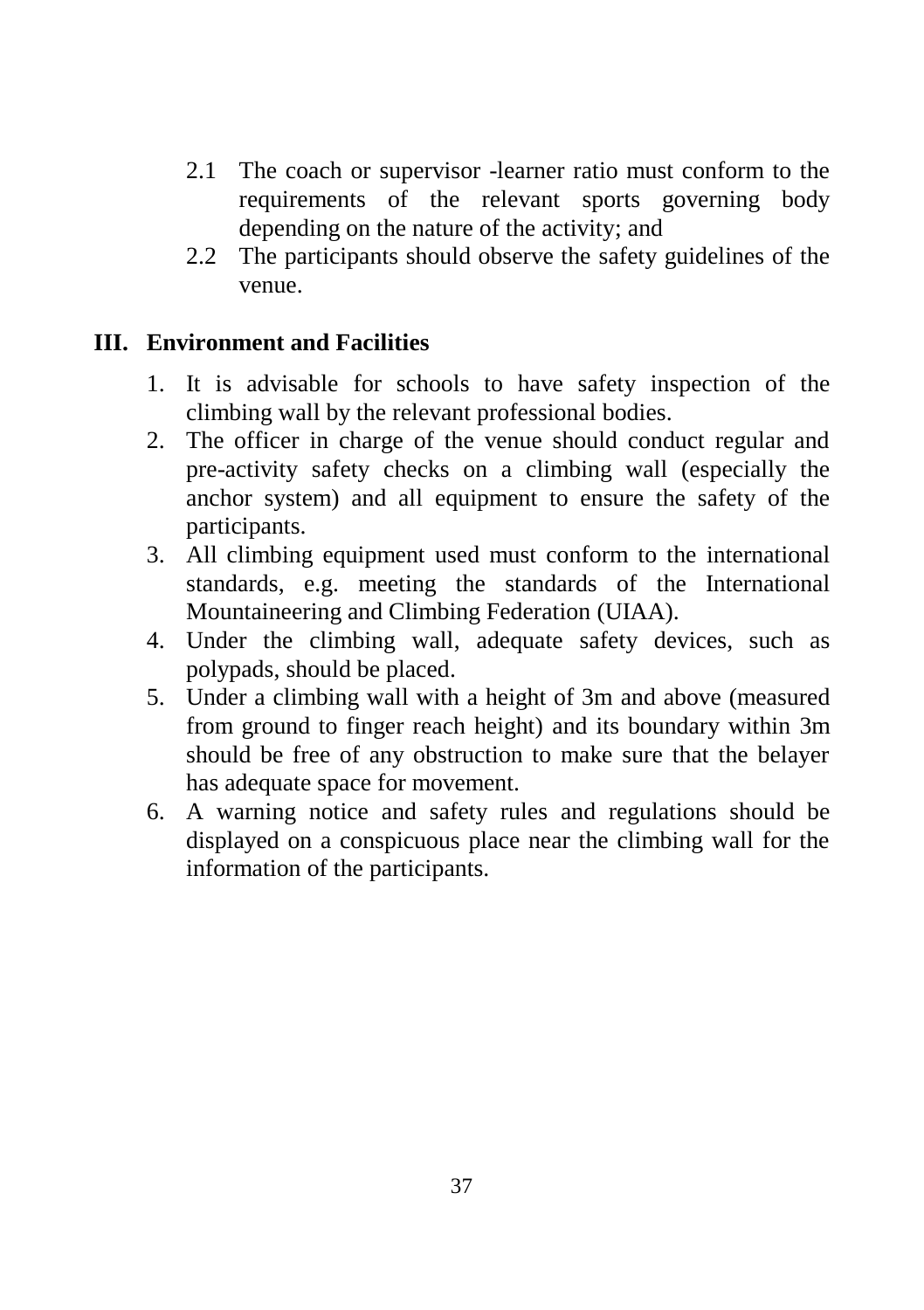- 2.1 The coach or supervisor -learner ratio must conform to the requirements of the relevant sports governing body depending on the nature of the activity; and
- 2.2 The participants should observe the safety guidelines of the venue.

### **III. Environment and Facilities**

- 1. It is advisable for schools to have safety inspection of the climbing wall by the relevant professional bodies.
- 2. The officer in charge of the venue should conduct regular and pre-activity safety checks on a climbing wall (especially the anchor system) and all equipment to ensure the safety of the participants.
- 3. All climbing equipment used must conform to the international standards, e.g. meeting the standards of the International Mountaineering and Climbing Federation (UIAA).
- 4. Under the climbing wall, adequate safety devices, such as polypads, should be placed.
- 5. Under a climbing wall with a height of 3m and above (measured from ground to finger reach height) and its boundary within 3m should be free of any obstruction to make sure that the belayer has adequate space for movement.
- 6. A warning notice and safety rules and regulations should be displayed on a conspicuous place near the climbing wall for the information of the participants.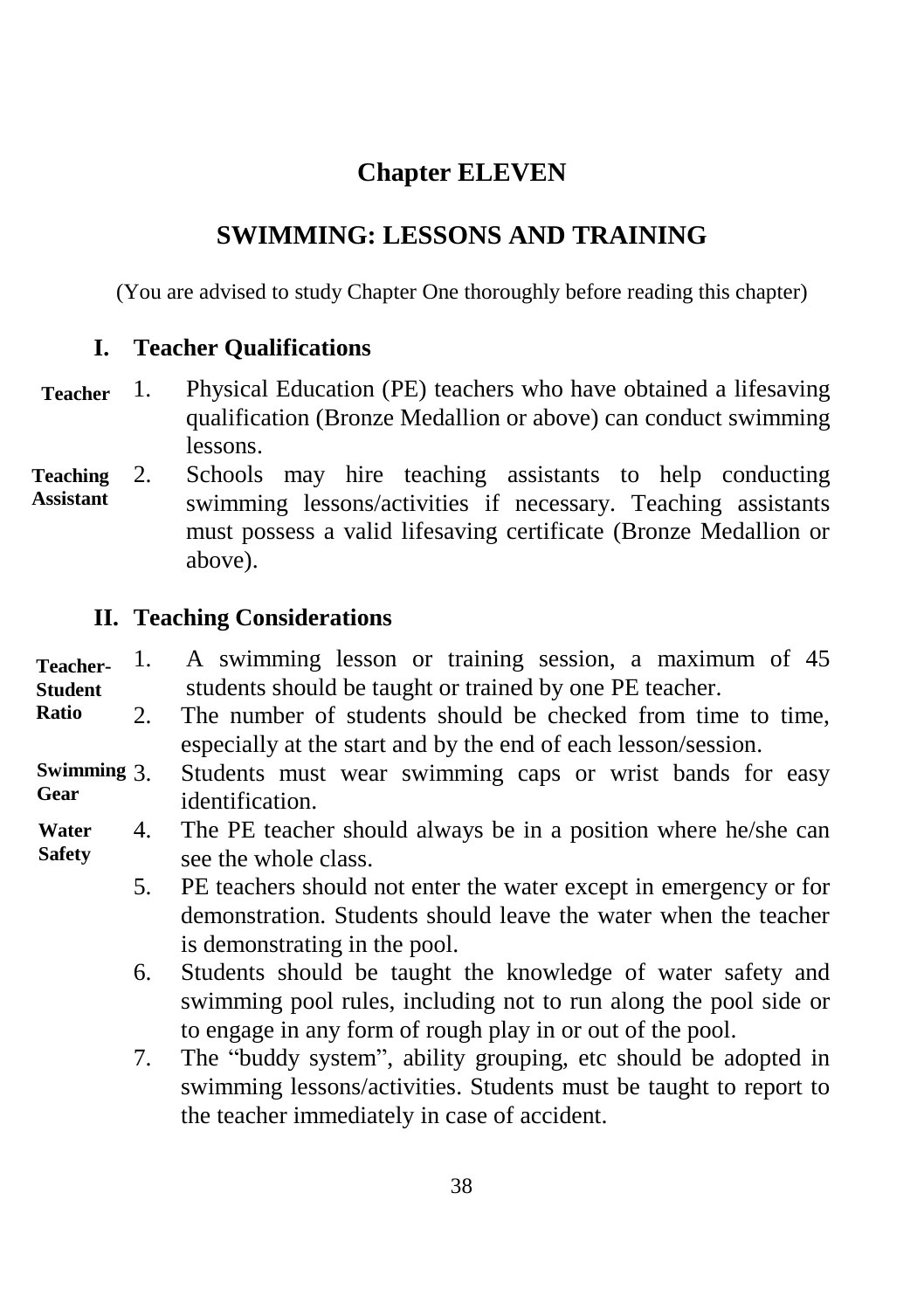## **Chapter ELEVEN**

## **SWIMMING: LESSONS AND TRAINING**

(You are advised to study Chapter One thoroughly before reading this chapter)

### **I. Teacher Qualifications**

- 1. Physical Education (PE) teachers who have obtained a lifesaving qualification (Bronze Medallion or above) can conduct swimming lessons. **Teacher**
- 2. Schools may hire teaching assistants to help conducting swimming lessons/activities if necessary. Teaching assistants must possess a valid lifesaving certificate (Bronze Medallion or above). **Teaching Assistant**

### **II. Teaching Considerations**

- 1. A swimming lesson or training session, a maximum of 45 students should be taught or trained by one PE teacher. **Teacher-Student**
- 2. The number of students should be checked from time to time, especially at the start and by the end of each lesson/session. **Ratio**
- Students must wear swimming caps or wrist bands for easy identification. **Swimming Gear**
- 4. The PE teacher should always be in a position where he/she can see the whole class. **Water Safety**
	- 5. PE teachers should not enter the water except in emergency or for demonstration. Students should leave the water when the teacher is demonstrating in the pool.
	- 6. Students should be taught the knowledge of water safety and swimming pool rules, including not to run along the pool side or to engage in any form of rough play in or out of the pool.
	- 7. The "buddy system", ability grouping, etc should be adopted in swimming lessons/activities. Students must be taught to report to the teacher immediately in case of accident.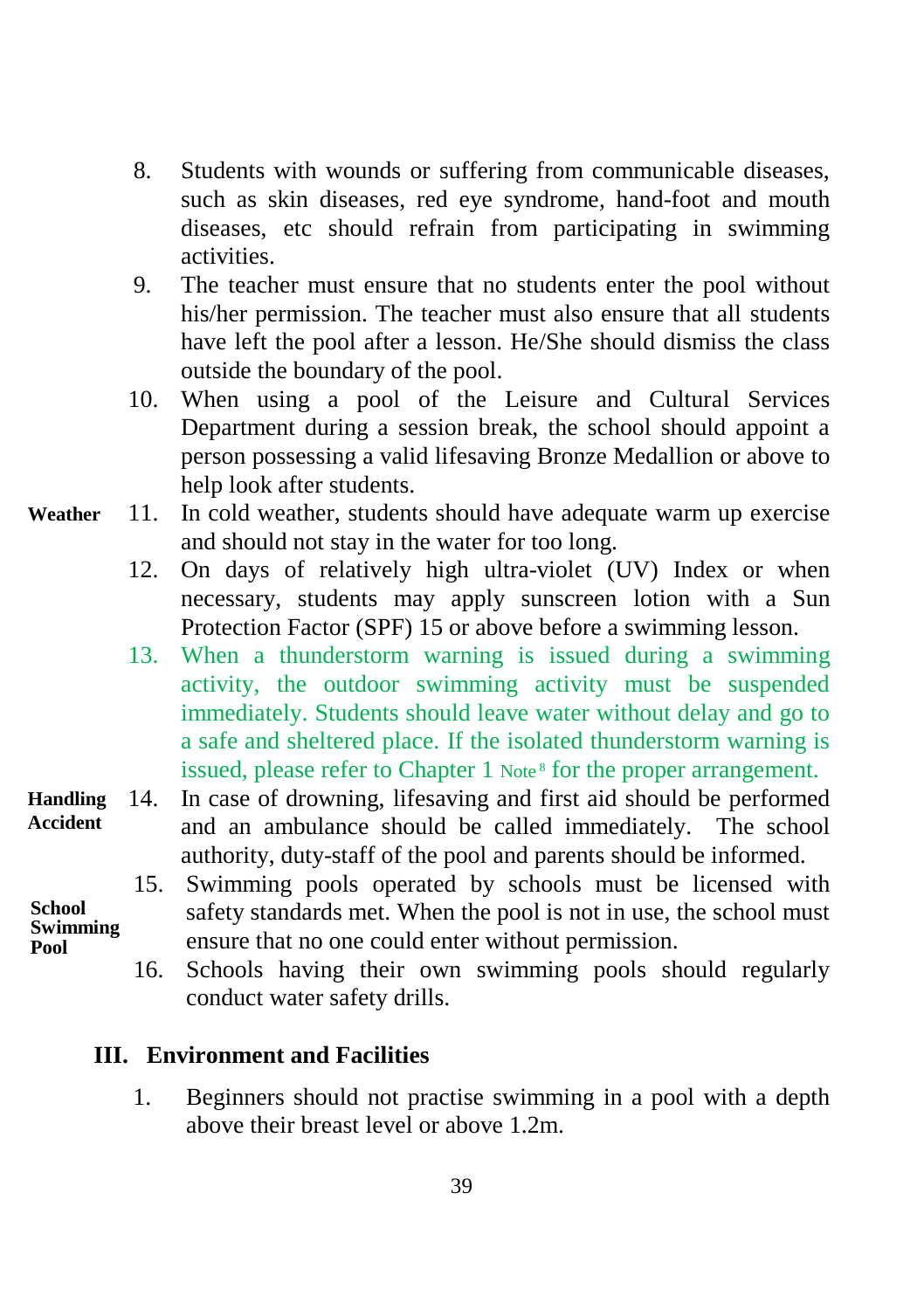- 8. Students with wounds or suffering from communicable diseases, such as skin diseases, red eye syndrome, hand-foot and mouth diseases, etc should refrain from participating in swimming activities.
- 9. The teacher must ensure that no students enter the pool without his/her permission. The teacher must also ensure that all students have left the pool after a lesson. He/She should dismiss the class outside the boundary of the pool.
- 10. When using a pool of the Leisure and Cultural Services Department during a session break, the school should appoint a person possessing a valid lifesaving Bronze Medallion or above to help look after students.
- 11. In cold weather, students should have adequate warm up exercise and should not stay in the water for too long. **Weather**
	- 12. On days of relatively high ultra-violet (UV) Index or when necessary, students may apply sunscreen lotion with a Sun Protection Factor (SPF) 15 or above before a swimming lesson.
	- 13. When a thunderstorm warning is issued during a swimming activity, the outdoor swimming activity must be suspended immediately. Students should leave water without delay and go to a safe and sheltered place. If the isolated thunderstorm warning is issued, please refer to Chapter 1 Note<sup>8</sup> for the proper arrangement.
- 14. In case of drowning, lifesaving and first aid should be performed and an ambulance should be called immediately. The school authority, duty-staff of the pool and parents should be informed. **Handling Accident**
- 15. Swimming pools operated by schools must be licensed with safety standards met. When the pool is not in use, the school must ensure that no one could enter without permission. **School Swimming** 
	- 16. Schools having their own swimming pools should regularly conduct water safety drills.

#### **III. Environment and Facilities**

**Pool**

1. Beginners should not practise swimming in a pool with a depth above their breast level or above 1.2m.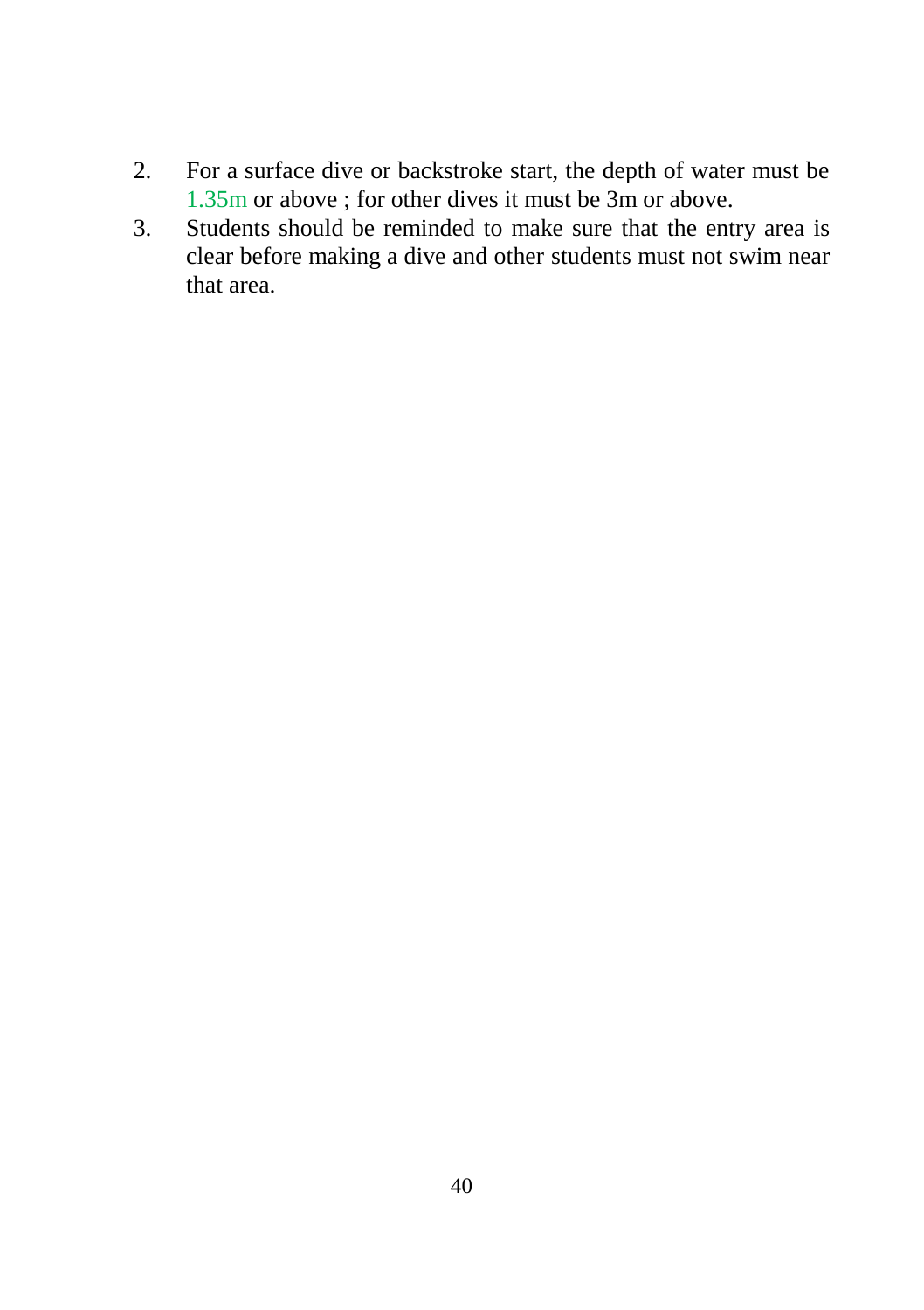- 2. For a surface dive or backstroke start, the depth of water must be 1.35m or above ; for other dives it must be 3m or above.
- 3. Students should be reminded to make sure that the entry area is clear before making a dive and other students must not swim near that area.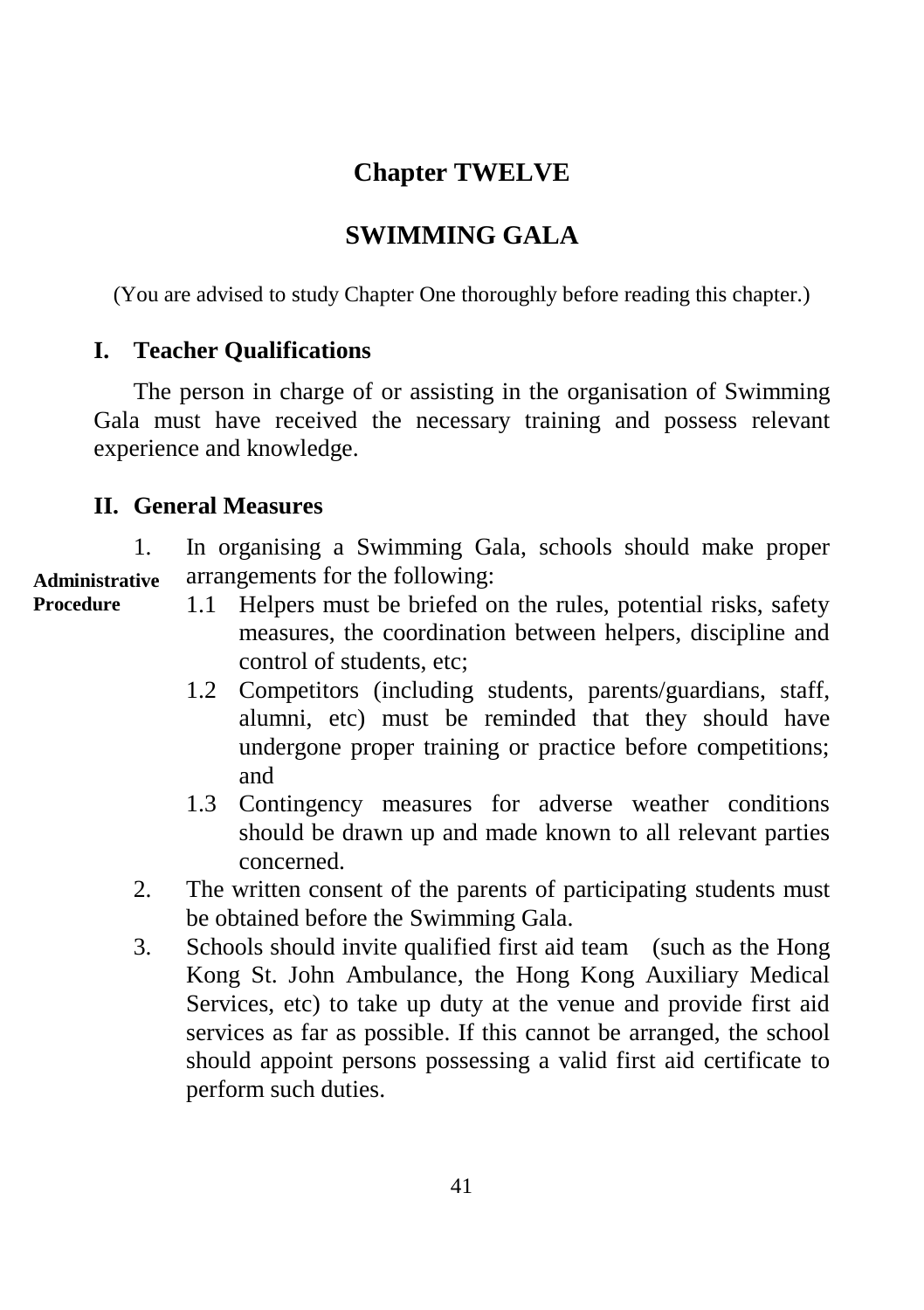## **Chapter TWELVE**

## **SWIMMING GALA**

(You are advised to study Chapter One thoroughly before reading this chapter.)

### **I. Teacher Qualifications**

The person in charge of or assisting in the organisation of Swimming Gala must have received the necessary training and possess relevant experience and knowledge.

### **II. General Measures**

1. In organising a Swimming Gala, schools should make proper arrangements for the following: **Administrative** 

- **Procedure**
- 1.1 Helpers must be briefed on the rules, potential risks, safety measures, the coordination between helpers, discipline and control of students, etc;
- 1.2 Competitors (including students, parents/guardians, staff, alumni, etc) must be reminded that they should have undergone proper training or practice before competitions; and
- 1.3 Contingency measures for adverse weather conditions should be drawn up and made known to all relevant parties concerned.
- 2. The written consent of the parents of participating students must be obtained before the Swimming Gala.
- 3. Schools should invite qualified first aid team (such as the Hong Kong St. John Ambulance, the Hong Kong Auxiliary Medical Services, etc) to take up duty at the venue and provide first aid services as far as possible. If this cannot be arranged, the school should appoint persons possessing a valid first aid certificate to perform such duties.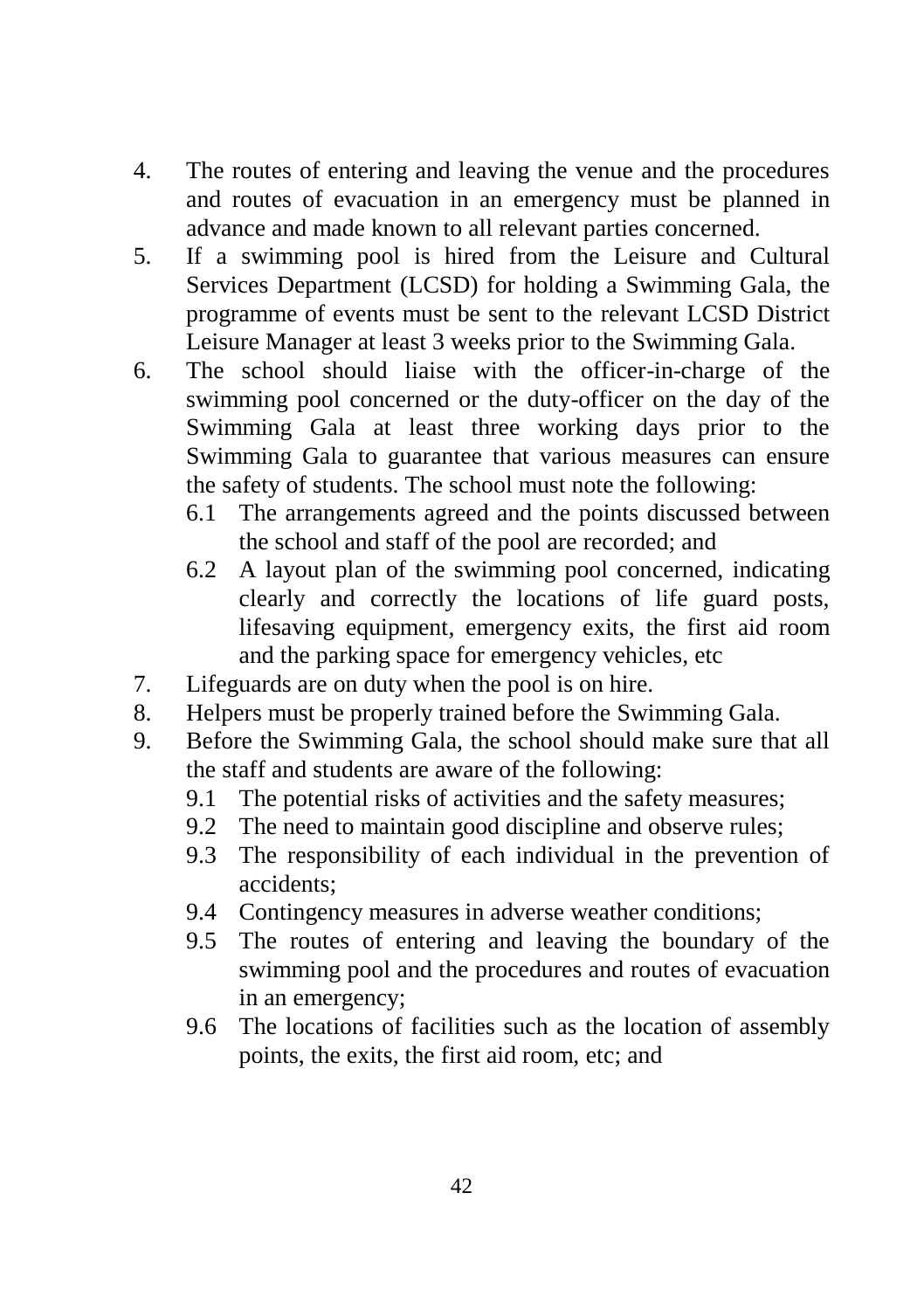- 4. The routes of entering and leaving the venue and the procedures and routes of evacuation in an emergency must be planned in advance and made known to all relevant parties concerned.
- 5. If a swimming pool is hired from the Leisure and Cultural Services Department (LCSD) for holding a Swimming Gala, the programme of events must be sent to the relevant LCSD District Leisure Manager at least 3 weeks prior to the Swimming Gala.
- 6. The school should liaise with the officer-in-charge of the swimming pool concerned or the duty-officer on the day of the Swimming Gala at least three working days prior to the Swimming Gala to guarantee that various measures can ensure the safety of students. The school must note the following:
	- 6.1 The arrangements agreed and the points discussed between the school and staff of the pool are recorded; and
	- 6.2 A layout plan of the swimming pool concerned, indicating clearly and correctly the locations of life guard posts, lifesaving equipment, emergency exits, the first aid room and the parking space for emergency vehicles, etc
- 7. Lifeguards are on duty when the pool is on hire.
- 8. Helpers must be properly trained before the Swimming Gala.
- 9. Before the Swimming Gala, the school should make sure that all the staff and students are aware of the following:
	- 9.1 The potential risks of activities and the safety measures;
	- 9.2 The need to maintain good discipline and observe rules;
	- 9.3 The responsibility of each individual in the prevention of accidents;
	- 9.4 Contingency measures in adverse weather conditions;
	- 9.5 The routes of entering and leaving the boundary of the swimming pool and the procedures and routes of evacuation in an emergency;
	- 9.6 The locations of facilities such as the location of assembly points, the exits, the first aid room, etc; and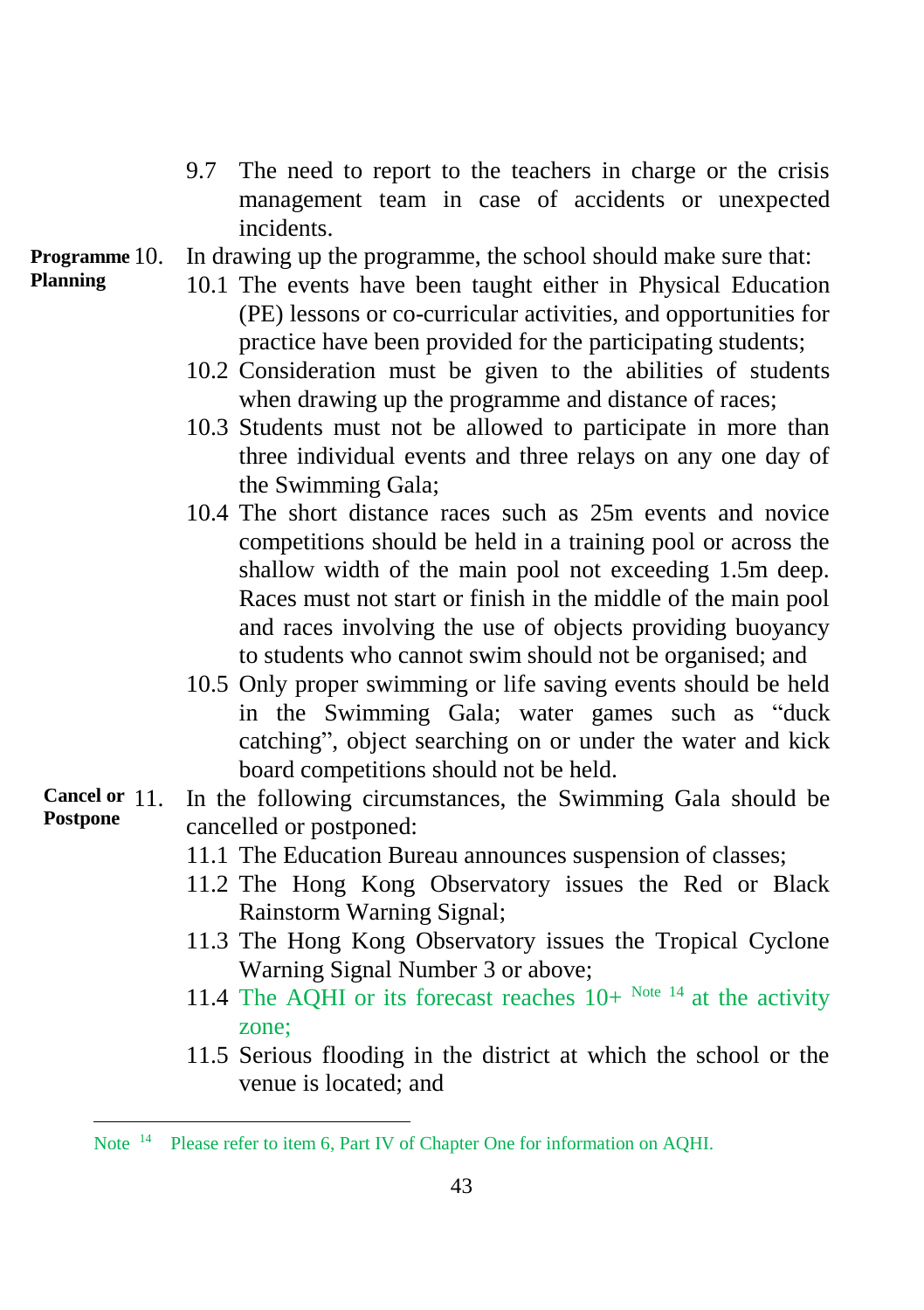- 9.7 The need to report to the teachers in charge or the crisis management team in case of accidents or unexpected incidents.
- In drawing up the programme, the school should make sure that: **Programme**
- **Planning**

l

- 10.1 The events have been taught either in Physical Education (PE) lessons or co-curricular activities, and opportunities for practice have been provided for the participating students;
- 10.2 Consideration must be given to the abilities of students when drawing up the programme and distance of races;
- 10.3 Students must not be allowed to participate in more than three individual events and three relays on any one day of the Swimming Gala;
- 10.4 The short distance races such as 25m events and novice competitions should be held in a training pool or across the shallow width of the main pool not exceeding 1.5m deep. Races must not start or finish in the middle of the main pool and races involving the use of objects providing buoyancy to students who cannot swim should not be organised; and
- 10.5 Only proper swimming or life saving events should be held in the Swimming Gala; water games such as "duck catching", object searching on or under the water and kick board competitions should not be held.
- In the following circumstances, the Swimming Gala should be cancelled or postponed: **Cancel or Postpone**
	- 11.1 The Education Bureau announces suspension of classes;
	- 11.2 The Hong Kong Observatory issues the Red or Black Rainstorm Warning Signal;
	- 11.3 The Hong Kong Observatory issues the Tropical Cyclone Warning Signal Number 3 or above;
	- 11.4 The AQHI or its forecast reaches  $10+^{Note 14}$  at the activity zone;
	- 11.5 Serious flooding in the district at which the school or the venue is located; and

Note<sup>14</sup> Please refer to item 6, Part IV of Chapter One for information on AQHI.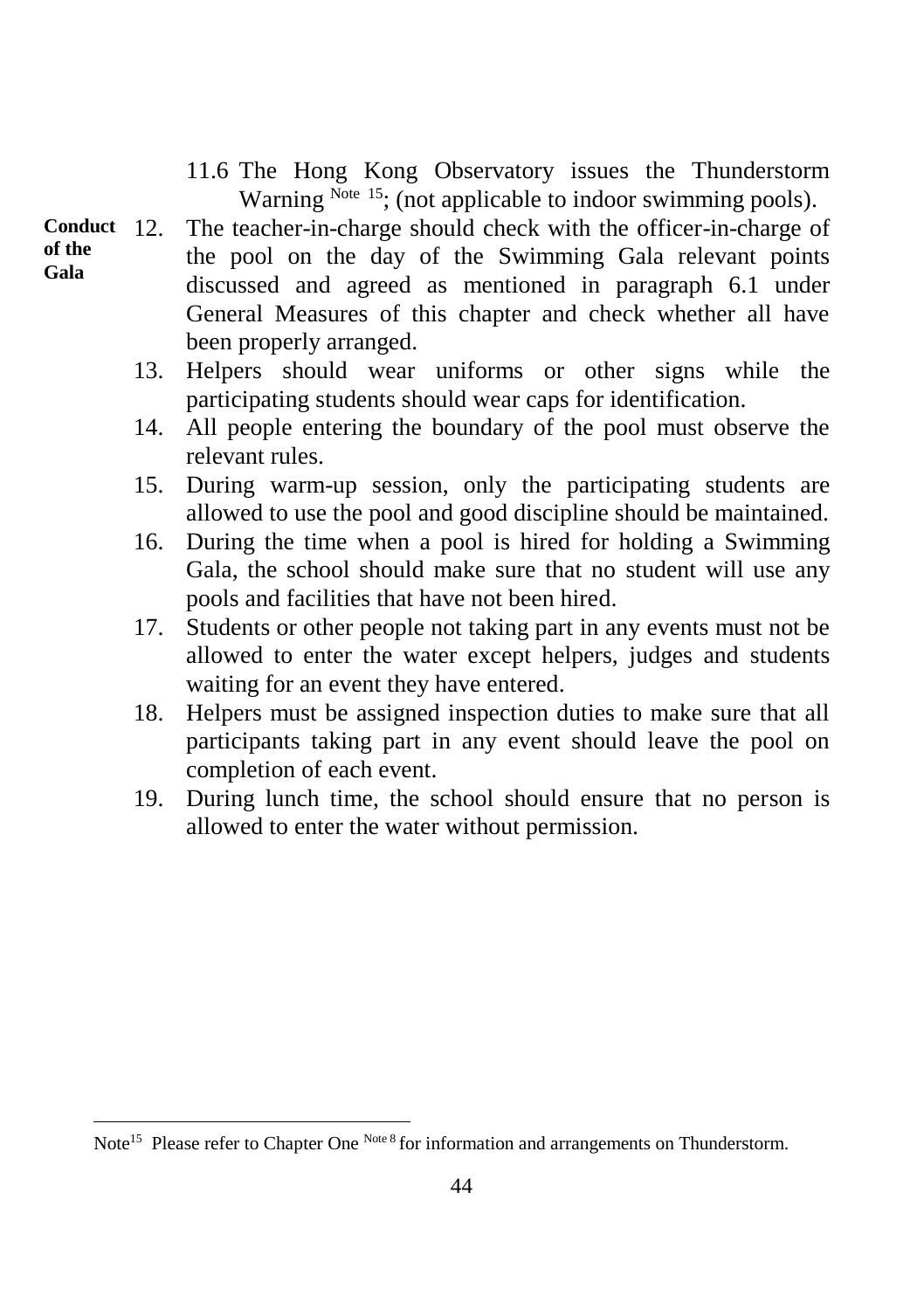- 11.6 The Hong Kong Observatory issues the Thunderstorm Warning Note 15; (not applicable to indoor swimming pools).
- **of the Gala**

l

- The teacher-in-charge should check with the officer-in-charge of the pool on the day of the Swimming Gala relevant points discussed and agreed as mentioned in paragraph 6.1 under General Measures of this chapter and check whether all have been properly arranged. **Conduct** 
	- 13. Helpers should wear uniforms or other signs while the participating students should wear caps for identification.
	- 14. All people entering the boundary of the pool must observe the relevant rules.
	- 15. During warm-up session, only the participating students are allowed to use the pool and good discipline should be maintained.
	- 16. During the time when a pool is hired for holding a Swimming Gala, the school should make sure that no student will use any pools and facilities that have not been hired.
	- 17. Students or other people not taking part in any events must not be allowed to enter the water except helpers, judges and students waiting for an event they have entered.
	- 18. Helpers must be assigned inspection duties to make sure that all participants taking part in any event should leave the pool on completion of each event.
	- 19. During lunch time, the school should ensure that no person is allowed to enter the water without permission.

Note<sup>15</sup> Please refer to Chapter One Note 8 for information and arrangements on Thunderstorm.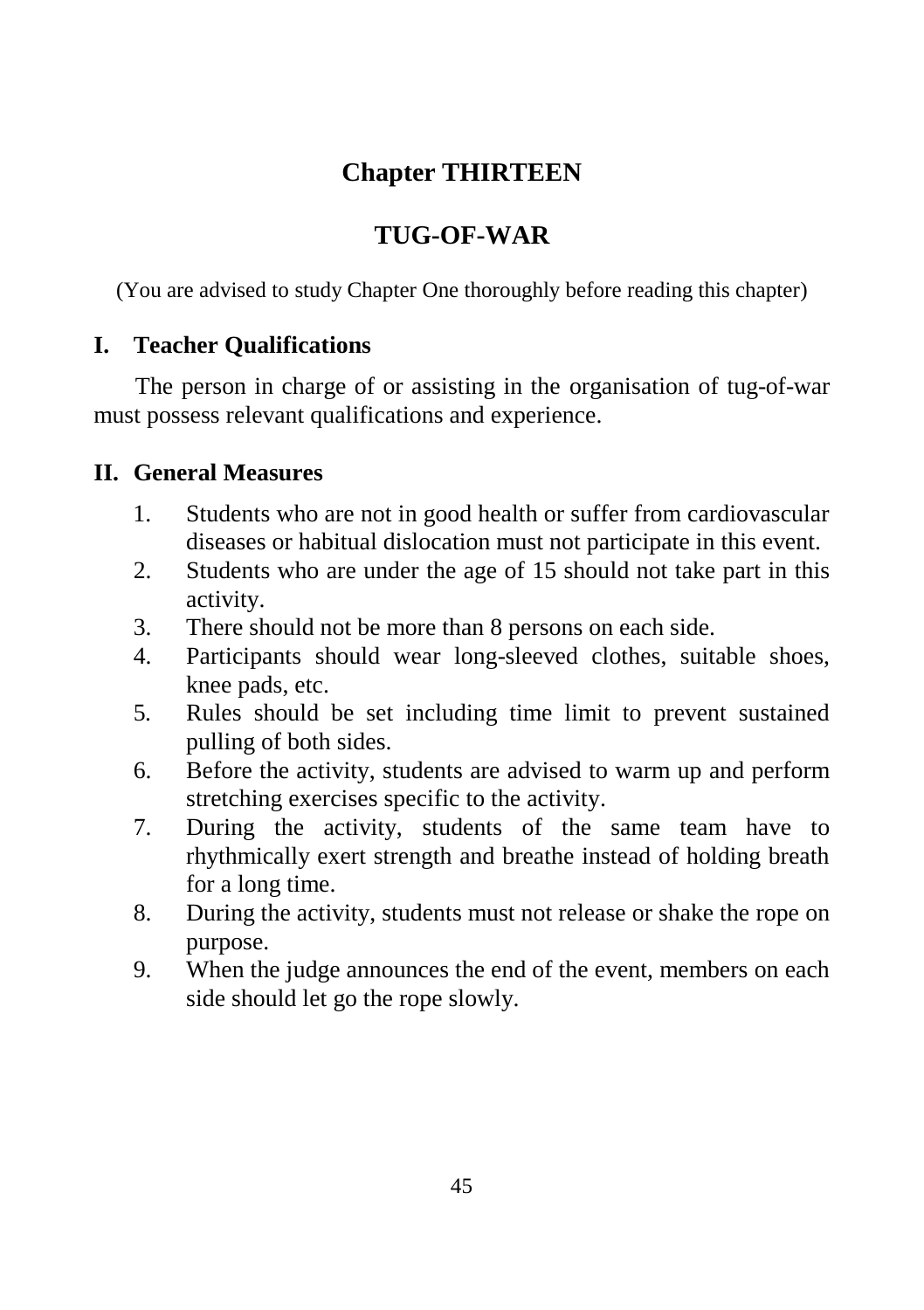## **Chapter THIRTEEN**

## **TUG-OF-WAR**

(You are advised to study Chapter One thoroughly before reading this chapter)

### **I. Teacher Qualifications**

The person in charge of or assisting in the organisation of tug-of-war must possess relevant qualifications and experience.

### **II. General Measures**

- 1. Students who are not in good health or suffer from cardiovascular diseases or habitual dislocation must not participate in this event.
- 2. Students who are under the age of 15 should not take part in this activity.
- 3. There should not be more than 8 persons on each side.
- 4. Participants should wear long-sleeved clothes, suitable shoes, knee pads, etc.
- 5. Rules should be set including time limit to prevent sustained pulling of both sides.
- 6. Before the activity, students are advised to warm up and perform stretching exercises specific to the activity.
- 7. During the activity, students of the same team have to rhythmically exert strength and breathe instead of holding breath for a long time.
- 8. During the activity, students must not release or shake the rope on purpose.
- 9. When the judge announces the end of the event, members on each side should let go the rope slowly.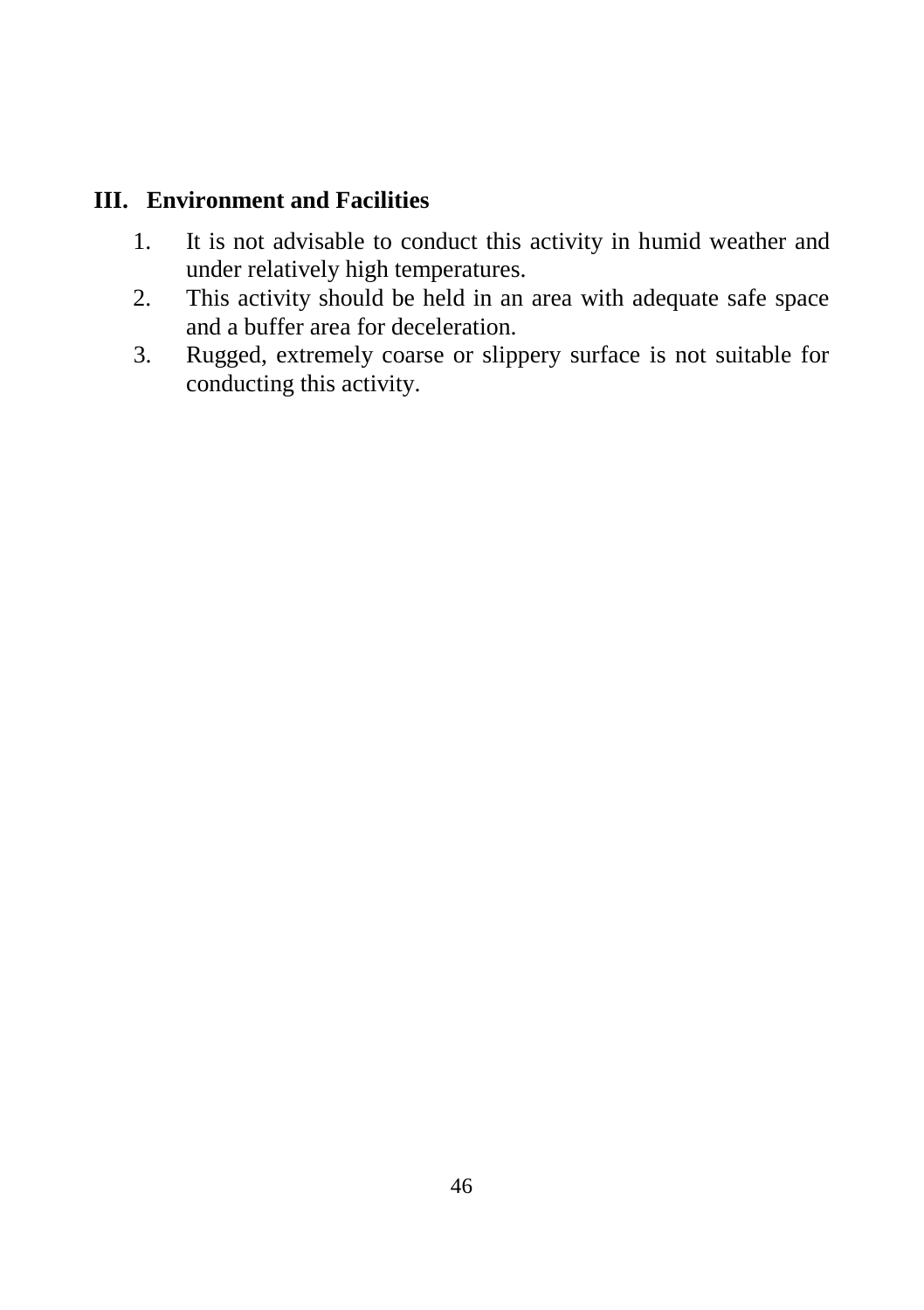### **III. Environment and Facilities**

- 1. It is not advisable to conduct this activity in humid weather and under relatively high temperatures.
- 2. This activity should be held in an area with adequate safe space and a buffer area for deceleration.
- 3. Rugged, extremely coarse or slippery surface is not suitable for conducting this activity.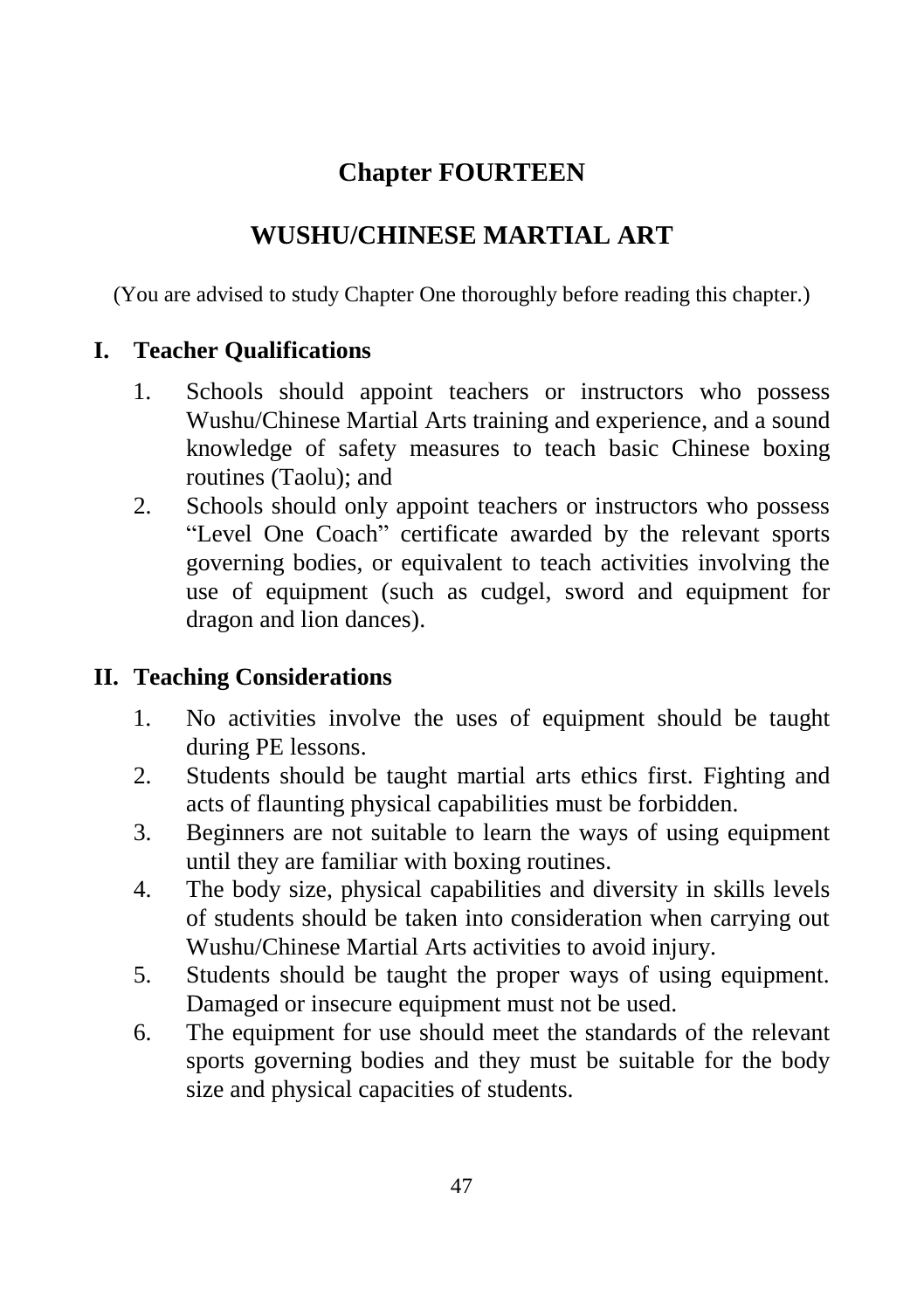# **Chapter FOURTEEN**

## **WUSHU/CHINESE MARTIAL ART**

(You are advised to study Chapter One thoroughly before reading this chapter.)

### **I. Teacher Qualifications**

- 1. Schools should appoint teachers or instructors who possess Wushu/Chinese Martial Arts training and experience, and a sound knowledge of safety measures to teach basic Chinese boxing routines (Taolu); and
- 2. Schools should only appoint teachers or instructors who possess "Level One Coach" certificate awarded by the relevant sports governing bodies, or equivalent to teach activities involving the use of equipment (such as cudgel, sword and equipment for dragon and lion dances).

### **II. Teaching Considerations**

- 1. No activities involve the uses of equipment should be taught during PE lessons.
- 2. Students should be taught martial arts ethics first. Fighting and acts of flaunting physical capabilities must be forbidden.
- 3. Beginners are not suitable to learn the ways of using equipment until they are familiar with boxing routines.
- 4. The body size, physical capabilities and diversity in skills levels of students should be taken into consideration when carrying out Wushu/Chinese Martial Arts activities to avoid injury.
- 5. Students should be taught the proper ways of using equipment. Damaged or insecure equipment must not be used.
- 6. The equipment for use should meet the standards of the relevant sports governing bodies and they must be suitable for the body size and physical capacities of students.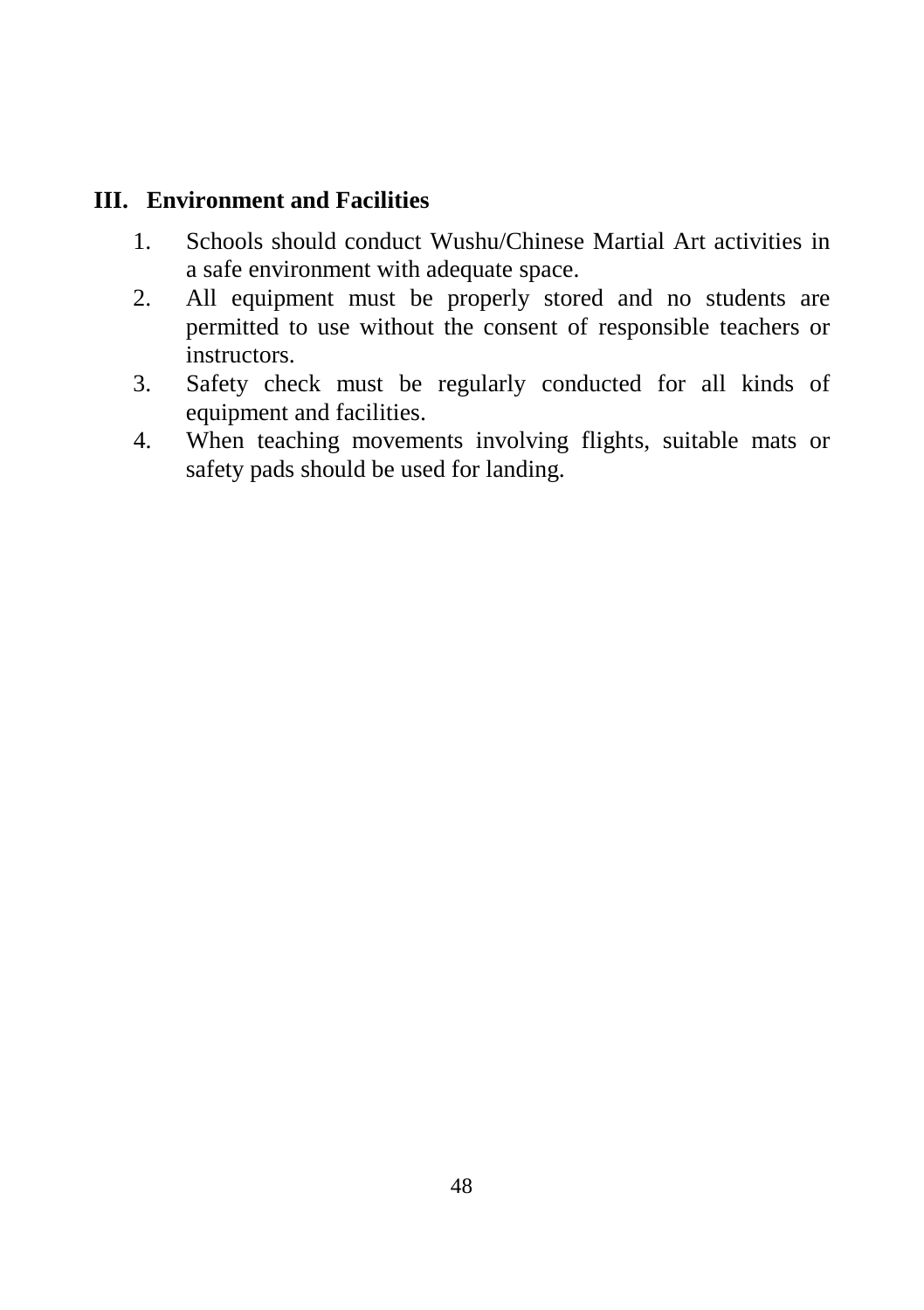### **III. Environment and Facilities**

- 1. Schools should conduct Wushu/Chinese Martial Art activities in a safe environment with adequate space.
- 2. All equipment must be properly stored and no students are permitted to use without the consent of responsible teachers or instructors.
- 3. Safety check must be regularly conducted for all kinds of equipment and facilities.
- 4. When teaching movements involving flights, suitable mats or safety pads should be used for landing.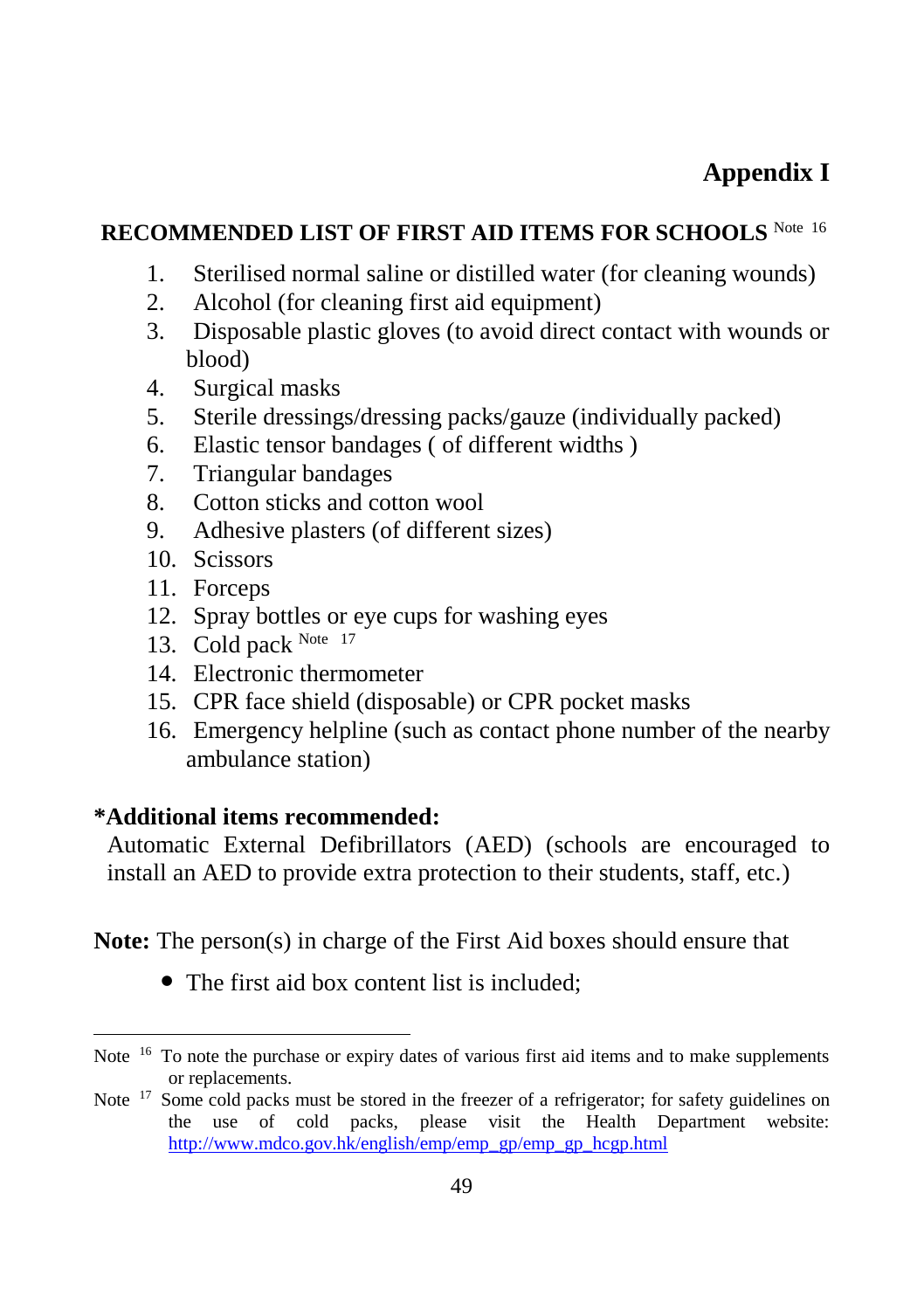# **Appendix I**

### **RECOMMENDED LIST OF FIRST AID ITEMS FOR SCHOOLS** Note 16

- 1. Sterilised normal saline or distilled water (for cleaning wounds)
- 2. Alcohol (for cleaning first aid equipment)
- 3. Disposable plastic gloves (to avoid direct contact with wounds or blood)
- 4. Surgical masks
- 5. Sterile dressings/dressing packs/gauze (individually packed)
- 6. Elastic tensor bandages ( of different widths )
- 7. Triangular bandages
- 8. Cotton sticks and cotton wool
- 9. Adhesive plasters (of different sizes)
- 10. Scissors
- 11. Forceps

l

- 12. Spray bottles or eye cups for washing eyes
- 13. Cold pack Note 17
- 14. Electronic thermometer
- 15. CPR face shield (disposable) or CPR pocket masks
- 16. Emergency helpline (such as contact phone number of the nearby ambulance station)

### **\*Additional items recommended:**

Automatic External Defibrillators (AED) (schools are encouraged to install an AED to provide extra protection to their students, staff, etc.)

**Note:** The person(s) in charge of the First Aid boxes should ensure that

• The first aid box content list is included;

Note <sup>16</sup> To note the purchase or expiry dates of various first aid items and to make supplements or replacements.

Note <sup>17</sup> Some cold packs must be stored in the freezer of a refrigerator; for safety guidelines on the use of cold packs, please visit the Health Department website: [http://www.mdco.gov.hk/english/emp/emp\\_gp/emp\\_gp\\_hcgp.html](http://www.mdco.gov.hk/english/emp/emp_gp/emp_gp_hcgp.html)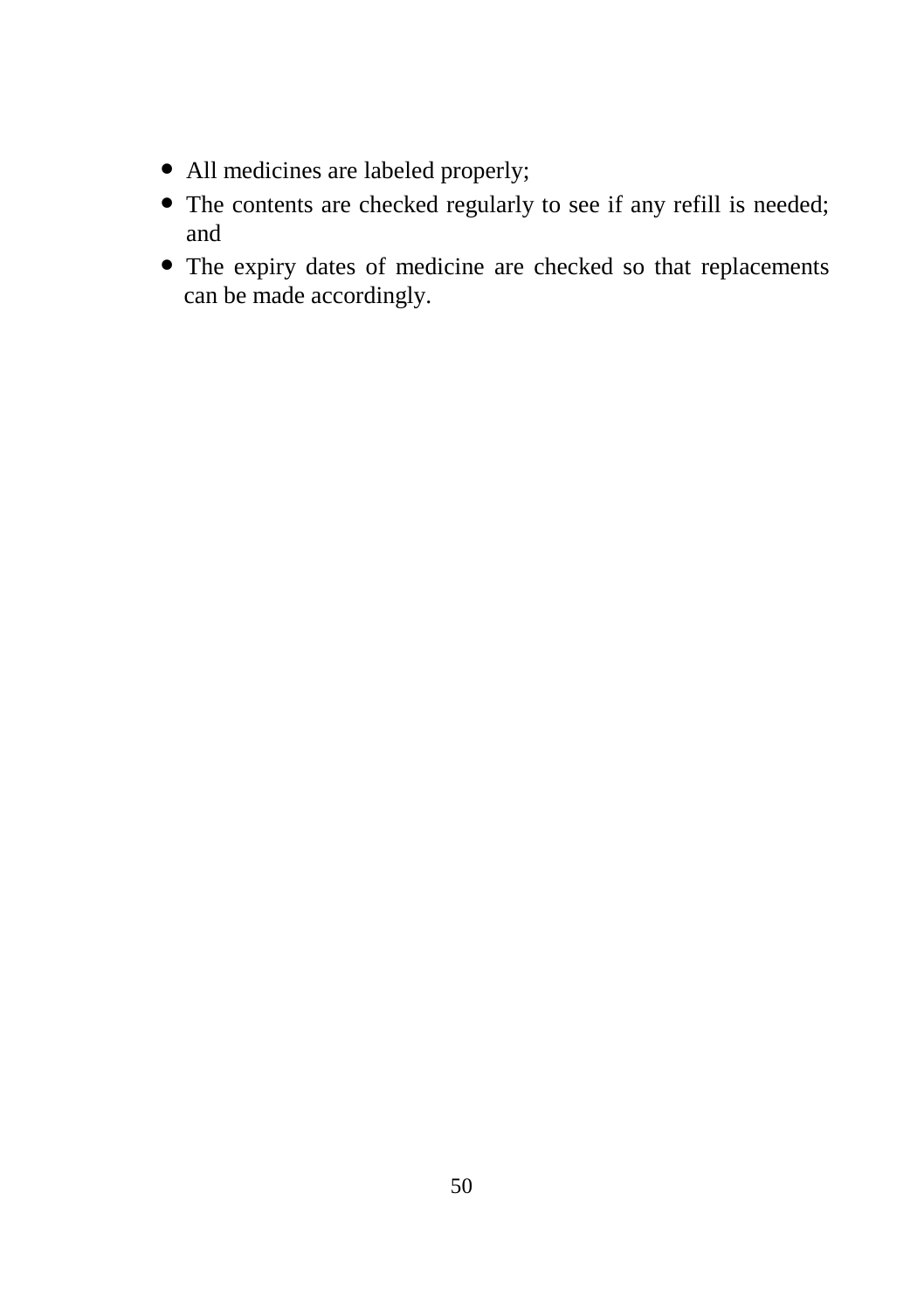- All medicines are labeled properly;
- The contents are checked regularly to see if any refill is needed; and
- The expiry dates of medicine are checked so that replacements can be made accordingly.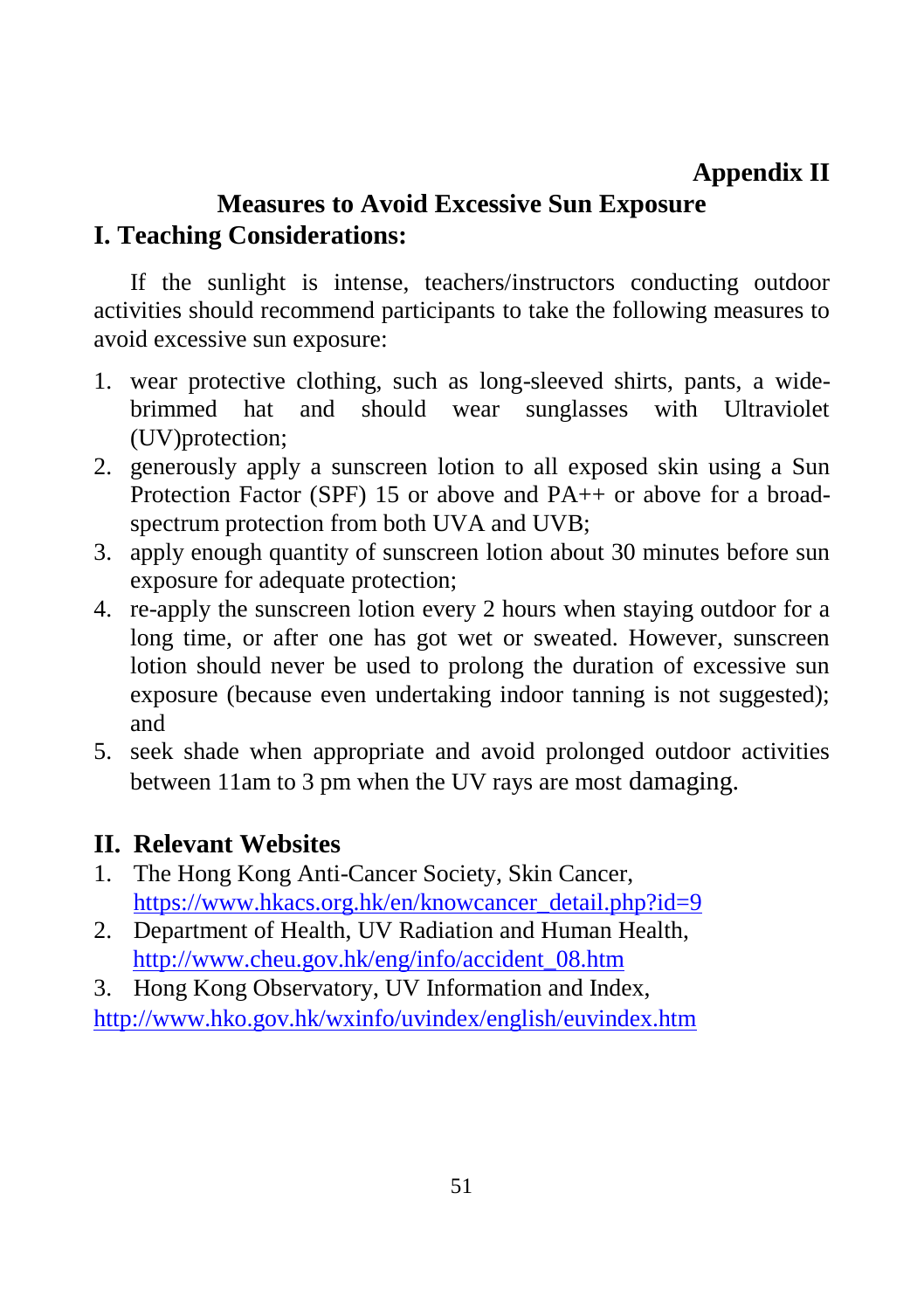## **Appendix II**

## **Measures to Avoid Excessive Sun Exposure I. Teaching Considerations:**

If the sunlight is intense, teachers/instructors conducting outdoor activities should recommend participants to take the following measures to avoid excessive sun exposure:

- 1. wear protective clothing, such as long-sleeved shirts, pants, a widebrimmed hat and should wear sunglasses with Ultraviolet (UV)protection;
- 2. generously apply a sunscreen lotion to all exposed skin using a Sun Protection Factor (SPF) 15 or above and PA++ or above for a broadspectrum protection from both UVA and UVB;
- 3. apply enough quantity of sunscreen lotion about 30 minutes before sun exposure for adequate protection;
- 4. re-apply the sunscreen lotion every 2 hours when staying outdoor for a long time, or after one has got wet or sweated. However, sunscreen lotion should never be used to prolong the duration of excessive sun exposure (because even undertaking indoor tanning is not suggested); and
- 5. seek shade when appropriate and avoid prolonged outdoor activities between 11am to 3 pm when the UV rays are most damaging.

### **II. Relevant Websites**

- 1. The Hong Kong Anti-Cancer Society, Skin Cancer, [https://www.hkacs.org.hk/en/knowcancer\\_detail.php?id=9](https://www.hkacs.org.hk/en/knowcancer_detail.php?id=9)
- 2. Department of Health, UV Radiation and Human Health, [http://www.cheu.gov.hk/eng/info/accident\\_08.htm](http://www.cheu.gov.hk/eng/info/accident_08.htm)
- 3. Hong Kong Observatory, UV Information and Index, <http://www.hko.gov.hk/wxinfo/uvindex/english/euvindex.htm>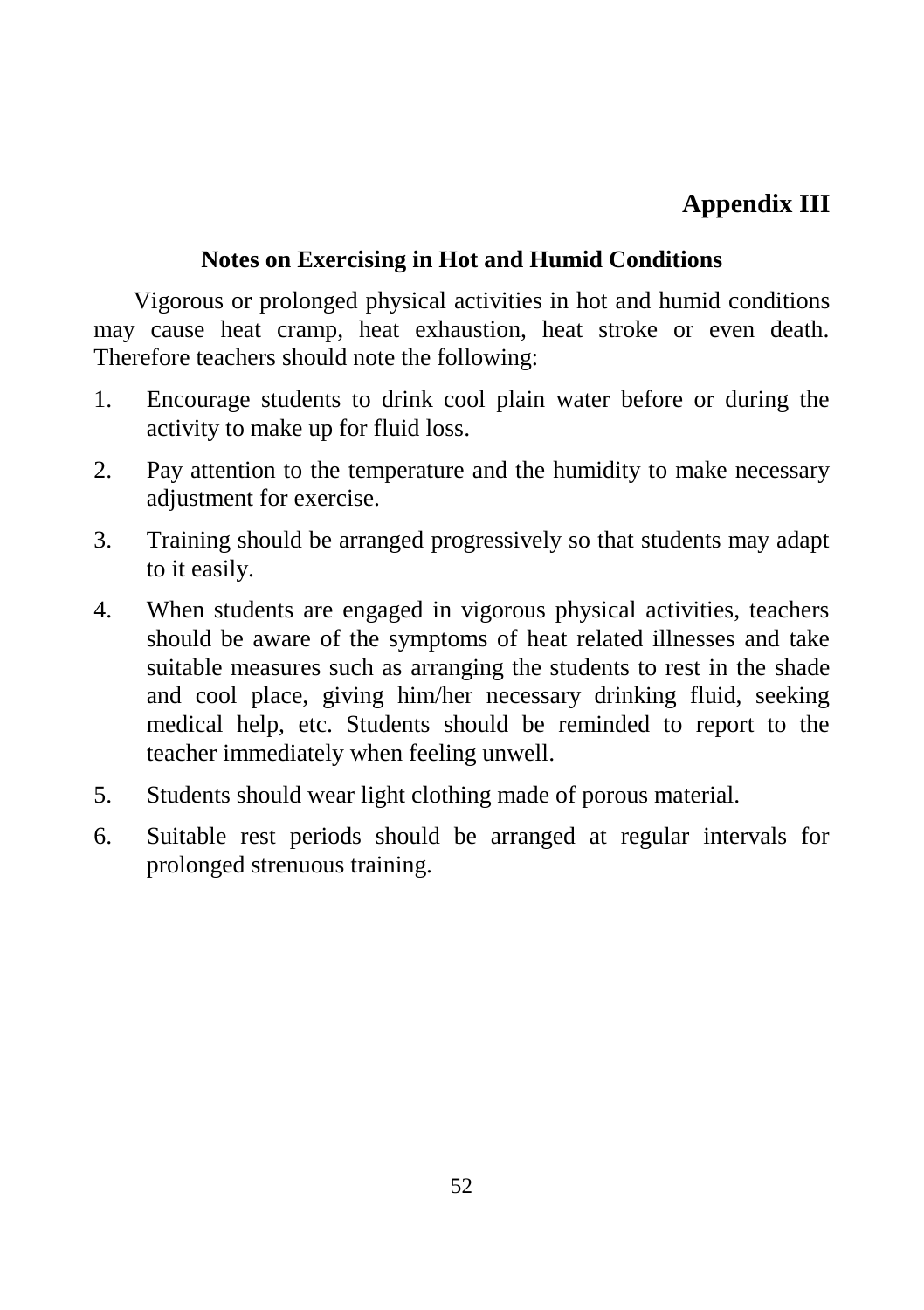## **Appendix III**

### **Notes on Exercising in Hot and Humid Conditions**

Vigorous or prolonged physical activities in hot and humid conditions may cause heat cramp, heat exhaustion, heat stroke or even death. Therefore teachers should note the following:

- 1. Encourage students to drink cool plain water before or during the activity to make up for fluid loss.
- 2. Pay attention to the temperature and the humidity to make necessary adjustment for exercise.
- 3. Training should be arranged progressively so that students may adapt to it easily.
- 4. When students are engaged in vigorous physical activities, teachers should be aware of the symptoms of heat related illnesses and take suitable measures such as arranging the students to rest in the shade and cool place, giving him/her necessary drinking fluid, seeking medical help, etc. Students should be reminded to report to the teacher immediately when feeling unwell.
- 5. Students should wear light clothing made of porous material.
- 6. Suitable rest periods should be arranged at regular intervals for prolonged strenuous training.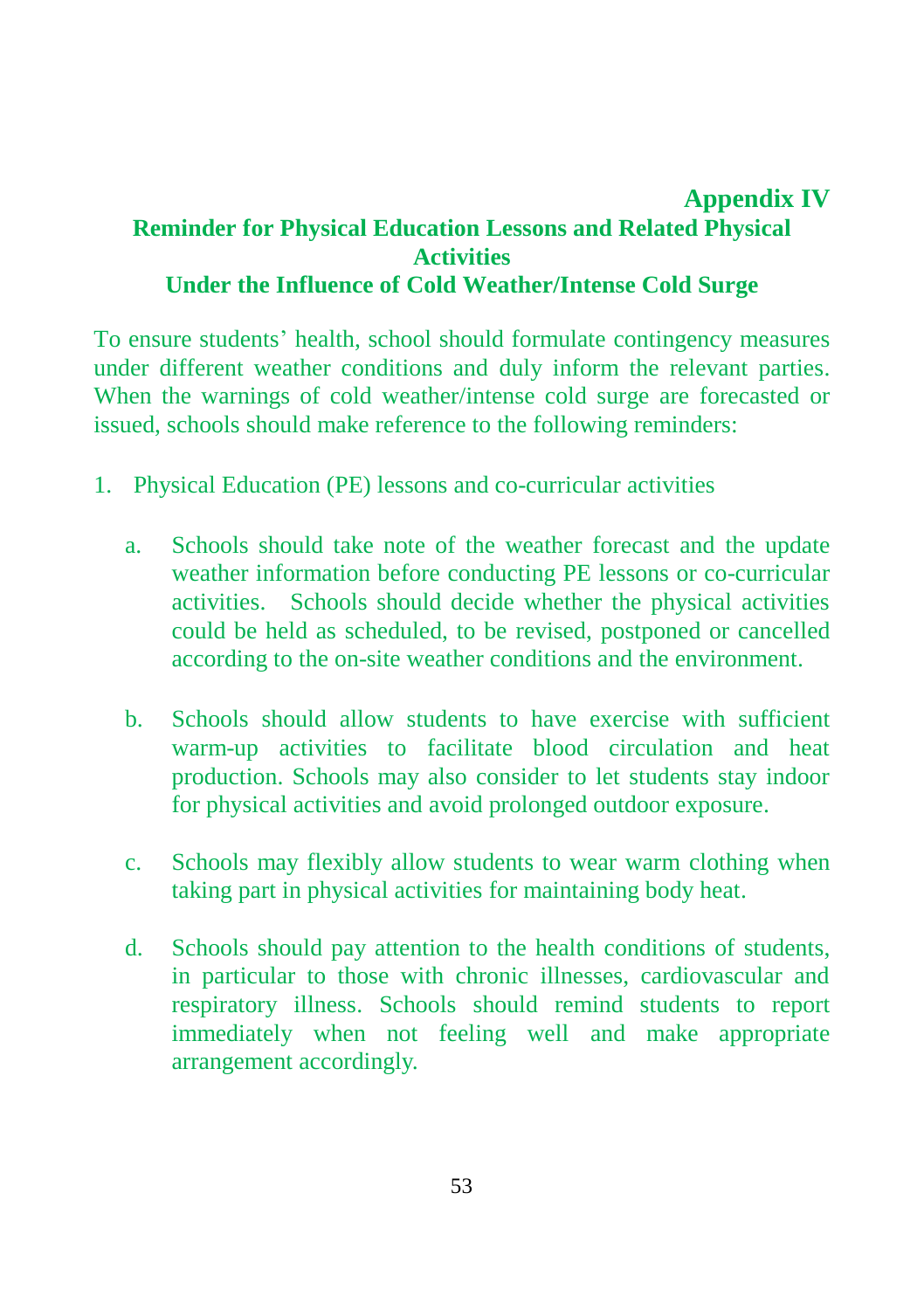### **Appendix IV Reminder for Physical Education Lessons and Related Physical Activities Under the Influence of Cold Weather/Intense Cold Surge**

To ensure students' health, school should formulate contingency measures under different weather conditions and duly inform the relevant parties. When the warnings of cold weather/intense cold surge are forecasted or issued, schools should make reference to the following reminders:

- 1. Physical Education (PE) lessons and co-curricular activities
	- a. Schools should take note of the weather forecast and the update weather information before conducting PE lessons or co-curricular activities. Schools should decide whether the physical activities could be held as scheduled, to be revised, postponed or cancelled according to the on-site weather conditions and the environment.
	- b. Schools should allow students to have exercise with sufficient warm-up activities to facilitate blood circulation and heat production. Schools may also consider to let students stay indoor for physical activities and avoid prolonged outdoor exposure.
	- c. Schools may flexibly allow students to wear warm clothing when taking part in physical activities for maintaining body heat.
	- d. Schools should pay attention to the health conditions of students, in particular to those with chronic illnesses, cardiovascular and respiratory illness. Schools should remind students to report immediately when not feeling well and make appropriate arrangement accordingly.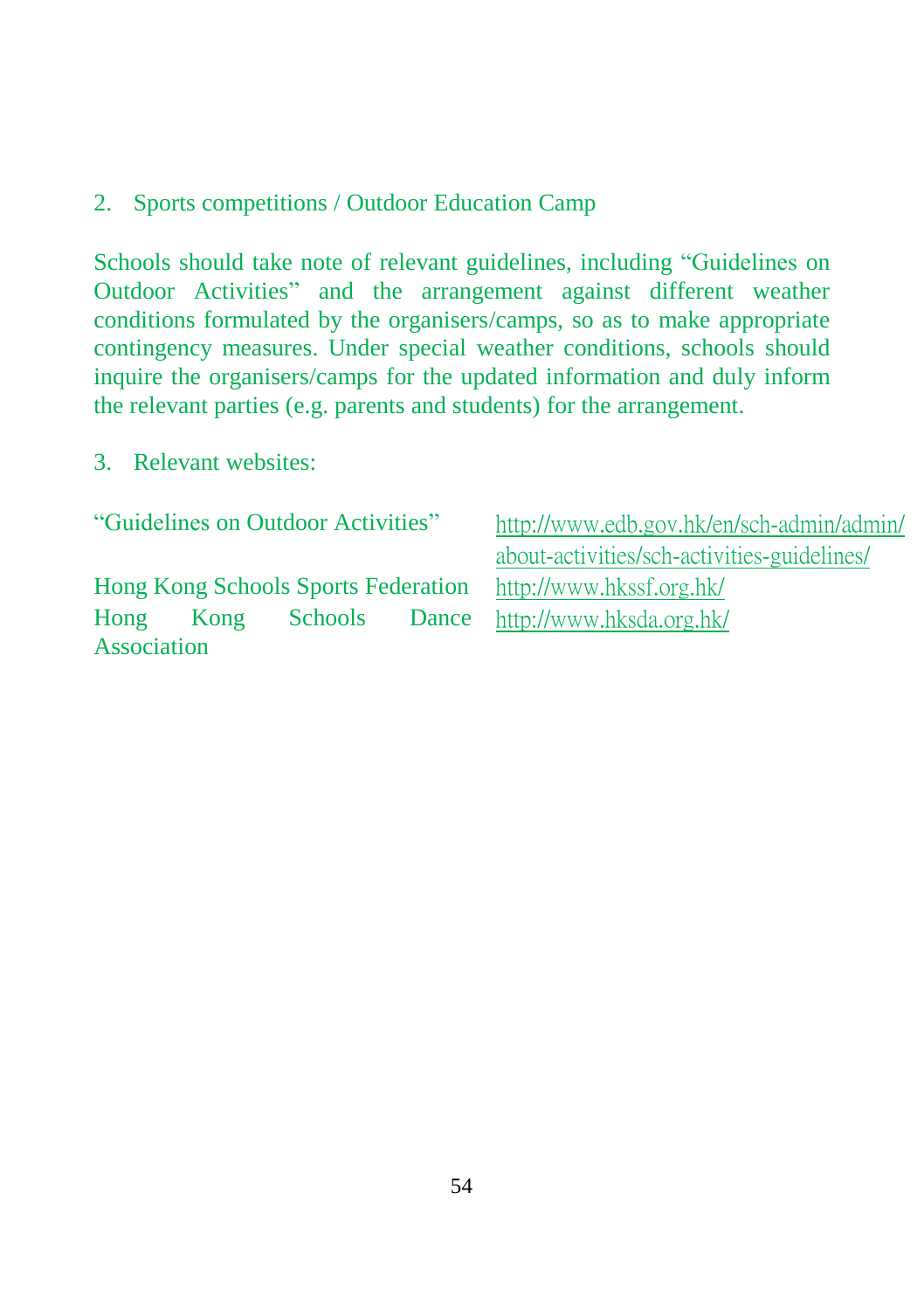### 2. Sports competitions / Outdoor Education Camp

Schools should take note of relevant guidelines, including "Guidelines on Outdoor Activities" and the arrangement against different weather conditions formulated by the organisers/camps, so as to make appropriate contingency measures. Under special weather conditions, schools should inquire the organisers/camps for the updated information and duly inform the relevant parties (e.g. parents and students) for the arrangement.

#### 3. Relevant websites:

| "Guidelines on Outdoor Activities"         |      |         |       | http://www.edb.gov.hk/en/sch-admin/admin/   |  |  |
|--------------------------------------------|------|---------|-------|---------------------------------------------|--|--|
|                                            |      |         |       | about-activities/sch-activities-guidelines/ |  |  |
| <b>Hong Kong Schools Sports Federation</b> |      |         |       | http://www.hkssf.org.hk/                    |  |  |
| Hong                                       | Kong | Schools | Dance | http://www.hksda.org.hk/                    |  |  |
| Association                                |      |         |       |                                             |  |  |
|                                            |      |         |       |                                             |  |  |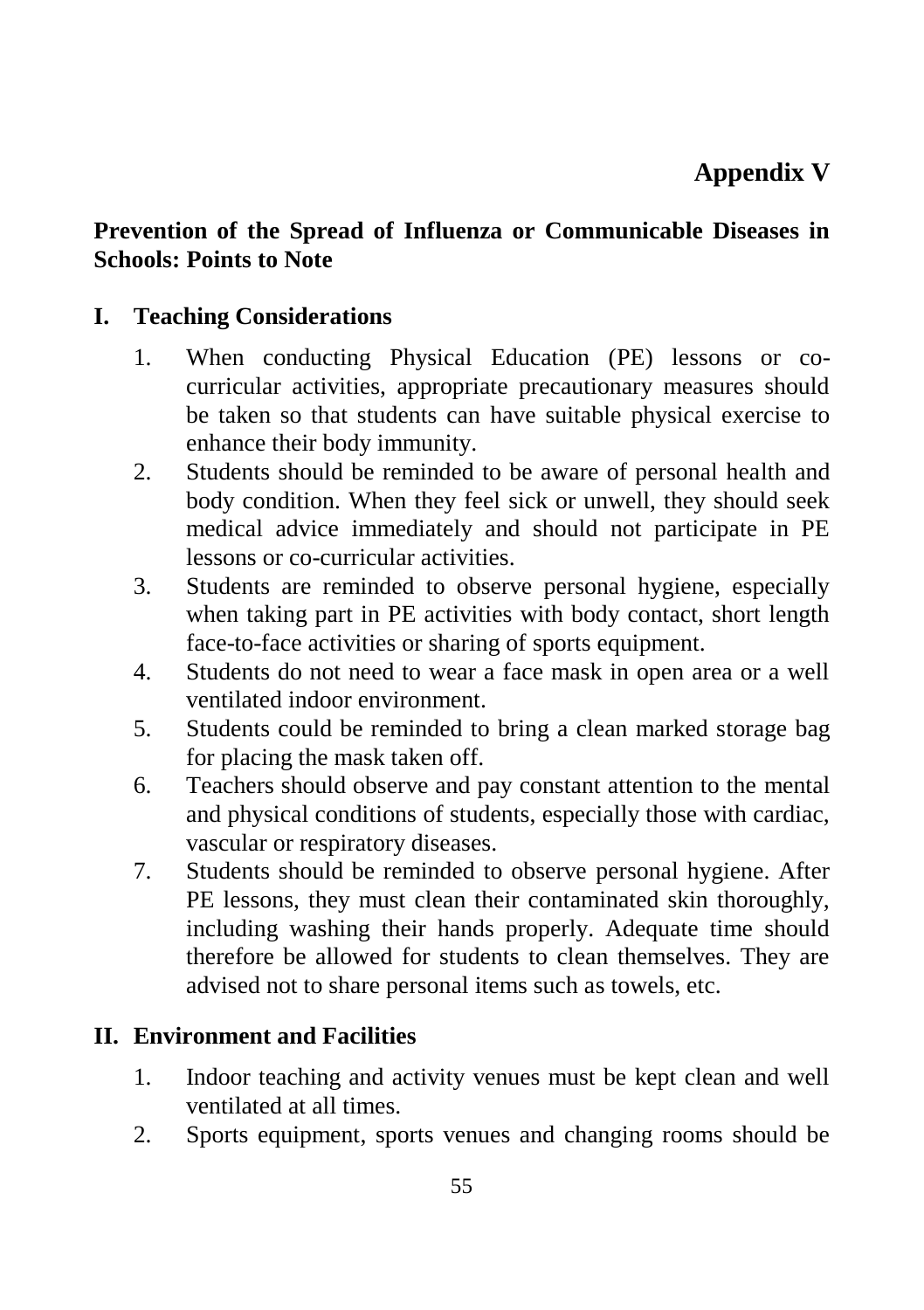### **Prevention of the Spread of Influenza or Communicable Diseases in Schools: Points to Note**

### **I. Teaching Considerations**

- 1. When conducting Physical Education (PE) lessons or cocurricular activities, appropriate precautionary measures should be taken so that students can have suitable physical exercise to enhance their body immunity.
- 2. Students should be reminded to be aware of personal health and body condition. When they feel sick or unwell, they should seek medical advice immediately and should not participate in PE lessons or co-curricular activities.
- 3. Students are reminded to observe personal hygiene, especially when taking part in PE activities with body contact, short length face-to-face activities or sharing of sports equipment.
- 4. Students do not need to wear a face mask in open area or a well ventilated indoor environment.
- 5. Students could be reminded to bring a clean marked storage bag for placing the mask taken off.
- 6. Teachers should observe and pay constant attention to the mental and physical conditions of students, especially those with cardiac, vascular or respiratory diseases.
- 7. Students should be reminded to observe personal hygiene. After PE lessons, they must clean their contaminated skin thoroughly, including washing their hands properly. Adequate time should therefore be allowed for students to clean themselves. They are advised not to share personal items such as towels, etc.

### **II. Environment and Facilities**

- 1. Indoor teaching and activity venues must be kept clean and well ventilated at all times.
- 2. Sports equipment, sports venues and changing rooms should be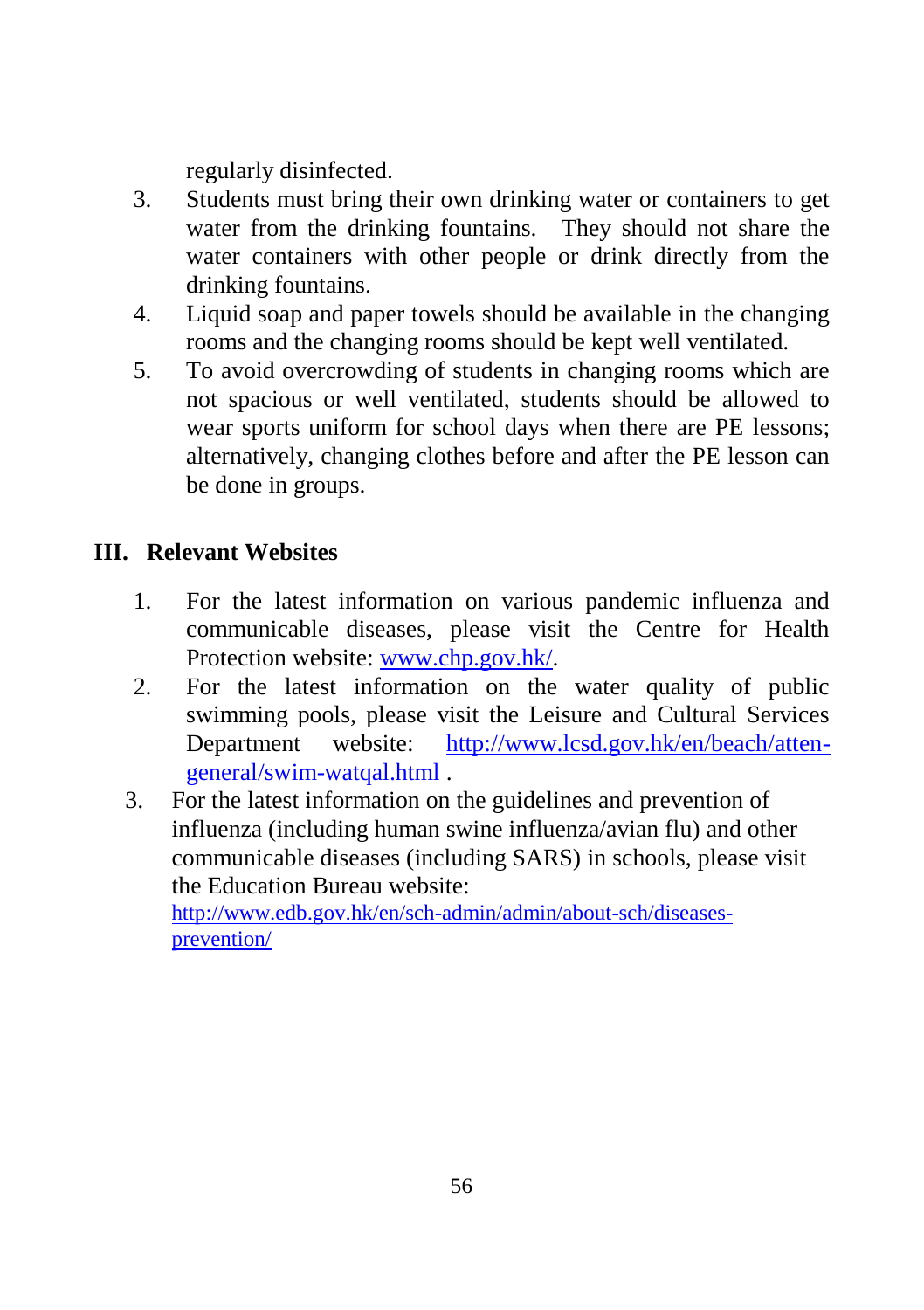regularly disinfected.

- 3. Students must bring their own drinking water or containers to get water from the drinking fountains. They should not share the water containers with other people or drink directly from the drinking fountains.
- 4. Liquid soap and paper towels should be available in the changing rooms and the changing rooms should be kept well ventilated.
- 5. To avoid overcrowding of students in changing rooms which are not spacious or well ventilated, students should be allowed to wear sports uniform for school days when there are PE lessons; alternatively, changing clothes before and after the PE lesson can be done in groups.

## **III. Relevant Websites**

- 1. For the latest information on various pandemic influenza and communicable diseases, please visit the Centre for Health Protection website: [www.chp.gov.hk/.](http://www.chp.gov.hk/)
- 2. For the latest information on the water quality of public swimming pools, please visit the Leisure and Cultural Services Department website: [http://www.lcsd.gov.hk/en/beach/atten](http://www.lcsd.gov.hk/en/beach/atten-general/swim-watqal.html)[general/swim-watqal.html](http://www.lcsd.gov.hk/en/beach/atten-general/swim-watqal.html) .
- 3. For the latest information on the guidelines and prevention of influenza (including human swine influenza/avian flu) and other communicable diseases (including SARS) in schools, please visit the Education Bureau website:

[http://www.edb.gov.hk/en/sch-admin/admin/about-sch/diseases](http://www.edb.gov.hk/en/sch-admin/admin/about-sch/diseases-prevention/)[prevention/](http://www.edb.gov.hk/en/sch-admin/admin/about-sch/diseases-prevention/)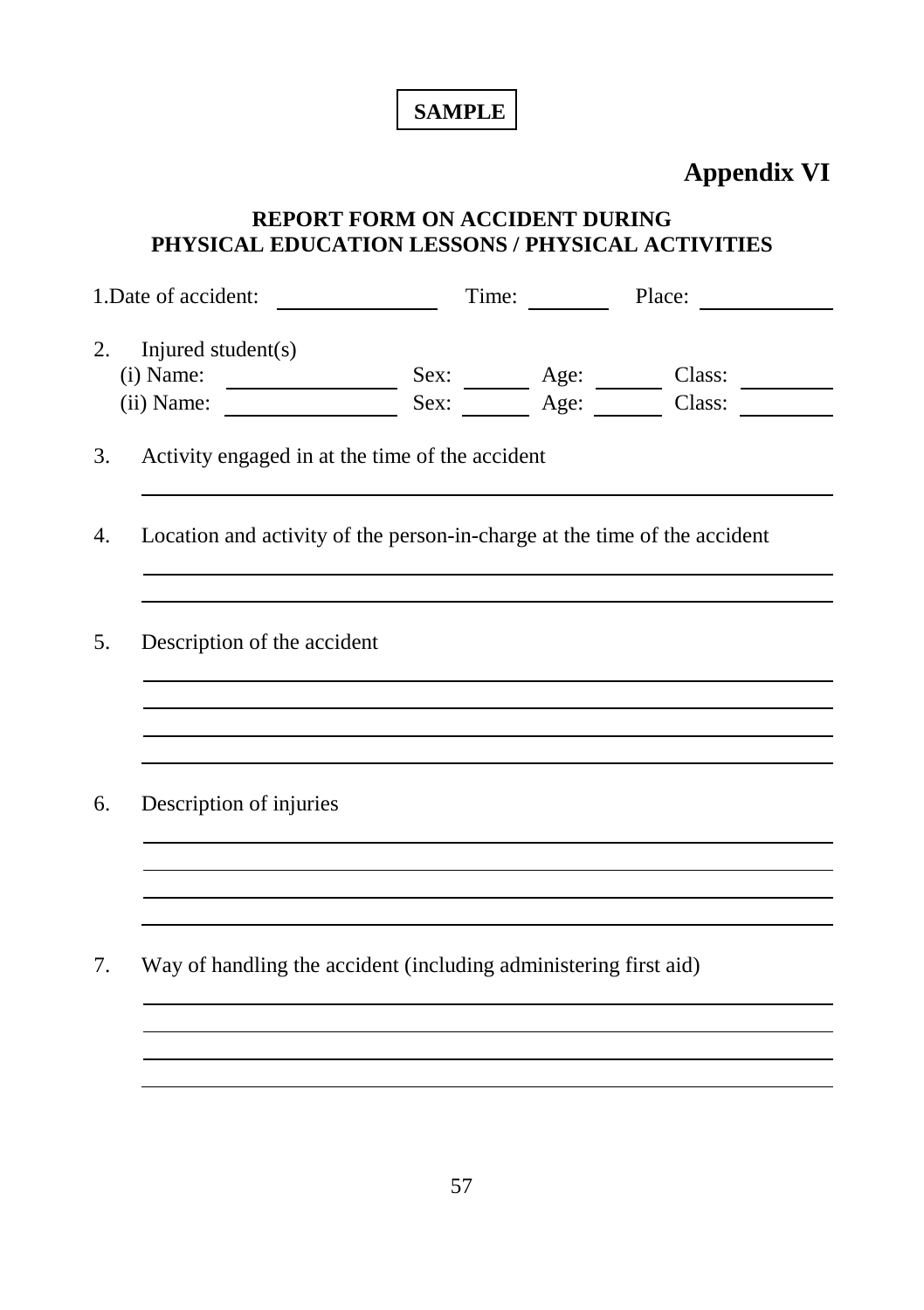## **SAMPLE**

## **Appendix VI**

#### **REPORT FORM ON ACCIDENT DURING PHYSICAL EDUCATION LESSONS / PHYSICAL ACTIVITIES**

| 1. Date of accident:                                                                                                                            | Time: | Place: |
|-------------------------------------------------------------------------------------------------------------------------------------------------|-------|--------|
| Injured student(s)<br>2.<br>(i) Name: $\frac{\text{Sex:}}{\text{Sex:}}$ $\frac{\text{Age:}}{\text{Age:}}$ $\frac{\text{Class:}}{\text{Class:}}$ |       |        |
| Activity engaged in at the time of the accident<br>3.                                                                                           |       |        |
| Location and activity of the person-in-charge at the time of the accident<br>4.                                                                 |       |        |
| 5 <sub>1</sub><br>Description of the accident                                                                                                   |       |        |
| Description of injuries<br>6.                                                                                                                   |       |        |
| Way of handling the accident (including administering first aid)<br>7.                                                                          |       |        |
|                                                                                                                                                 |       |        |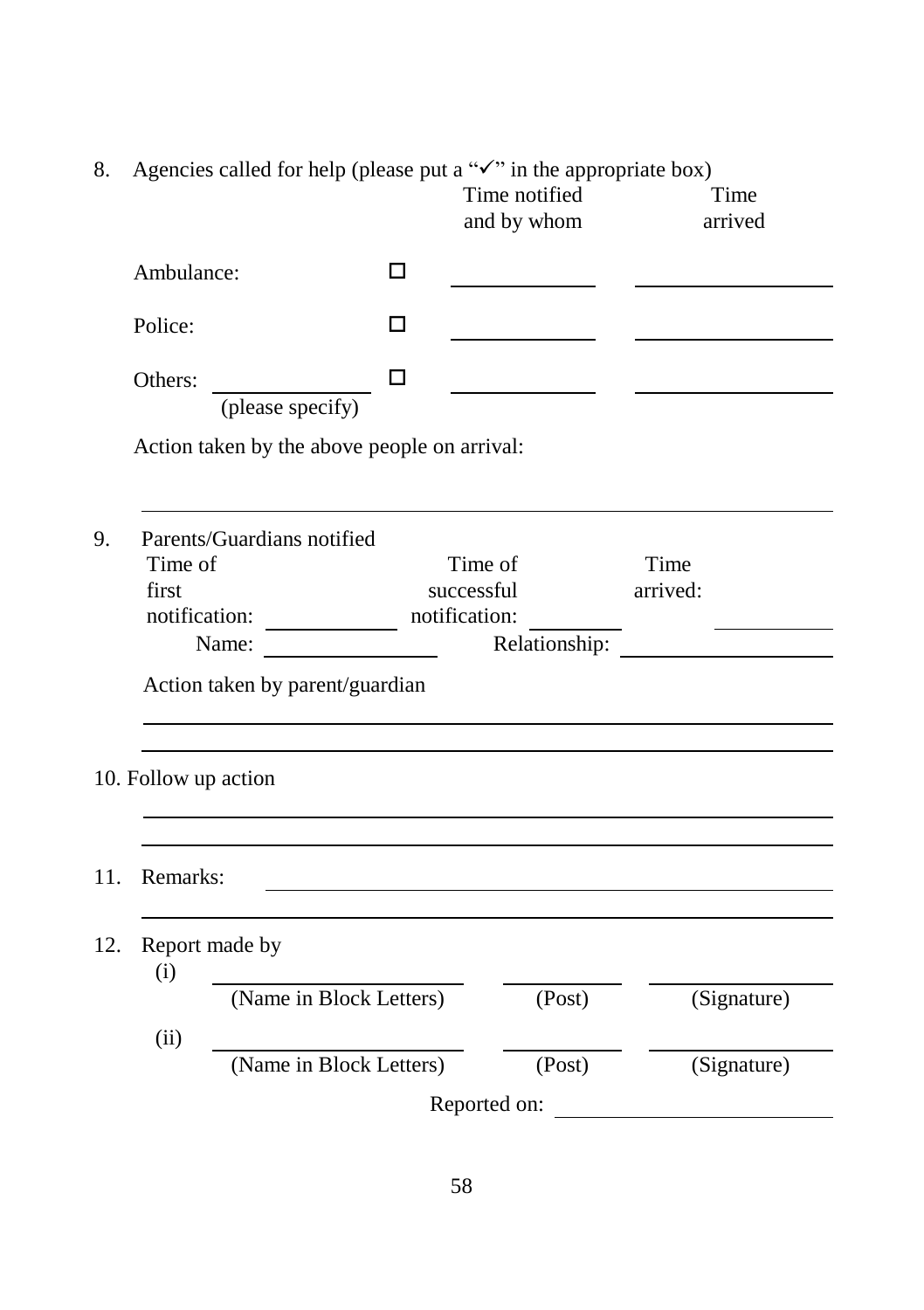| Agencies called for help (please put a " $\checkmark$ " in the appropriate box)<br>8. |                                   |                                              |               |                              |               |                  |                 |  |
|---------------------------------------------------------------------------------------|-----------------------------------|----------------------------------------------|---------------|------------------------------|---------------|------------------|-----------------|--|
|                                                                                       |                                   |                                              |               | Time notified<br>and by whom |               |                  | Time<br>arrived |  |
|                                                                                       | Ambulance:                        |                                              | □             |                              |               |                  |                 |  |
|                                                                                       | Police:                           |                                              | LΙ            |                              |               |                  |                 |  |
|                                                                                       | Others:                           | (please specify)                             | П             |                              |               |                  |                 |  |
|                                                                                       |                                   | Action taken by the above people on arrival: |               |                              |               |                  |                 |  |
| 9.                                                                                    | Time of<br>first<br>notification: | Parents/Guardians notified<br>Name:          | notification: | Time of<br>successful        | Relationship: | Time<br>arrived: |                 |  |
|                                                                                       |                                   | Action taken by parent/guardian              |               |                              |               |                  |                 |  |
|                                                                                       | 10. Follow up action              |                                              |               |                              |               |                  |                 |  |
| 11.                                                                                   | Remarks:                          |                                              |               |                              |               |                  |                 |  |
| 12.                                                                                   | Report made by<br>(i)             |                                              |               |                              |               |                  |                 |  |
|                                                                                       |                                   | (Name in Block Letters)                      |               |                              | (Post)        |                  | (Signature)     |  |
|                                                                                       | (ii)                              | (Name in Block Letters)                      |               |                              | (Post)        |                  | (Signature)     |  |
|                                                                                       |                                   |                                              |               | Reported on:                 |               |                  |                 |  |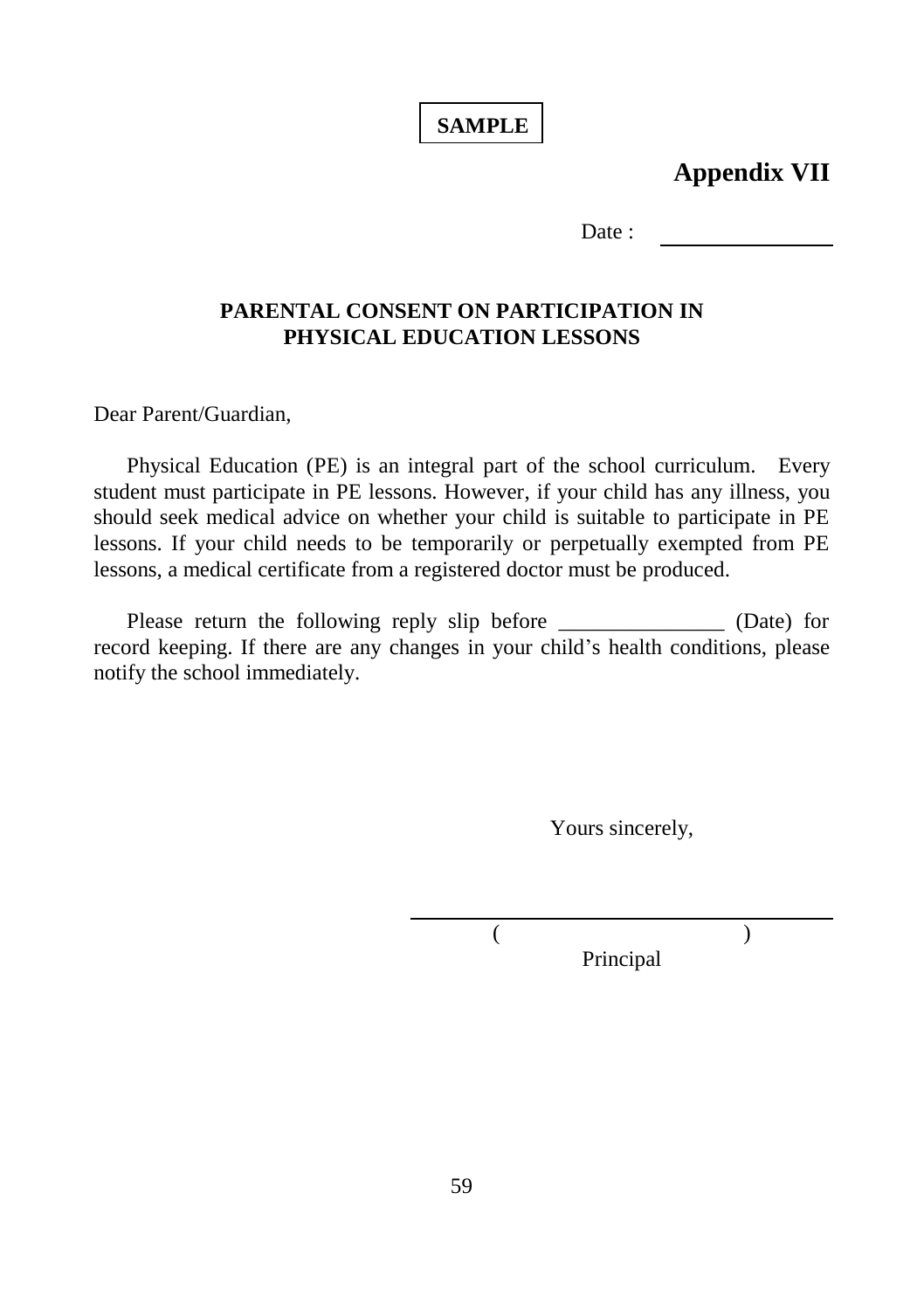### **SAMPLE**

**Appendix VII**

Date ·

#### **PARENTAL CONSENT ON PARTICIPATION IN PHYSICAL EDUCATION LESSONS**

Dear Parent/Guardian,

Physical Education (PE) is an integral part of the school curriculum. Every student must participate in PE lessons. However, if your child has any illness, you should seek medical advice on whether your child is suitable to participate in PE lessons. If your child needs to be temporarily or perpetually exempted from PE lessons, a medical certificate from a registered doctor must be produced.

Please return the following reply slip before \_\_\_\_\_\_\_\_\_\_\_\_\_\_\_\_\_\_ (Date) for record keeping. If there are any changes in your child's health conditions, please notify the school immediately.

Yours sincerely,

 $($  ) Principal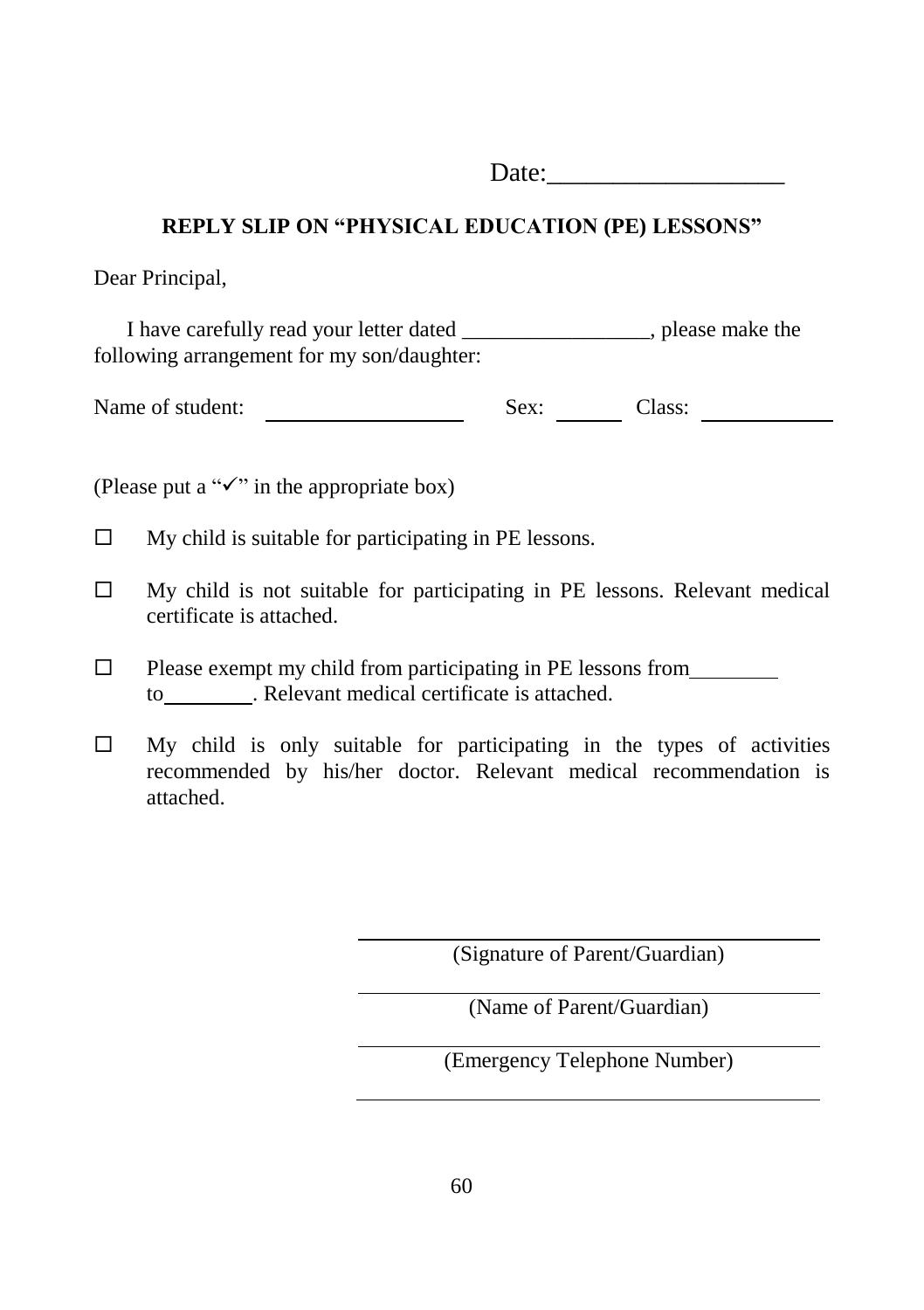Date:

#### **REPLY SLIP ON "PHYSICAL EDUCATION (PE) LESSONS"**

Dear Principal,

I have carefully read your letter dated \_\_\_\_\_\_\_\_\_\_\_\_\_\_\_\_\_, please make the following arrangement for my son/daughter:

Name of student: Sex: Class:

(Please put a " $\checkmark$ " in the appropriate box)

 $\Box$  My child is suitable for participating in PE lessons.

- $\Box$  My child is not suitable for participating in PE lessons. Relevant medical certificate is attached.
- $\Box$  Please exempt my child from participating in PE lessons from to . Relevant medical certificate is attached.
- $\Box$  My child is only suitable for participating in the types of activities recommended by his/her doctor. Relevant medical recommendation is attached.

(Signature of Parent/Guardian)

(Name of Parent/Guardian)

(Emergency Telephone Number)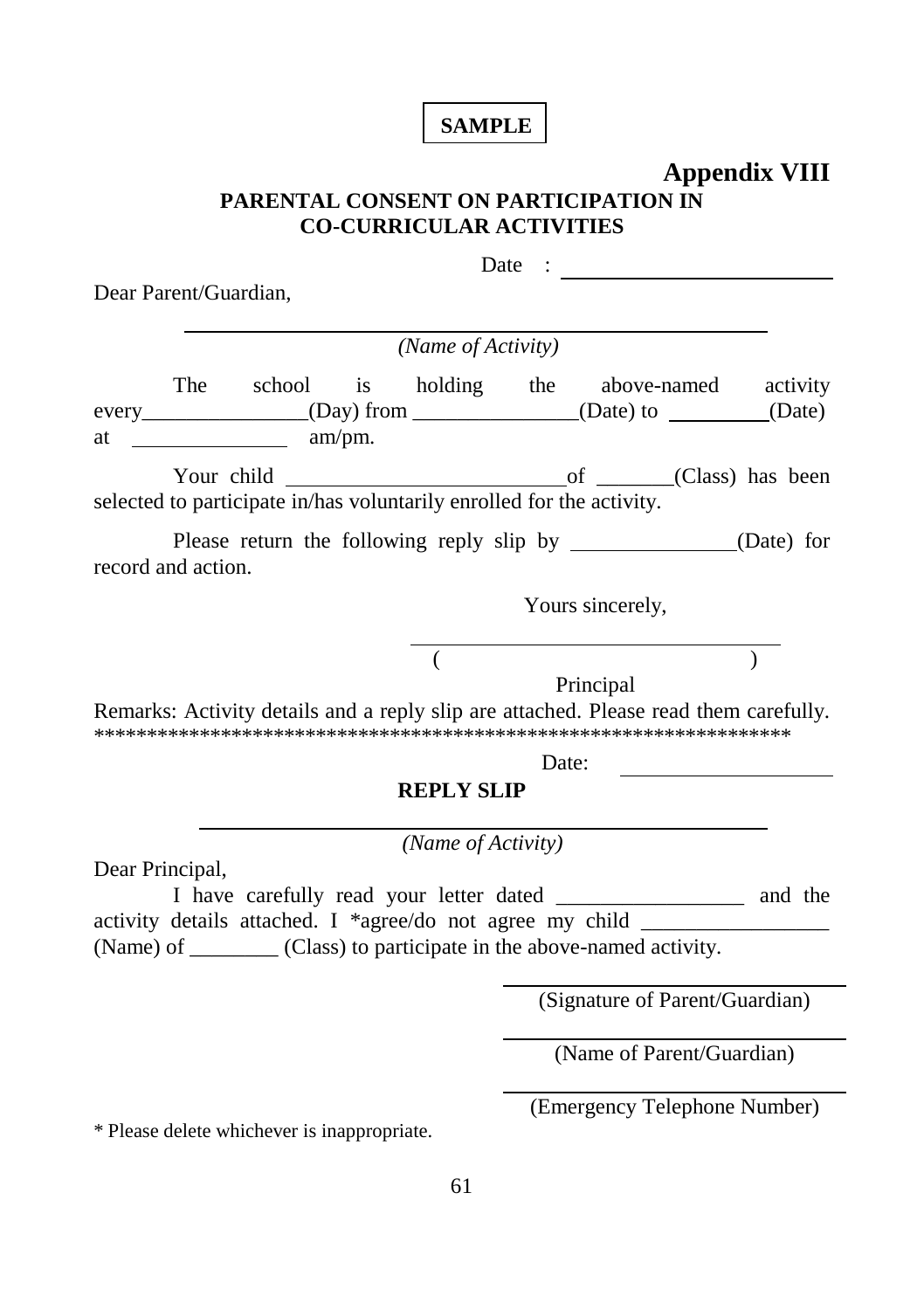### **SAMPLE**

## **Appendix VIII PARENTAL CONSENT ON PARTICIPATION IN CO-CURRICULAR ACTIVITIES**

| Dear Parent/Guardian, |                         |                                                                       |       |                                                                                                                                                                                                                |          |
|-----------------------|-------------------------|-----------------------------------------------------------------------|-------|----------------------------------------------------------------------------------------------------------------------------------------------------------------------------------------------------------------|----------|
|                       |                         | (Name of Activity)                                                    |       |                                                                                                                                                                                                                |          |
|                       | at $\frac{1}{2}$ am/pm. |                                                                       |       | The school is holding the above-named<br>every_________________(Day) from ______________(Date) to _______(Date)                                                                                                | activity |
|                       |                         | selected to participate in/has voluntarily enrolled for the activity. |       |                                                                                                                                                                                                                |          |
| record and action.    |                         |                                                                       |       | Please return the following reply slip by ________________(Date) for                                                                                                                                           |          |
|                       |                         |                                                                       |       | Yours sincerely,                                                                                                                                                                                               |          |
|                       |                         |                                                                       |       | Principal<br>Remarks: Activity details and a reply slip are attached. Please read them carefully.                                                                                                              |          |
|                       |                         |                                                                       | Date: |                                                                                                                                                                                                                |          |
|                       |                         | <b>REPLY SLIP</b>                                                     |       |                                                                                                                                                                                                                |          |
|                       |                         | (Name of Activity)                                                    |       |                                                                                                                                                                                                                |          |
| Dear Principal,       |                         |                                                                       |       | I have carefully read your letter dated _______________ and the<br>activity details attached. I *agree/do not agree my child ______<br>(Name) of _________ (Class) to participate in the above-named activity. |          |
|                       |                         |                                                                       |       | (Signature of Parent/Guardian)                                                                                                                                                                                 |          |
|                       |                         |                                                                       |       | (Name of Parent/Guardian)                                                                                                                                                                                      |          |
|                       |                         |                                                                       |       | (Emergency Telephone Number)                                                                                                                                                                                   |          |

\* Please delete whichever is inappropriate.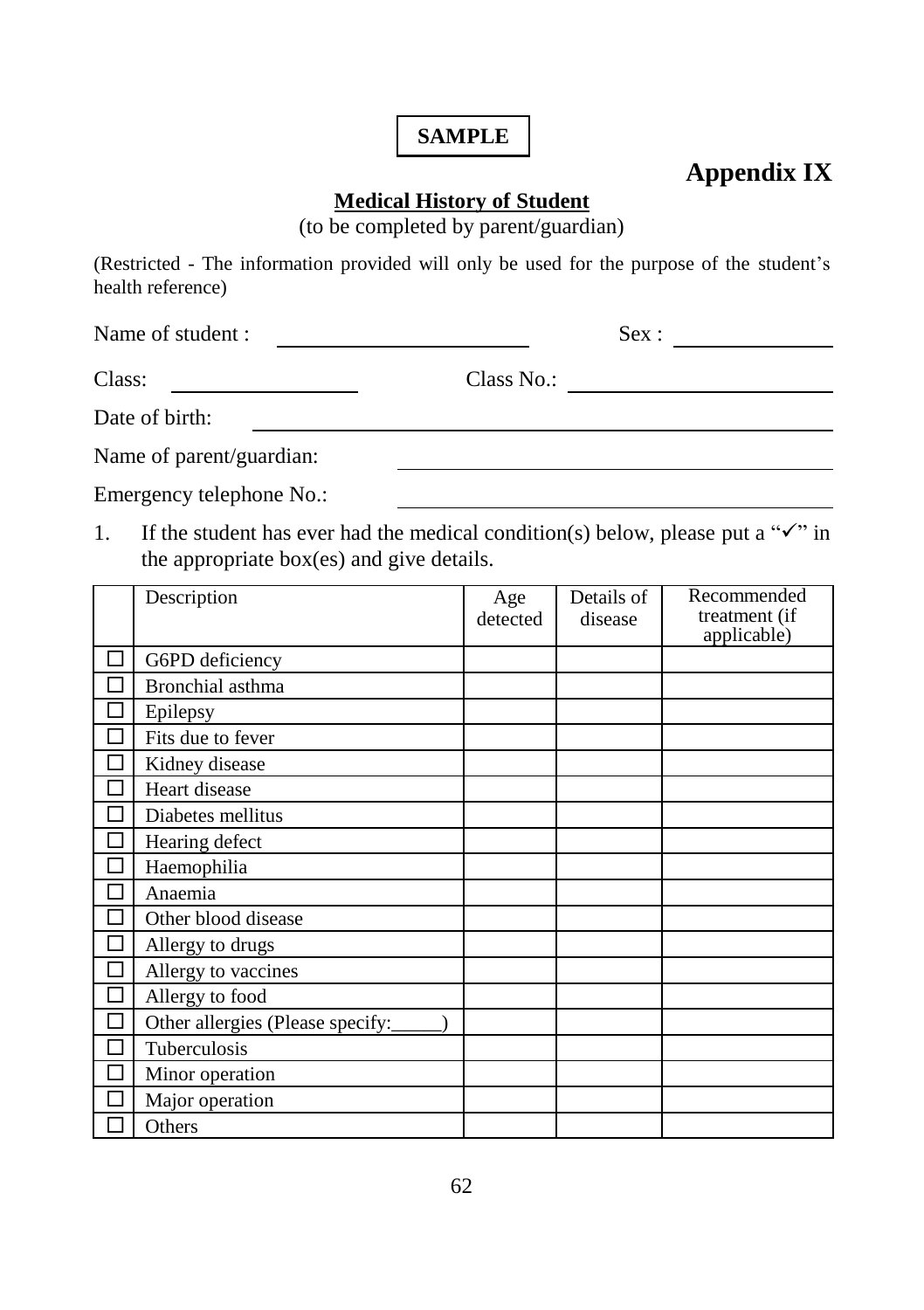### **SAMPLE**

# **Appendix IX**

#### **Medical History of Student**

(to be completed by parent/guardian)

(Restricted - The information provided will only be used for the purpose of the student's health reference)

Name of student : Sex :

| Class: |  | Class No.: |  |
|--------|--|------------|--|
|--------|--|------------|--|

| Date of birth: |
|----------------|
|----------------|

Name of parent/guardian:

Emergency telephone No.:

1. If the student has ever had the medical condition(s) below, please put a " $\checkmark$ " in the appropriate box(es) and give details.

|   | Description                      | Age      | Details of | Recommended   |
|---|----------------------------------|----------|------------|---------------|
|   |                                  | detected | disease    | treatment (if |
|   |                                  |          |            | applicable)   |
| H | G6PD deficiency                  |          |            |               |
|   | Bronchial asthma                 |          |            |               |
|   | Epilepsy                         |          |            |               |
|   | Fits due to fever                |          |            |               |
|   | Kidney disease                   |          |            |               |
|   | Heart disease                    |          |            |               |
|   | Diabetes mellitus                |          |            |               |
|   | Hearing defect                   |          |            |               |
|   | Haemophilia                      |          |            |               |
|   | Anaemia                          |          |            |               |
|   | Other blood disease              |          |            |               |
|   | Allergy to drugs                 |          |            |               |
| П | Allergy to vaccines              |          |            |               |
| П | Allergy to food                  |          |            |               |
| J | Other allergies (Please specify: |          |            |               |
|   | Tuberculosis                     |          |            |               |
|   | Minor operation                  |          |            |               |
|   | Major operation                  |          |            |               |
|   | Others                           |          |            |               |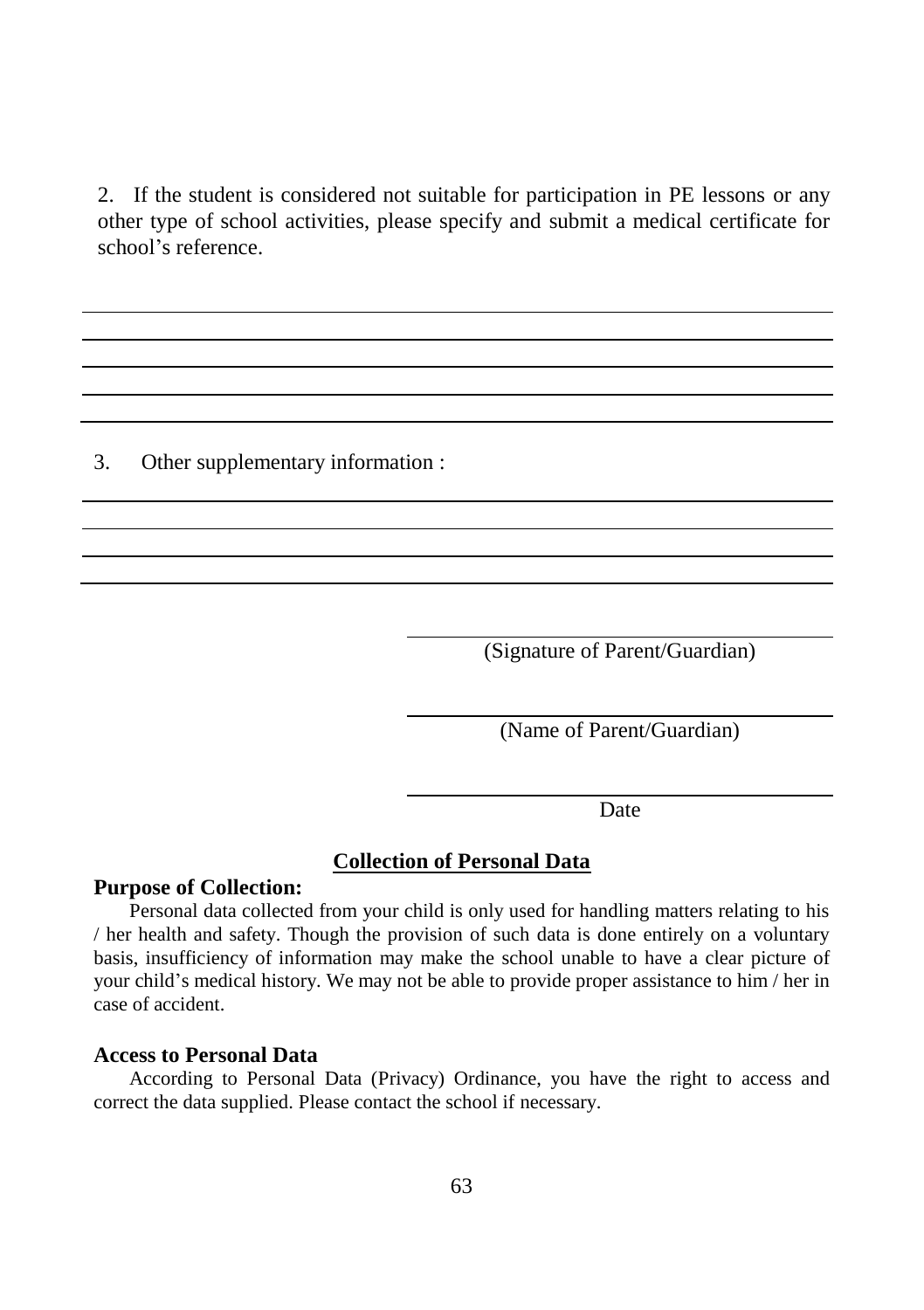2. If the student is considered not suitable for participation in PE lessons or any other type of school activities, please specify and submit a medical certificate for school's reference.

3. Other supplementary information :

(Signature of Parent/Guardian)

(Name of Parent/Guardian)

Date

#### **Collection of Personal Data**

#### **Purpose of Collection:**

Personal data collected from your child is only used for handling matters relating to his / her health and safety. Though the provision of such data is done entirely on a voluntary basis, insufficiency of information may make the school unable to have a clear picture of your child's medical history. We may not be able to provide proper assistance to him / her in case of accident.

#### **Access to Personal Data**

According to Personal Data (Privacy) Ordinance, you have the right to access and correct the data supplied. Please contact the school if necessary.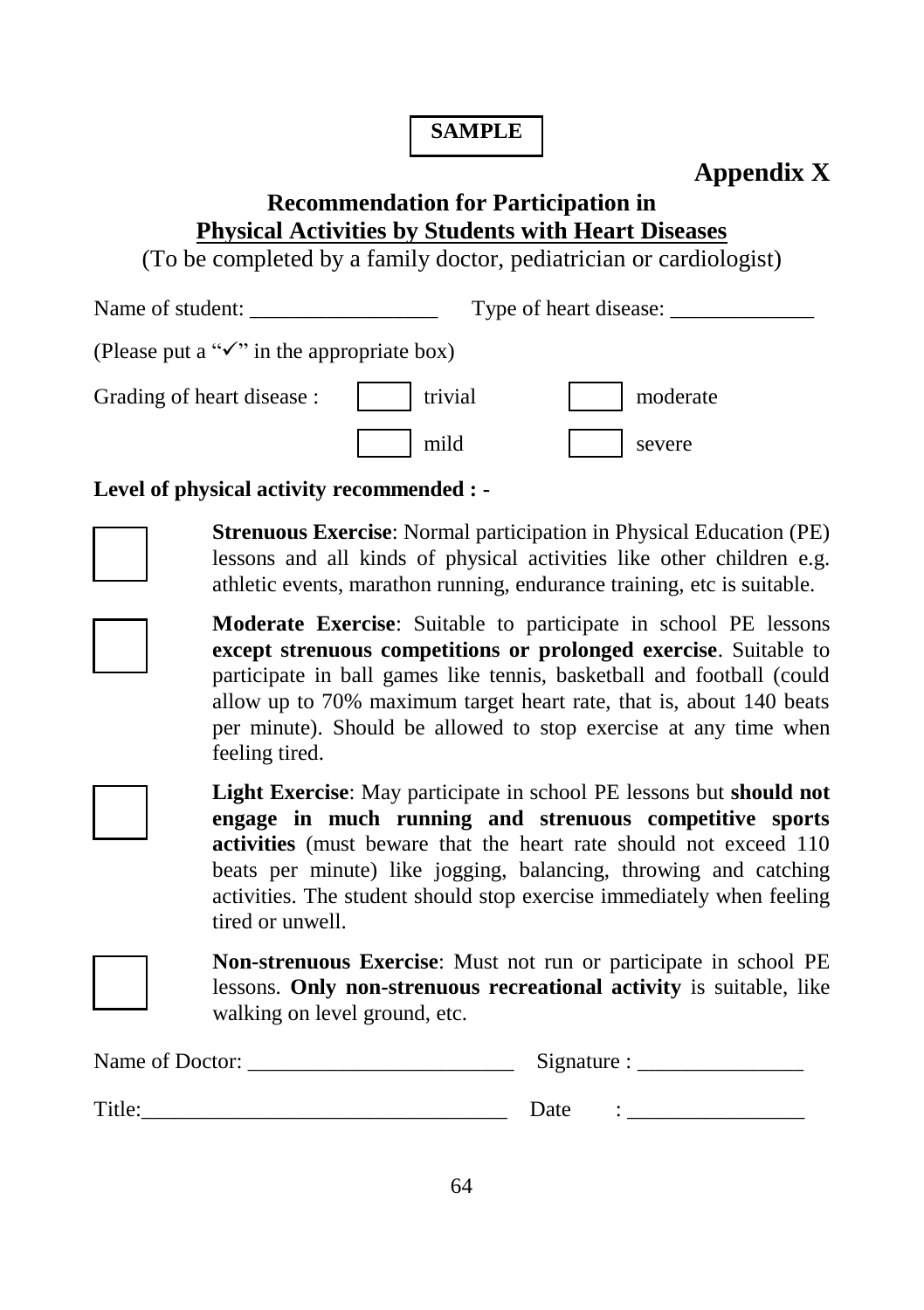### **SAMPLE**

## **Appendix X**

## **Recommendation for Participation in Physical Activities by Students with Heart Diseases**

(To be completed by a family doctor, pediatrician or cardiologist)

Name of student: Type of heart disease:

| (Please put a " $\checkmark$ " in the appropriate box) |  |  |  |
|--------------------------------------------------------|--|--|--|
|--------------------------------------------------------|--|--|--|

| Grading of heart disease : | trivial | moderate |
|----------------------------|---------|----------|
|                            | mild    | severe   |

### **Level of physical activity recommended : -**



**Strenuous Exercise**: Normal participation in Physical Education (PE) lessons and all kinds of physical activities like other children e.g. athletic events, marathon running, endurance training, etc is suitable.



**Moderate Exercise**: Suitable to participate in school PE lessons **except strenuous competitions or prolonged exercise**. Suitable to participate in ball games like tennis, basketball and football (could allow up to 70% maximum target heart rate, that is, about 140 beats per minute). Should be allowed to stop exercise at any time when feeling tired.



**Light Exercise**: May participate in school PE lessons but **should not engage in much running and strenuous competitive sports activities** (must beware that the heart rate should not exceed 110 beats per minute) like jogging, balancing, throwing and catching activities. The student should stop exercise immediately when feeling tired or unwell.



**Non-strenuous Exercise**: Must not run or participate in school PE lessons. **Only non-strenuous recreational activity** is suitable, like walking on level ground, etc.

| Name of Doctor: | Signature |  |
|-----------------|-----------|--|
| <b>Title</b>    | Date      |  |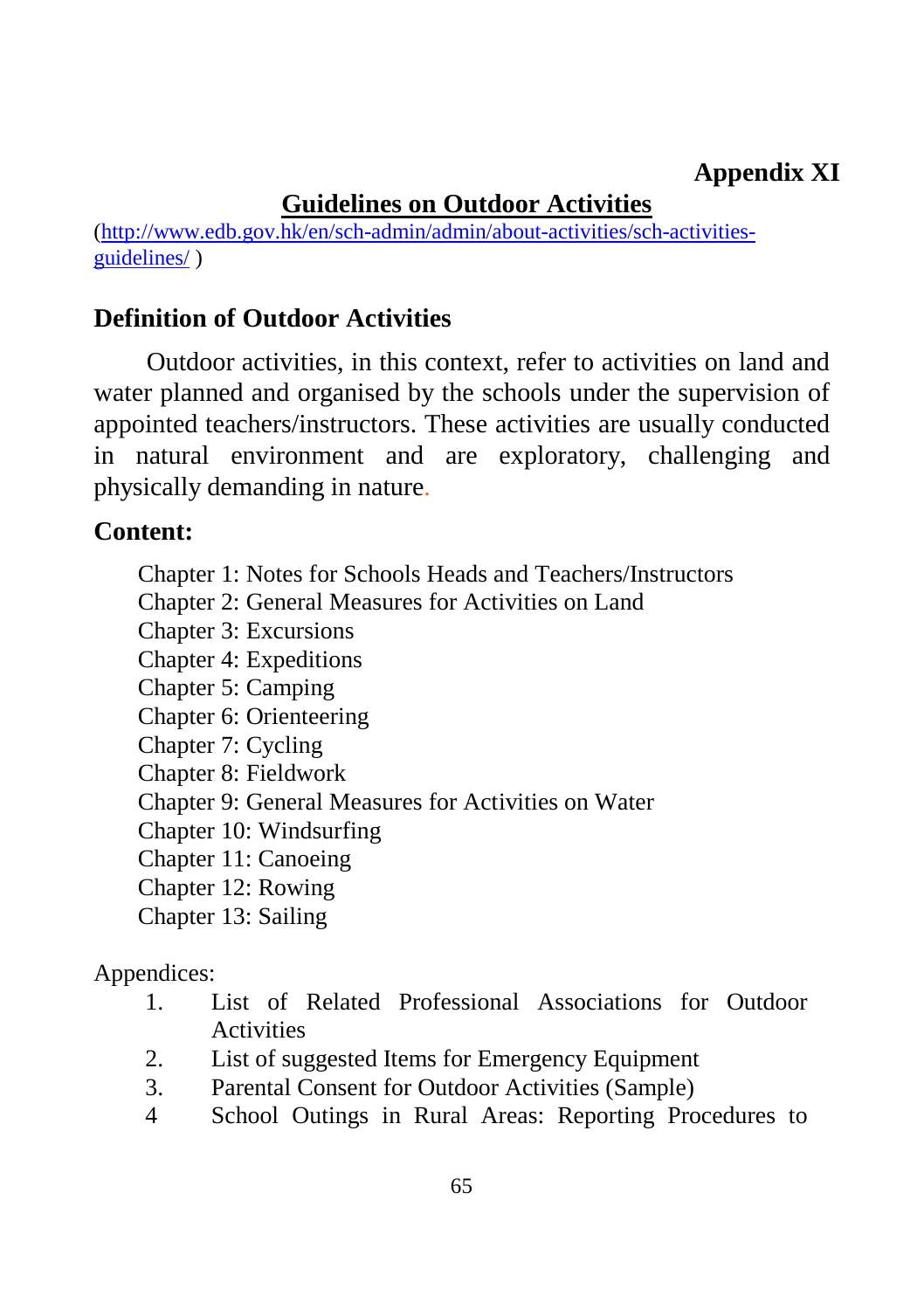## **Appendix XI**

# **Guidelines on Outdoor Activities**

[\(http://www.edb.gov.hk/en/sch-admin/admin/about-activities/sch-activities](http://www.edb.gov.hk/en/sch-admin/admin/about-activities/sch-activities-guidelines/)[guidelines/](http://www.edb.gov.hk/en/sch-admin/admin/about-activities/sch-activities-guidelines/) )

## **Definition of Outdoor Activities**

Outdoor activities, in this context, refer to activities on land and water planned and organised by the schools under the supervision of appointed teachers/instructors. These activities are usually conducted in natural environment and are exploratory, challenging and physically demanding in nature.

### **Content:**

- Chapter 1: Notes for Schools Heads and Teachers/Instructors
- Chapter 2: General Measures for Activities on Land
- Chapter 3: Excursions
- Chapter 4: Expeditions
- Chapter 5: Camping
- Chapter 6: Orienteering
- Chapter 7: Cycling
- Chapter 8: Fieldwork
- Chapter 9: General Measures for Activities on Water
- Chapter 10: Windsurfing
- Chapter 11: Canoeing
- Chapter 12: Rowing
- Chapter 13: Sailing

### Appendices:

- 1. List of Related Professional Associations for Outdoor **Activities**
- 2. List of suggested Items for Emergency Equipment
- 3. Parental Consent for Outdoor Activities (Sample)
- 4 School Outings in Rural Areas: Reporting Procedures to